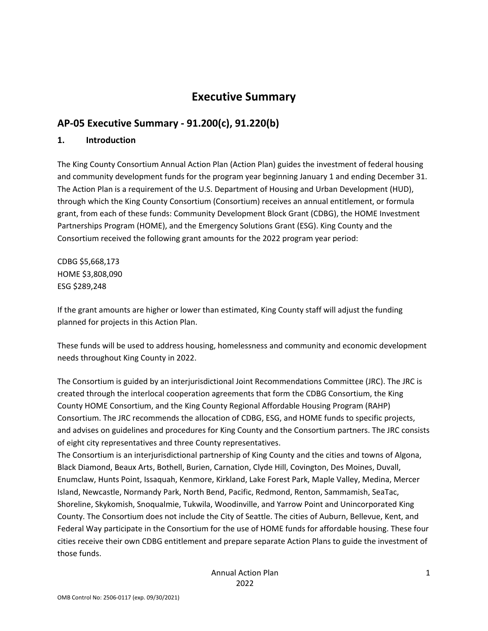# **Executive Summary**

# **AP-05 Executive Summary - 91.200(c), 91.220(b)**

#### **1. Introduction**

The King County Consortium Annual Action Plan (Action Plan) guides the investment of federal housing and community development funds for the program year beginning January 1 and ending December 31. The Action Plan is a requirement of the U.S. Department of Housing and Urban Development (HUD), through which the King County Consortium (Consortium) receives an annual entitlement, or formula grant, from each of these funds: Community Development Block Grant (CDBG), the HOME Investment Partnerships Program (HOME), and the Emergency Solutions Grant (ESG). King County and the Consortium received the following grant amounts for the 2022 program year period:

CDBG \$5,668,173 HOME \$3,808,090 ESG \$289,248

If the grant amounts are higher or lower than estimated, King County staff will adjust the funding planned for projects in this Action Plan.

These funds will be used to address housing, homelessness and community and economic development needs throughout King County in 2022.

The Consortium is guided by an interjurisdictional Joint Recommendations Committee (JRC). The JRC is created through the interlocal cooperation agreements that form the CDBG Consortium, the King County HOME Consortium, and the King County Regional Affordable Housing Program (RAHP) Consortium. The JRC recommends the allocation of CDBG, ESG, and HOME funds to specific projects, and advises on guidelines and procedures for King County and the Consortium partners. The JRC consists of eight city representatives and three County representatives.

The Consortium is an interjurisdictional partnership of King County and the cities and towns of Algona, Black Diamond, Beaux Arts, Bothell, Burien, Carnation, Clyde Hill, Covington, Des Moines, Duvall, Enumclaw, Hunts Point, Issaquah, Kenmore, Kirkland, Lake Forest Park, Maple Valley, Medina, Mercer Island, Newcastle, Normandy Park, North Bend, Pacific, Redmond, Renton, Sammamish, SeaTac, Shoreline, Skykomish, Snoqualmie, Tukwila, Woodinville, and Yarrow Point and Unincorporated King County. The Consortium does not include the City of Seattle. The cities of Auburn, Bellevue, Kent, and Federal Way participate in the Consortium for the use of HOME funds for affordable housing. These four cities receive their own CDBG entitlement and prepare separate Action Plans to guide the investment of those funds.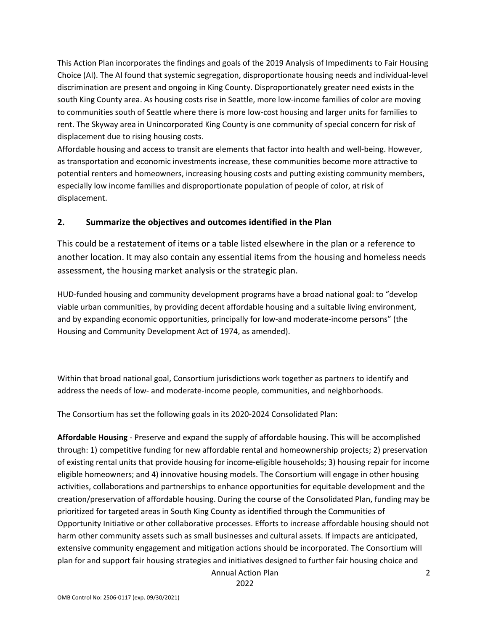This Action Plan incorporates the findings and goals of the 2019 Analysis of Impediments to Fair Housing Choice (AI). The AI found that systemic segregation, disproportionate housing needs and individual-level discrimination are present and ongoing in King County. Disproportionately greater need exists in the south King County area. As housing costs rise in Seattle, more low-income families of color are moving to communities south of Seattle where there is more low-cost housing and larger units for families to rent. The Skyway area in Unincorporated King County is one community of special concern for risk of displacement due to rising housing costs.

Affordable housing and access to transit are elements that factor into health and well-being. However, as transportation and economic investments increase, these communities become more attractive to potential renters and homeowners, increasing housing costs and putting existing community members, especially low income families and disproportionate population of people of color, at risk of displacement.

#### **2. Summarize the objectives and outcomes identified in the Plan**

This could be a restatement of items or a table listed elsewhere in the plan or a reference to another location. It may also contain any essential items from the housing and homeless needs assessment, the housing market analysis or the strategic plan.

HUD-funded housing and community development programs have a broad national goal: to "develop viable urban communities, by providing decent affordable housing and a suitable living environment, and by expanding economic opportunities, principally for low-and moderate-income persons" (the Housing and Community Development Act of 1974, as amended).

Within that broad national goal, Consortium jurisdictions work together as partners to identify and address the needs of low- and moderate-income people, communities, and neighborhoods.

The Consortium has set the following goals in its 2020-2024 Consolidated Plan:

**Affordable Housing** - Preserve and expand the supply of affordable housing. This will be accomplished through: 1) competitive funding for new affordable rental and homeownership projects; 2) preservation of existing rental units that provide housing for income-eligible households; 3) housing repair for income eligible homeowners; and 4) innovative housing models. The Consortium will engage in other housing activities, collaborations and partnerships to enhance opportunities for equitable development and the creation/preservation of affordable housing. During the course of the Consolidated Plan, funding may be prioritized for targeted areas in South King County as identified through the Communities of Opportunity Initiative or other collaborative processes. Efforts to increase affordable housing should not harm other community assets such as small businesses and cultural assets. If impacts are anticipated, extensive community engagement and mitigation actions should be incorporated. The Consortium will plan for and support fair housing strategies and initiatives designed to further fair housing choice and

Annual Action Plan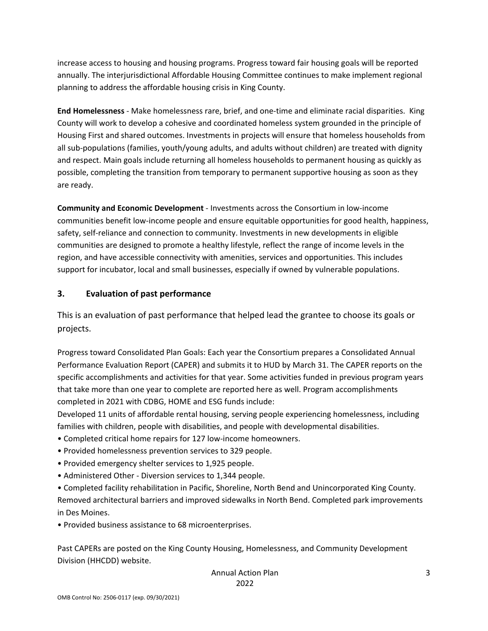increase access to housing and housing programs. Progress toward fair housing goals will be reported annually. The interjurisdictional Affordable Housing Committee continues to make implement regional planning to address the affordable housing crisis in King County.

**End Homelessness** - Make homelessness rare, brief, and one-time and eliminate racial disparities. King County will work to develop a cohesive and coordinated homeless system grounded in the principle of Housing First and shared outcomes. Investments in projects will ensure that homeless households from all sub-populations (families, youth/young adults, and adults without children) are treated with dignity and respect. Main goals include returning all homeless households to permanent housing as quickly as possible, completing the transition from temporary to permanent supportive housing as soon as they are ready.

**Community and Economic Development** - Investments across the Consortium in low-income communities benefit low-income people and ensure equitable opportunities for good health, happiness, safety, self-reliance and connection to community. Investments in new developments in eligible communities are designed to promote a healthy lifestyle, reflect the range of income levels in the region, and have accessible connectivity with amenities, services and opportunities. This includes support for incubator, local and small businesses, especially if owned by vulnerable populations.

### **3. Evaluation of past performance**

This is an evaluation of past performance that helped lead the grantee to choose its goals or projects.

Progress toward Consolidated Plan Goals: Each year the Consortium prepares a Consolidated Annual Performance Evaluation Report (CAPER) and submits it to HUD by March 31. The CAPER reports on the specific accomplishments and activities for that year. Some activities funded in previous program years that take more than one year to complete are reported here as well. Program accomplishments completed in 2021 with CDBG, HOME and ESG funds include:

Developed 11 units of affordable rental housing, serving people experiencing homelessness, including families with children, people with disabilities, and people with developmental disabilities.

- Completed critical home repairs for 127 low-income homeowners.
- Provided homelessness prevention services to 329 people.
- Provided emergency shelter services to 1,925 people.
- Administered Other Diversion services to 1,344 people.

• Completed facility rehabilitation in Pacific, Shoreline, North Bend and Unincorporated King County. Removed architectural barriers and improved sidewalks in North Bend. Completed park improvements in Des Moines.

• Provided business assistance to 68 microenterprises.

Past CAPERs are posted on the King County Housing, Homelessness, and Community Development Division (HHCDD) website.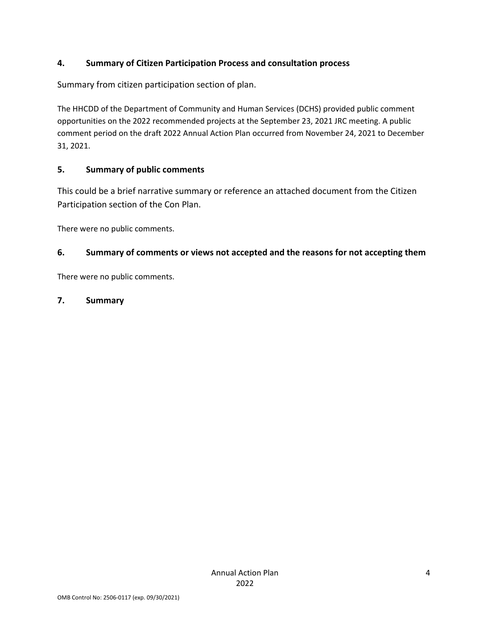### **4. Summary of Citizen Participation Process and consultation process**

Summary from citizen participation section of plan.

The HHCDD of the Department of Community and Human Services (DCHS) provided public comment opportunities on the 2022 recommended projects at the September 23, 2021 JRC meeting. A public comment period on the draft 2022 Annual Action Plan occurred from November 24, 2021 to December 31, 2021.

### **5. Summary of public comments**

This could be a brief narrative summary or reference an attached document from the Citizen Participation section of the Con Plan.

There were no public comments.

### **6. Summary of comments or views not accepted and the reasons for not accepting them**

There were no public comments.

### **7. Summary**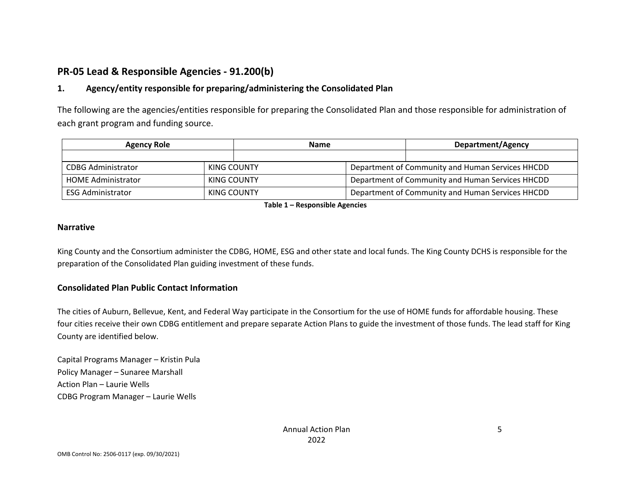# **PR-05 Lead & Responsible Agencies - 91.200(b)**

### **1. Agency/entity responsible for preparing/administering the Consolidated Plan**

The following are the agencies/entities responsible for preparing the Consolidated Plan and those responsible for administration of each grant program and funding source.

| <b>Agency Role</b>        |             | <b>Name</b> |                                                  | Department/Agency                                |  |
|---------------------------|-------------|-------------|--------------------------------------------------|--------------------------------------------------|--|
|                           |             |             |                                                  |                                                  |  |
| CDBG Administrator        | KING COUNTY |             |                                                  | Department of Community and Human Services HHCDD |  |
| <b>HOME Administrator</b> | KING COUNTY |             |                                                  | Department of Community and Human Services HHCDD |  |
| <b>ESG Administrator</b>  | KING COUNTY |             | Department of Community and Human Services HHCDD |                                                  |  |

**Table 1 – Responsible Agencies**

#### **Narrative**

King County and the Consortium administer the CDBG, HOME, ESG and other state and local funds. The King County DCHS is responsible for the preparation of the Consolidated Plan guiding investment of these funds.

#### **Consolidated Plan Public Contact Information**

The cities of Auburn, Bellevue, Kent, and Federal Way participate in the Consortium for the use of HOME funds for affordable housing. These four cities receive their own CDBG entitlement and prepare separate Action Plans to guide the investment of those funds. The lead staff for King County are identified below.

Capital Programs Manager – Kristin Pula Policy Manager – Sunaree Marshall Action Plan – Laurie Wells CDBG Program Manager – Laurie Wells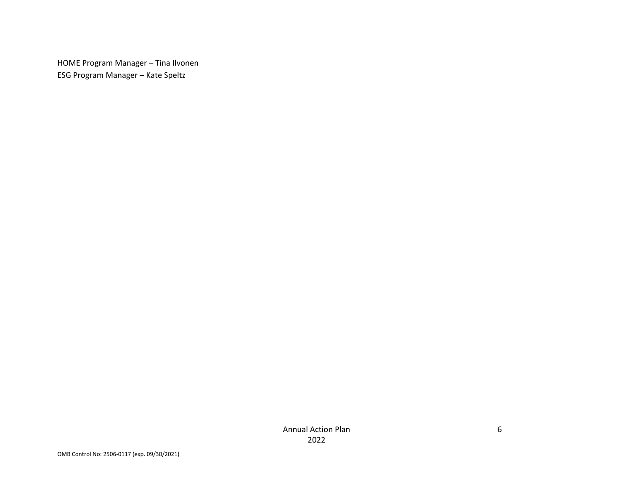HOME Program Manager – Tina Ilvonen ESG Program Manager – Kate Speltz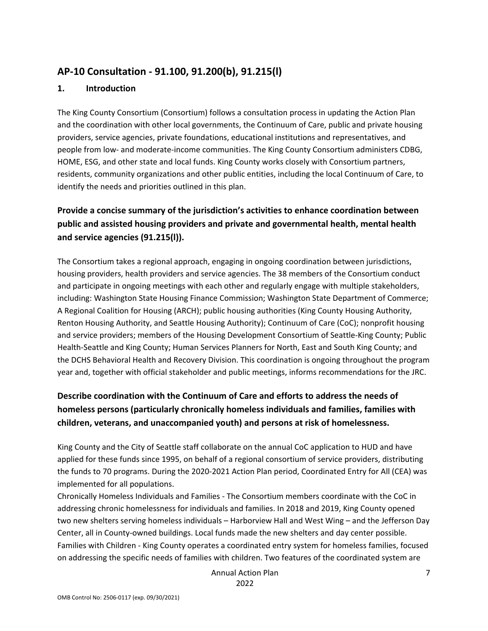## **AP-10 Consultation - 91.100, 91.200(b), 91.215(l)**

#### **1. Introduction**

The King County Consortium (Consortium) follows a consultation process in updating the Action Plan and the coordination with other local governments, the Continuum of Care, public and private housing providers, service agencies, private foundations, educational institutions and representatives, and people from low- and moderate-income communities. The King County Consortium administers CDBG, HOME, ESG, and other state and local funds. King County works closely with Consortium partners, residents, community organizations and other public entities, including the local Continuum of Care, to identify the needs and priorities outlined in this plan.

## **Provide a concise summary of the jurisdiction's activities to enhance coordination between public and assisted housing providers and private and governmental health, mental health and service agencies (91.215(l)).**

The Consortium takes a regional approach, engaging in ongoing coordination between jurisdictions, housing providers, health providers and service agencies. The 38 members of the Consortium conduct and participate in ongoing meetings with each other and regularly engage with multiple stakeholders, including: Washington State Housing Finance Commission; Washington State Department of Commerce; A Regional Coalition for Housing (ARCH); public housing authorities (King County Housing Authority, Renton Housing Authority, and Seattle Housing Authority); Continuum of Care (CoC); nonprofit housing and service providers; members of the Housing Development Consortium of Seattle-King County; Public Health-Seattle and King County; Human Services Planners for North, East and South King County; and the DCHS Behavioral Health and Recovery Division. This coordination is ongoing throughout the program year and, together with official stakeholder and public meetings, informs recommendations for the JRC.

## **Describe coordination with the Continuum of Care and efforts to address the needs of homeless persons (particularly chronically homeless individuals and families, families with children, veterans, and unaccompanied youth) and persons at risk of homelessness.**

King County and the City of Seattle staff collaborate on the annual CoC application to HUD and have applied for these funds since 1995, on behalf of a regional consortium of service providers, distributing the funds to 70 programs. During the 2020-2021 Action Plan period, Coordinated Entry for All (CEA) was implemented for all populations.

Chronically Homeless Individuals and Families - The Consortium members coordinate with the CoC in addressing chronic homelessness for individuals and families. In 2018 and 2019, King County opened two new shelters serving homeless individuals – Harborview Hall and West Wing – and the Jefferson Day Center, all in County-owned buildings. Local funds made the new shelters and day center possible. Families with Children - King County operates a coordinated entry system for homeless families, focused on addressing the specific needs of families with children. Two features of the coordinated system are

> Annual Action Plan 2022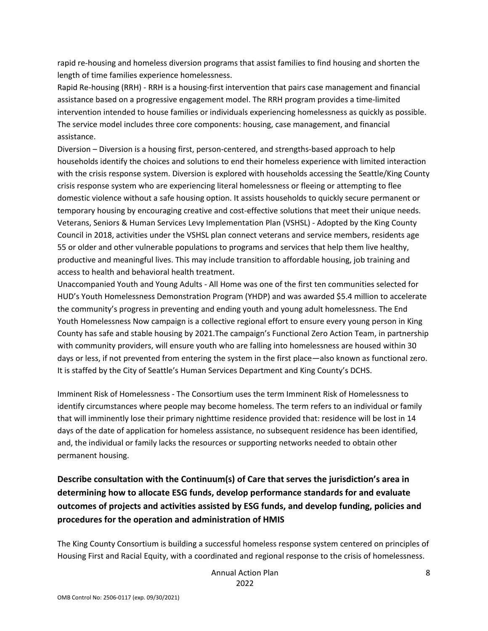rapid re-housing and homeless diversion programs that assist families to find housing and shorten the length of time families experience homelessness.

Rapid Re-housing (RRH) - RRH is a housing-first intervention that pairs case management and financial assistance based on a progressive engagement model. The RRH program provides a time-limited intervention intended to house families or individuals experiencing homelessness as quickly as possible. The service model includes three core components: housing, case management, and financial assistance.

Diversion – Diversion is a housing first, person-centered, and strengths-based approach to help households identify the choices and solutions to end their homeless experience with limited interaction with the crisis response system. Diversion is explored with households accessing the Seattle/King County crisis response system who are experiencing literal homelessness or fleeing or attempting to flee domestic violence without a safe housing option. It assists households to quickly secure permanent or temporary housing by encouraging creative and cost-effective solutions that meet their unique needs. Veterans, Seniors & Human Services Levy Implementation Plan (VSHSL) - Adopted by the King County Council in 2018, activities under the VSHSL plan connect veterans and service members, residents age 55 or older and other vulnerable populations to programs and services that help them live healthy, productive and meaningful lives. This may include transition to affordable housing, job training and access to health and behavioral health treatment.

Unaccompanied Youth and Young Adults - All Home was one of the first ten communities selected for HUD's Youth Homelessness Demonstration Program (YHDP) and was awarded \$5.4 million to accelerate the community's progress in preventing and ending youth and young adult homelessness. The End Youth Homelessness Now campaign is a collective regional effort to ensure every young person in King County has safe and stable housing by 2021.The campaign's Functional Zero Action Team, in partnership with community providers, will ensure youth who are falling into homelessness are housed within 30 days or less, if not prevented from entering the system in the first place—also known as functional zero. It is staffed by the City of Seattle's Human Services Department and King County's DCHS.

Imminent Risk of Homelessness - The Consortium uses the term Imminent Risk of Homelessness to identify circumstances where people may become homeless. The term refers to an individual or family that will imminently lose their primary nighttime residence provided that: residence will be lost in 14 days of the date of application for homeless assistance, no subsequent residence has been identified, and, the individual or family lacks the resources or supporting networks needed to obtain other permanent housing.

**Describe consultation with the Continuum(s) of Care that serves the jurisdiction's area in determining how to allocate ESG funds, develop performance standards for and evaluate outcomes of projects and activities assisted by ESG funds, and develop funding, policies and procedures for the operation and administration of HMIS**

The King County Consortium is building a successful homeless response system centered on principles of Housing First and Racial Equity, with a coordinated and regional response to the crisis of homelessness.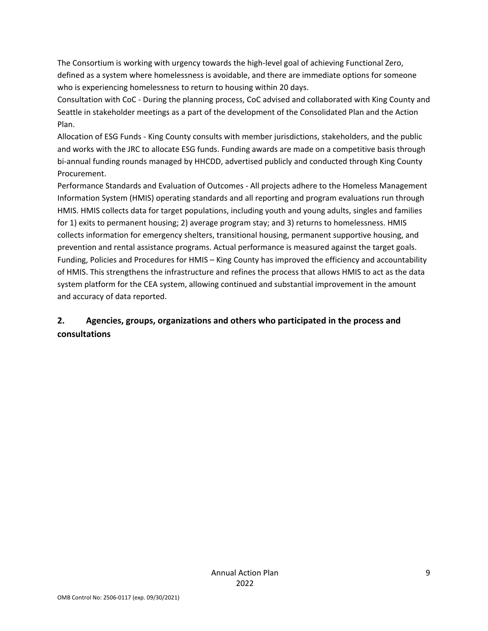The Consortium is working with urgency towards the high-level goal of achieving Functional Zero, defined as a system where homelessness is avoidable, and there are immediate options for someone who is experiencing homelessness to return to housing within 20 days.

Consultation with CoC - During the planning process, CoC advised and collaborated with King County and Seattle in stakeholder meetings as a part of the development of the Consolidated Plan and the Action Plan.

Allocation of ESG Funds - King County consults with member jurisdictions, stakeholders, and the public and works with the JRC to allocate ESG funds. Funding awards are made on a competitive basis through bi-annual funding rounds managed by HHCDD, advertised publicly and conducted through King County Procurement.

Performance Standards and Evaluation of Outcomes - All projects adhere to the Homeless Management Information System (HMIS) operating standards and all reporting and program evaluations run through HMIS. HMIS collects data for target populations, including youth and young adults, singles and families for 1) exits to permanent housing; 2) average program stay; and 3) returns to homelessness. HMIS collects information for emergency shelters, transitional housing, permanent supportive housing, and prevention and rental assistance programs. Actual performance is measured against the target goals. Funding, Policies and Procedures for HMIS – King County has improved the efficiency and accountability of HMIS. This strengthens the infrastructure and refines the process that allows HMIS to act as the data system platform for the CEA system, allowing continued and substantial improvement in the amount and accuracy of data reported.

## **2. Agencies, groups, organizations and others who participated in the process and consultations**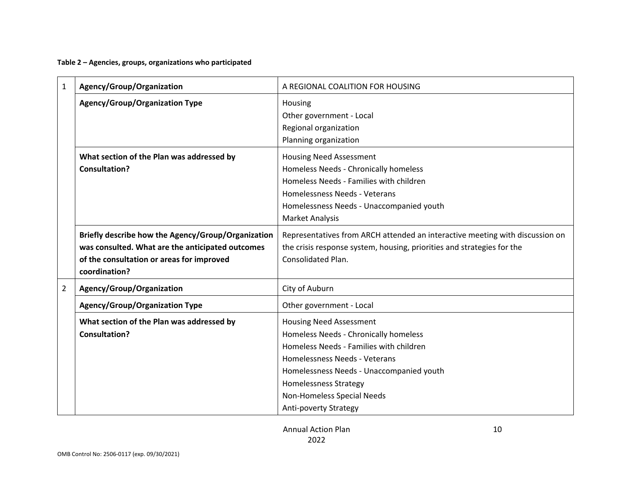**Table 2 – Agencies, groups, organizations who participated**

| $\mathbf{1}$   | Agency/Group/Organization                                                                                                                                            | A REGIONAL COALITION FOR HOUSING                                                                                                                                                                                                                                                       |
|----------------|----------------------------------------------------------------------------------------------------------------------------------------------------------------------|----------------------------------------------------------------------------------------------------------------------------------------------------------------------------------------------------------------------------------------------------------------------------------------|
|                | <b>Agency/Group/Organization Type</b>                                                                                                                                | Housing<br>Other government - Local<br>Regional organization<br>Planning organization                                                                                                                                                                                                  |
|                | What section of the Plan was addressed by<br><b>Consultation?</b>                                                                                                    | <b>Housing Need Assessment</b><br>Homeless Needs - Chronically homeless<br>Homeless Needs - Families with children<br>Homelessness Needs - Veterans<br>Homelessness Needs - Unaccompanied youth<br><b>Market Analysis</b>                                                              |
|                | Briefly describe how the Agency/Group/Organization<br>was consulted. What are the anticipated outcomes<br>of the consultation or areas for improved<br>coordination? | Representatives from ARCH attended an interactive meeting with discussion on<br>the crisis response system, housing, priorities and strategies for the<br><b>Consolidated Plan.</b>                                                                                                    |
| $\overline{2}$ | Agency/Group/Organization                                                                                                                                            | City of Auburn                                                                                                                                                                                                                                                                         |
|                | <b>Agency/Group/Organization Type</b>                                                                                                                                | Other government - Local                                                                                                                                                                                                                                                               |
|                | What section of the Plan was addressed by<br><b>Consultation?</b>                                                                                                    | <b>Housing Need Assessment</b><br>Homeless Needs - Chronically homeless<br>Homeless Needs - Families with children<br>Homelessness Needs - Veterans<br>Homelessness Needs - Unaccompanied youth<br><b>Homelessness Strategy</b><br>Non-Homeless Special Needs<br>Anti-poverty Strategy |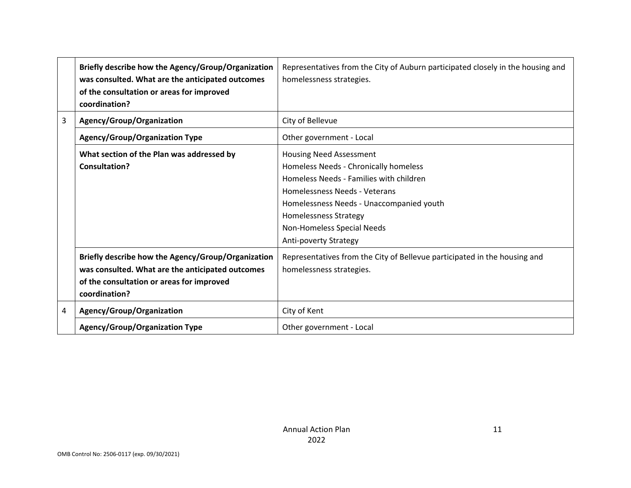|   | Briefly describe how the Agency/Group/Organization<br>was consulted. What are the anticipated outcomes<br>of the consultation or areas for improved<br>coordination? | Representatives from the City of Auburn participated closely in the housing and<br>homelessness strategies.                                                                                                                                                                     |
|---|----------------------------------------------------------------------------------------------------------------------------------------------------------------------|---------------------------------------------------------------------------------------------------------------------------------------------------------------------------------------------------------------------------------------------------------------------------------|
| 3 | Agency/Group/Organization                                                                                                                                            | City of Bellevue                                                                                                                                                                                                                                                                |
|   | <b>Agency/Group/Organization Type</b>                                                                                                                                | Other government - Local                                                                                                                                                                                                                                                        |
|   | What section of the Plan was addressed by<br><b>Consultation?</b>                                                                                                    | <b>Housing Need Assessment</b><br>Homeless Needs - Chronically homeless<br>Homeless Needs - Families with children<br>Homelessness Needs - Veterans<br>Homelessness Needs - Unaccompanied youth<br>Homelessness Strategy<br>Non-Homeless Special Needs<br>Anti-poverty Strategy |
|   | Briefly describe how the Agency/Group/Organization<br>was consulted. What are the anticipated outcomes<br>of the consultation or areas for improved<br>coordination? | Representatives from the City of Bellevue participated in the housing and<br>homelessness strategies.                                                                                                                                                                           |
| 4 | Agency/Group/Organization                                                                                                                                            | City of Kent                                                                                                                                                                                                                                                                    |
|   | <b>Agency/Group/Organization Type</b>                                                                                                                                | Other government - Local                                                                                                                                                                                                                                                        |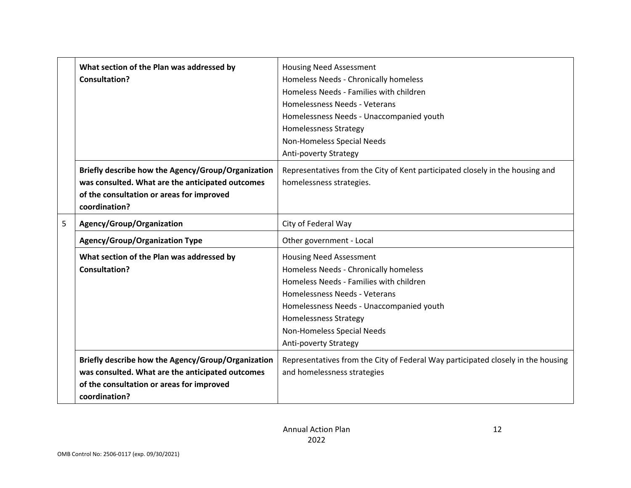| What section of the Plan was addressed by<br><b>Consultation?</b> |                                                                                                                                                                      | <b>Housing Need Assessment</b><br>Homeless Needs - Chronically homeless<br>Homeless Needs - Families with children<br>Homelessness Needs - Veterans<br>Homelessness Needs - Unaccompanied youth<br><b>Homelessness Strategy</b><br>Non-Homeless Special Needs<br>Anti-poverty Strategy |  |
|-------------------------------------------------------------------|----------------------------------------------------------------------------------------------------------------------------------------------------------------------|----------------------------------------------------------------------------------------------------------------------------------------------------------------------------------------------------------------------------------------------------------------------------------------|--|
|                                                                   | Briefly describe how the Agency/Group/Organization<br>was consulted. What are the anticipated outcomes<br>of the consultation or areas for improved<br>coordination? | Representatives from the City of Kent participated closely in the housing and<br>homelessness strategies.                                                                                                                                                                              |  |
| 5                                                                 | Agency/Group/Organization                                                                                                                                            | City of Federal Way                                                                                                                                                                                                                                                                    |  |
|                                                                   | <b>Agency/Group/Organization Type</b>                                                                                                                                | Other government - Local                                                                                                                                                                                                                                                               |  |
|                                                                   | What section of the Plan was addressed by<br><b>Consultation?</b>                                                                                                    | Housing Need Assessment<br>Homeless Needs - Chronically homeless<br>Homeless Needs - Families with children<br>Homelessness Needs - Veterans<br>Homelessness Needs - Unaccompanied youth<br><b>Homelessness Strategy</b><br>Non-Homeless Special Needs<br>Anti-poverty Strategy        |  |
|                                                                   | Briefly describe how the Agency/Group/Organization<br>was consulted. What are the anticipated outcomes<br>of the consultation or areas for improved<br>coordination? | Representatives from the City of Federal Way participated closely in the housing<br>and homelessness strategies                                                                                                                                                                        |  |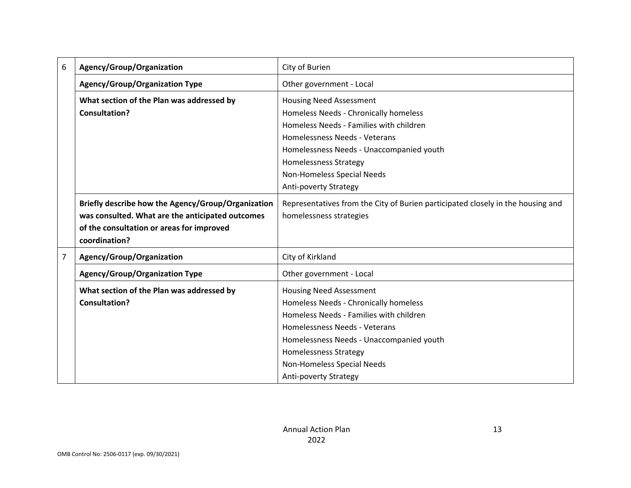| 6              | Agency/Group/Organization                          | City of Burien                                                                  |
|----------------|----------------------------------------------------|---------------------------------------------------------------------------------|
|                | <b>Agency/Group/Organization Type</b>              | Other government - Local                                                        |
|                | What section of the Plan was addressed by          | <b>Housing Need Assessment</b>                                                  |
|                | <b>Consultation?</b>                               | Homeless Needs - Chronically homeless                                           |
|                |                                                    | Homeless Needs - Families with children                                         |
|                |                                                    | Homelessness Needs - Veterans                                                   |
|                |                                                    | Homelessness Needs - Unaccompanied youth                                        |
|                |                                                    | <b>Homelessness Strategy</b>                                                    |
|                |                                                    | Non-Homeless Special Needs                                                      |
|                |                                                    | Anti-poverty Strategy                                                           |
|                | Briefly describe how the Agency/Group/Organization | Representatives from the City of Burien participated closely in the housing and |
|                | was consulted. What are the anticipated outcomes   | homelessness strategies                                                         |
|                | of the consultation or areas for improved          |                                                                                 |
|                | coordination?                                      |                                                                                 |
| $\overline{7}$ | Agency/Group/Organization                          | City of Kirkland                                                                |
|                | <b>Agency/Group/Organization Type</b>              | Other government - Local                                                        |
|                | What section of the Plan was addressed by          | <b>Housing Need Assessment</b>                                                  |
|                | <b>Consultation?</b>                               | Homeless Needs - Chronically homeless                                           |
|                |                                                    | Homeless Needs - Families with children                                         |
|                |                                                    | Homelessness Needs - Veterans                                                   |
|                |                                                    | Homelessness Needs - Unaccompanied youth                                        |
|                |                                                    | <b>Homelessness Strategy</b>                                                    |
|                |                                                    | Non-Homeless Special Needs                                                      |
|                |                                                    | Anti-poverty Strategy                                                           |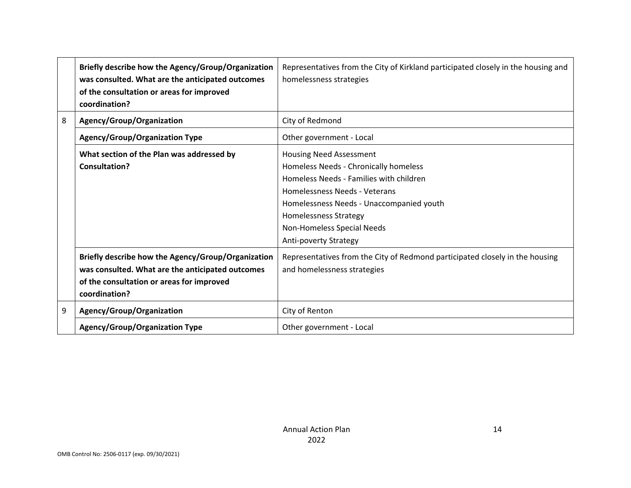|   | Briefly describe how the Agency/Group/Organization<br>was consulted. What are the anticipated outcomes<br>of the consultation or areas for improved<br>coordination? | Representatives from the City of Kirkland participated closely in the housing and<br>homelessness strategies                                                                                                                                                                           |
|---|----------------------------------------------------------------------------------------------------------------------------------------------------------------------|----------------------------------------------------------------------------------------------------------------------------------------------------------------------------------------------------------------------------------------------------------------------------------------|
| 8 | Agency/Group/Organization                                                                                                                                            | City of Redmond                                                                                                                                                                                                                                                                        |
|   | <b>Agency/Group/Organization Type</b>                                                                                                                                | Other government - Local                                                                                                                                                                                                                                                               |
|   | What section of the Plan was addressed by<br><b>Consultation?</b>                                                                                                    | <b>Housing Need Assessment</b><br>Homeless Needs - Chronically homeless<br>Homeless Needs - Families with children<br>Homelessness Needs - Veterans<br>Homelessness Needs - Unaccompanied youth<br><b>Homelessness Strategy</b><br>Non-Homeless Special Needs<br>Anti-poverty Strategy |
|   | Briefly describe how the Agency/Group/Organization<br>was consulted. What are the anticipated outcomes<br>of the consultation or areas for improved<br>coordination? | Representatives from the City of Redmond participated closely in the housing<br>and homelessness strategies                                                                                                                                                                            |
| 9 | Agency/Group/Organization                                                                                                                                            | City of Renton                                                                                                                                                                                                                                                                         |
|   | <b>Agency/Group/Organization Type</b>                                                                                                                                | Other government - Local                                                                                                                                                                                                                                                               |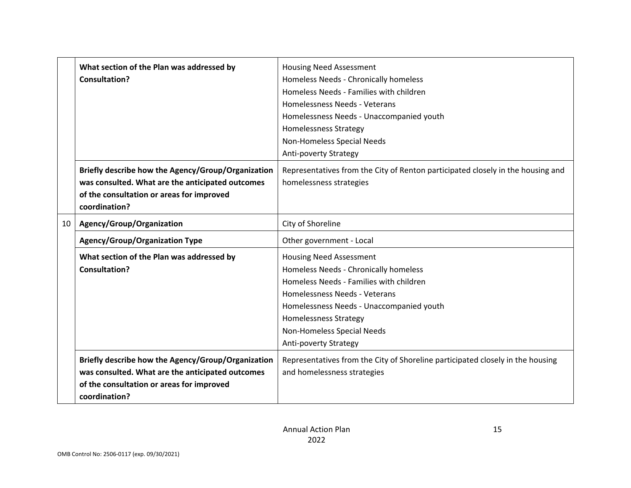|                                                                                                                                                                      | What section of the Plan was addressed by<br><b>Consultation?</b>                                                                                                    | Housing Need Assessment<br>Homeless Needs - Chronically homeless<br>Homeless Needs - Families with children<br>Homelessness Needs - Veterans<br>Homelessness Needs - Unaccompanied youth<br><b>Homelessness Strategy</b><br>Non-Homeless Special Needs                                        |  |
|----------------------------------------------------------------------------------------------------------------------------------------------------------------------|----------------------------------------------------------------------------------------------------------------------------------------------------------------------|-----------------------------------------------------------------------------------------------------------------------------------------------------------------------------------------------------------------------------------------------------------------------------------------------|--|
| Briefly describe how the Agency/Group/Organization<br>was consulted. What are the anticipated outcomes<br>of the consultation or areas for improved<br>coordination? |                                                                                                                                                                      | Anti-poverty Strategy<br>Representatives from the City of Renton participated closely in the housing and<br>homelessness strategies                                                                                                                                                           |  |
| 10                                                                                                                                                                   | Agency/Group/Organization                                                                                                                                            | City of Shoreline                                                                                                                                                                                                                                                                             |  |
|                                                                                                                                                                      | <b>Agency/Group/Organization Type</b>                                                                                                                                | Other government - Local                                                                                                                                                                                                                                                                      |  |
|                                                                                                                                                                      | What section of the Plan was addressed by<br>Consultation?                                                                                                           | <b>Housing Need Assessment</b><br>Homeless Needs - Chronically homeless<br>Homeless Needs - Families with children<br>Homelessness Needs - Veterans<br>Homelessness Needs - Unaccompanied youth<br><b>Homelessness Strategy</b><br>Non-Homeless Special Needs<br><b>Anti-poverty Strategy</b> |  |
|                                                                                                                                                                      | Briefly describe how the Agency/Group/Organization<br>was consulted. What are the anticipated outcomes<br>of the consultation or areas for improved<br>coordination? | Representatives from the City of Shoreline participated closely in the housing<br>and homelessness strategies                                                                                                                                                                                 |  |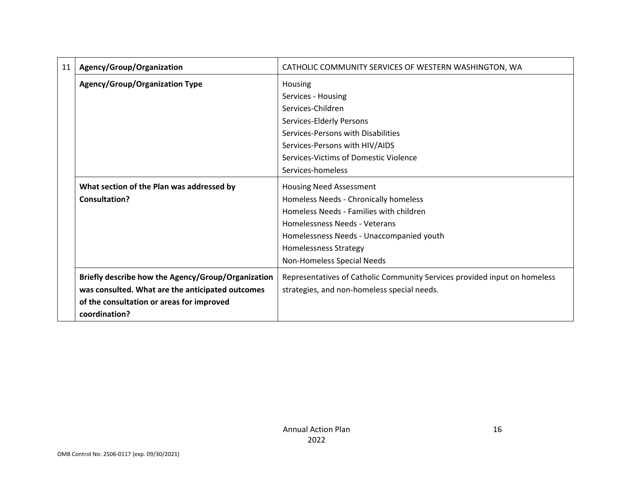| 11 | Agency/Group/Organization                          | CATHOLIC COMMUNITY SERVICES OF WESTERN WASHINGTON, WA                     |
|----|----------------------------------------------------|---------------------------------------------------------------------------|
|    | <b>Agency/Group/Organization Type</b>              | Housing                                                                   |
|    |                                                    | Services - Housing                                                        |
|    |                                                    | Services-Children                                                         |
|    |                                                    | Services-Elderly Persons                                                  |
|    |                                                    | Services-Persons with Disabilities                                        |
|    |                                                    | Services-Persons with HIV/AIDS                                            |
|    |                                                    | Services-Victims of Domestic Violence                                     |
|    |                                                    | Services-homeless                                                         |
|    | What section of the Plan was addressed by          | <b>Housing Need Assessment</b>                                            |
|    | Consultation?                                      | Homeless Needs - Chronically homeless                                     |
|    |                                                    | Homeless Needs - Families with children                                   |
|    |                                                    | Homelessness Needs - Veterans                                             |
|    |                                                    | Homelessness Needs - Unaccompanied youth                                  |
|    |                                                    | <b>Homelessness Strategy</b>                                              |
|    |                                                    | Non-Homeless Special Needs                                                |
|    | Briefly describe how the Agency/Group/Organization | Representatives of Catholic Community Services provided input on homeless |
|    | was consulted. What are the anticipated outcomes   | strategies, and non-homeless special needs.                               |
|    | of the consultation or areas for improved          |                                                                           |
|    | coordination?                                      |                                                                           |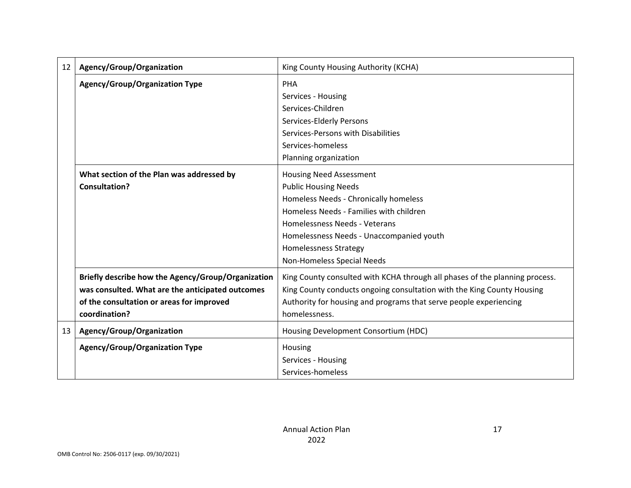| 12 | Agency/Group/Organization<br>King County Housing Authority (KCHA) |                                                                             |  |
|----|-------------------------------------------------------------------|-----------------------------------------------------------------------------|--|
|    | Agency/Group/Organization Type                                    | <b>PHA</b>                                                                  |  |
|    |                                                                   | Services - Housing                                                          |  |
|    |                                                                   | Services-Children                                                           |  |
|    |                                                                   | Services-Elderly Persons                                                    |  |
|    |                                                                   | Services-Persons with Disabilities                                          |  |
|    |                                                                   | Services-homeless                                                           |  |
|    |                                                                   | Planning organization                                                       |  |
|    | What section of the Plan was addressed by                         | <b>Housing Need Assessment</b>                                              |  |
|    | Consultation?                                                     | <b>Public Housing Needs</b>                                                 |  |
|    |                                                                   | Homeless Needs - Chronically homeless                                       |  |
|    |                                                                   | Homeless Needs - Families with children                                     |  |
|    |                                                                   | Homelessness Needs - Veterans                                               |  |
|    |                                                                   | Homelessness Needs - Unaccompanied youth                                    |  |
|    |                                                                   | <b>Homelessness Strategy</b>                                                |  |
|    |                                                                   | Non-Homeless Special Needs                                                  |  |
|    | Briefly describe how the Agency/Group/Organization                | King County consulted with KCHA through all phases of the planning process. |  |
|    | was consulted. What are the anticipated outcomes                  | King County conducts ongoing consultation with the King County Housing      |  |
|    | of the consultation or areas for improved                         | Authority for housing and programs that serve people experiencing           |  |
|    | coordination?                                                     | homelessness.                                                               |  |
| 13 | Agency/Group/Organization                                         | Housing Development Consortium (HDC)                                        |  |
|    | <b>Agency/Group/Organization Type</b>                             | Housing                                                                     |  |
|    |                                                                   | Services - Housing                                                          |  |
|    |                                                                   | Services-homeless                                                           |  |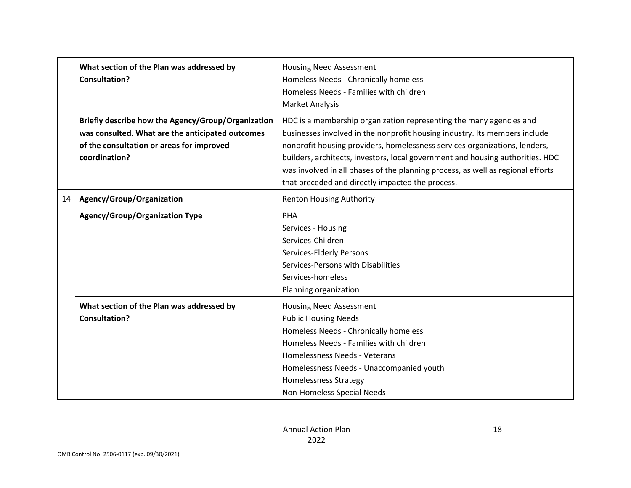|                                                                                                                                                                      | What section of the Plan was addressed by<br><b>Consultation?</b> | <b>Housing Need Assessment</b><br>Homeless Needs - Chronically homeless<br>Homeless Needs - Families with children<br><b>Market Analysis</b>                                                                                                                                                                                                                                                                                                             |  |
|----------------------------------------------------------------------------------------------------------------------------------------------------------------------|-------------------------------------------------------------------|----------------------------------------------------------------------------------------------------------------------------------------------------------------------------------------------------------------------------------------------------------------------------------------------------------------------------------------------------------------------------------------------------------------------------------------------------------|--|
| Briefly describe how the Agency/Group/Organization<br>was consulted. What are the anticipated outcomes<br>of the consultation or areas for improved<br>coordination? |                                                                   | HDC is a membership organization representing the many agencies and<br>businesses involved in the nonprofit housing industry. Its members include<br>nonprofit housing providers, homelessness services organizations, lenders,<br>builders, architects, investors, local government and housing authorities. HDC<br>was involved in all phases of the planning process, as well as regional efforts<br>that preceded and directly impacted the process. |  |
| 14                                                                                                                                                                   | Agency/Group/Organization                                         | <b>Renton Housing Authority</b>                                                                                                                                                                                                                                                                                                                                                                                                                          |  |
|                                                                                                                                                                      | <b>Agency/Group/Organization Type</b>                             | <b>PHA</b><br>Services - Housing<br>Services-Children<br>Services-Elderly Persons<br>Services-Persons with Disabilities<br>Services-homeless<br>Planning organization                                                                                                                                                                                                                                                                                    |  |
|                                                                                                                                                                      | What section of the Plan was addressed by<br><b>Consultation?</b> | <b>Housing Need Assessment</b><br><b>Public Housing Needs</b><br>Homeless Needs - Chronically homeless<br>Homeless Needs - Families with children<br>Homelessness Needs - Veterans<br>Homelessness Needs - Unaccompanied youth<br><b>Homelessness Strategy</b><br>Non-Homeless Special Needs                                                                                                                                                             |  |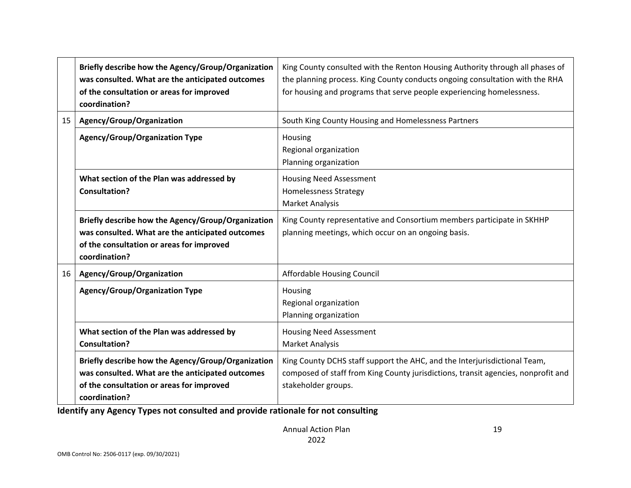|                                       | Briefly describe how the Agency/Group/Organization<br>was consulted. What are the anticipated outcomes<br>of the consultation or areas for improved<br>coordination? | King County consulted with the Renton Housing Authority through all phases of<br>the planning process. King County conducts ongoing consultation with the RHA<br>for housing and programs that serve people experiencing homelessness. |  |
|---------------------------------------|----------------------------------------------------------------------------------------------------------------------------------------------------------------------|----------------------------------------------------------------------------------------------------------------------------------------------------------------------------------------------------------------------------------------|--|
| 15                                    | Agency/Group/Organization                                                                                                                                            | South King County Housing and Homelessness Partners                                                                                                                                                                                    |  |
| <b>Agency/Group/Organization Type</b> |                                                                                                                                                                      | Housing<br>Regional organization<br>Planning organization                                                                                                                                                                              |  |
|                                       | What section of the Plan was addressed by<br><b>Consultation?</b>                                                                                                    | <b>Housing Need Assessment</b><br><b>Homelessness Strategy</b><br><b>Market Analysis</b>                                                                                                                                               |  |
|                                       | Briefly describe how the Agency/Group/Organization<br>was consulted. What are the anticipated outcomes<br>of the consultation or areas for improved<br>coordination? | King County representative and Consortium members participate in SKHHP<br>planning meetings, which occur on an ongoing basis.                                                                                                          |  |
| 16                                    | Agency/Group/Organization                                                                                                                                            | Affordable Housing Council                                                                                                                                                                                                             |  |
|                                       | <b>Agency/Group/Organization Type</b>                                                                                                                                | Housing<br>Regional organization<br>Planning organization                                                                                                                                                                              |  |
|                                       | What section of the Plan was addressed by<br><b>Consultation?</b>                                                                                                    | <b>Housing Need Assessment</b><br><b>Market Analysis</b>                                                                                                                                                                               |  |
|                                       | Briefly describe how the Agency/Group/Organization<br>was consulted. What are the anticipated outcomes<br>of the consultation or areas for improved<br>coordination? | King County DCHS staff support the AHC, and the Interjurisdictional Team,<br>composed of staff from King County jurisdictions, transit agencies, nonprofit and<br>stakeholder groups.                                                  |  |

**Identify any Agency Types not consulted and provide rationale for not consulting**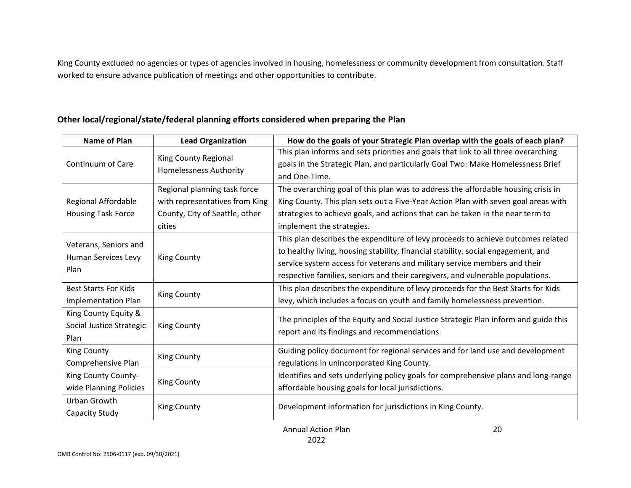King County excluded no agencies or types of agencies involved in housing, homelessness or community development from consultation. Staff worked to ensure advance publication of meetings and other opportunities to contribute.

| Other local/regional/state/federal planning efforts considered when preparing the Plan |  |  |
|----------------------------------------------------------------------------------------|--|--|
|----------------------------------------------------------------------------------------|--|--|

| <b>Name of Plan</b>         | <b>Lead Organization</b>       | How do the goals of your Strategic Plan overlap with the goals of each plan?                                                                                          |
|-----------------------------|--------------------------------|-----------------------------------------------------------------------------------------------------------------------------------------------------------------------|
| Continuum of Care           | King County Regional           | This plan informs and sets priorities and goals that link to all three overarching<br>goals in the Strategic Plan, and particularly Goal Two: Make Homelessness Brief |
|                             | <b>Homelessness Authority</b>  | and One-Time.                                                                                                                                                         |
|                             | Regional planning task force   | The overarching goal of this plan was to address the affordable housing crisis in                                                                                     |
| Regional Affordable         | with representatives from King | King County. This plan sets out a Five-Year Action Plan with seven goal areas with                                                                                    |
| <b>Housing Task Force</b>   | County, City of Seattle, other | strategies to achieve goals, and actions that can be taken in the near term to                                                                                        |
|                             | cities                         | implement the strategies.                                                                                                                                             |
|                             |                                | This plan describes the expenditure of levy proceeds to achieve outcomes related                                                                                      |
| Veterans, Seniors and       | <b>King County</b>             | to healthy living, housing stability, financial stability, social engagement, and                                                                                     |
| Human Services Levy         |                                | service system access for veterans and military service members and their                                                                                             |
| Plan                        |                                | respective families, seniors and their caregivers, and vulnerable populations.                                                                                        |
| <b>Best Starts For Kids</b> |                                | This plan describes the expenditure of levy proceeds for the Best Starts for Kids                                                                                     |
| <b>Implementation Plan</b>  | <b>King County</b>             | levy, which includes a focus on youth and family homelessness prevention.                                                                                             |
| King County Equity &        |                                |                                                                                                                                                                       |
| Social Justice Strategic    | King County                    | The principles of the Equity and Social Justice Strategic Plan inform and guide this                                                                                  |
| Plan                        |                                | report and its findings and recommendations.                                                                                                                          |
| <b>King County</b>          |                                | Guiding policy document for regional services and for land use and development                                                                                        |
| Comprehensive Plan          | <b>King County</b>             | regulations in unincorporated King County.                                                                                                                            |
| King County County-         |                                | Identifies and sets underlying policy goals for comprehensive plans and long-range                                                                                    |
| wide Planning Policies      | <b>King County</b>             | affordable housing goals for local jurisdictions.                                                                                                                     |
| Urban Growth                |                                |                                                                                                                                                                       |
| Capacity Study              | <b>King County</b>             | Development information for jurisdictions in King County.                                                                                                             |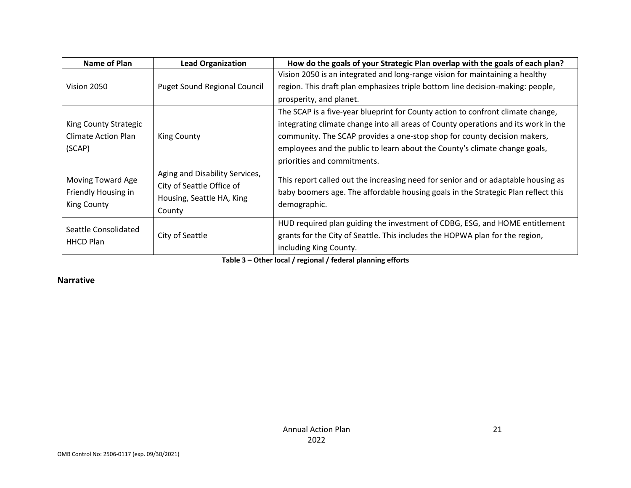| Name of Plan          | <b>Lead Organization</b>            | How do the goals of your Strategic Plan overlap with the goals of each plan?       |
|-----------------------|-------------------------------------|------------------------------------------------------------------------------------|
|                       |                                     | Vision 2050 is an integrated and long-range vision for maintaining a healthy       |
| Vision 2050           | <b>Puget Sound Regional Council</b> | region. This draft plan emphasizes triple bottom line decision-making: people,     |
|                       |                                     | prosperity, and planet.                                                            |
|                       |                                     | The SCAP is a five-year blueprint for County action to confront climate change,    |
| King County Strategic |                                     | integrating climate change into all areas of County operations and its work in the |
| Climate Action Plan   | <b>King County</b>                  | community. The SCAP provides a one-stop shop for county decision makers,           |
| (SCAP)                |                                     | employees and the public to learn about the County's climate change goals,         |
|                       |                                     | priorities and commitments.                                                        |
| Moving Toward Age     | Aging and Disability Services,      | This report called out the increasing need for senior and or adaptable housing as  |
| Friendly Housing in   | City of Seattle Office of           | baby boomers age. The affordable housing goals in the Strategic Plan reflect this  |
| <b>King County</b>    | Housing, Seattle HA, King           | demographic.                                                                       |
|                       | County                              |                                                                                    |
| Seattle Consolidated  |                                     | HUD required plan guiding the investment of CDBG, ESG, and HOME entitlement        |
| <b>HHCD Plan</b>      | City of Seattle                     | grants for the City of Seattle. This includes the HOPWA plan for the region,       |
|                       |                                     | including King County.                                                             |

**Table 3 – Other local / regional / federal planning efforts**

#### **Narrative**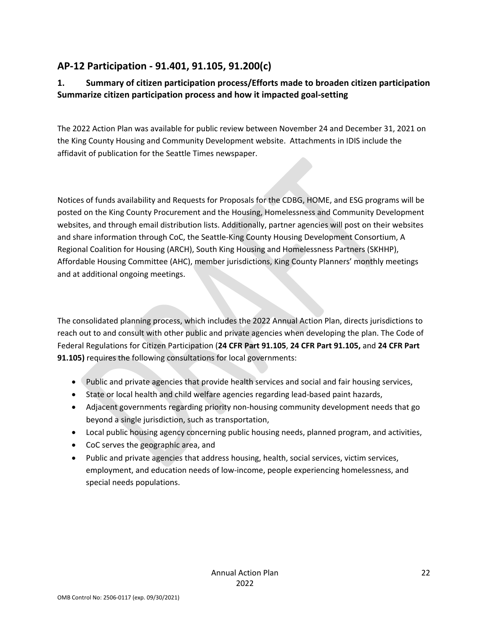# **AP-12 Participation - 91.401, 91.105, 91.200(c)**

### **1. Summary of citizen participation process/Efforts made to broaden citizen participation Summarize citizen participation process and how it impacted goal-setting**

The 2022 Action Plan was available for public review between November 24 and December 31, 2021 on the King County Housing and Community Development website. Attachments in IDIS include the affidavit of publication for the Seattle Times newspaper.

Notices of funds availability and Requests for Proposals for the CDBG, HOME, and ESG programs will be posted on the King County Procurement and the Housing, Homelessness and Community Development websites, and through email distribution lists. Additionally, partner agencies will post on their websites and share information through CoC, the Seattle-King County Housing Development Consortium, A Regional Coalition for Housing (ARCH), South King Housing and Homelessness Partners (SKHHP), Affordable Housing Committee (AHC), member jurisdictions, King County Planners' monthly meetings and at additional ongoing meetings.

The consolidated planning process, which includes the 2022 Annual Action Plan, directs jurisdictions to reach out to and consult with other public and private agencies when developing the plan. The Code of Federal Regulations for Citizen Participation (**24 CFR Part 91.105**, **24 CFR Part 91.105,** and **24 CFR Part 91.105)** requires the following consultations for local governments:

- Public and private agencies that provide health services and social and fair housing services,
- State or local health and child welfare agencies regarding lead-based paint hazards,
- Adjacent governments regarding priority non-housing community development needs that go beyond a single jurisdiction, such as transportation,
- Local public housing agency concerning public housing needs, planned program, and activities,
- CoC serves the geographic area, and
- Public and private agencies that address housing, health, social services, victim services, employment, and education needs of low-income, people experiencing homelessness, and special needs populations.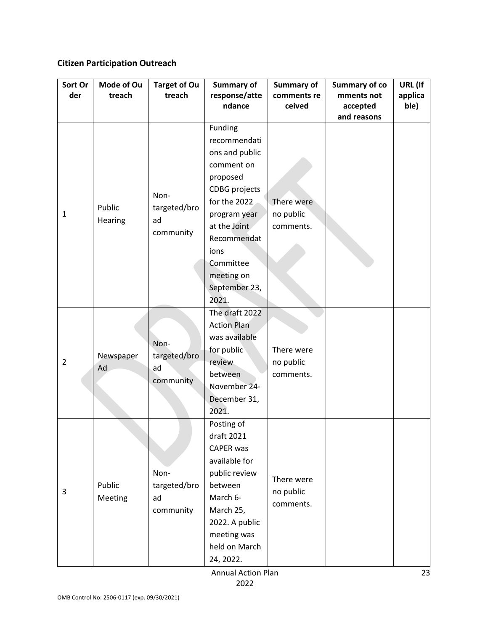## **Citizen Participation Outreach**

| Sort Or        | Mode of Ou | <b>Target of Ou</b> | <b>Summary of</b>       | Summary of            | <b>Summary of co</b>   | URL (If         |
|----------------|------------|---------------------|-------------------------|-----------------------|------------------------|-----------------|
| der            | treach     | treach              | response/atte<br>ndance | comments re<br>ceived | mments not<br>accepted | applica<br>ble) |
|                |            |                     |                         |                       | and reasons            |                 |
|                |            |                     | Funding                 |                       |                        |                 |
|                |            |                     | recommendati            |                       |                        |                 |
|                |            |                     | ons and public          |                       |                        |                 |
|                |            |                     | comment on              |                       |                        |                 |
|                |            |                     | proposed                |                       |                        |                 |
|                |            | Non-                | <b>CDBG</b> projects    |                       |                        |                 |
|                | Public     | targeted/bro        | for the 2022            | There were            |                        |                 |
| 1              | Hearing    | ad                  | program year            | no public             |                        |                 |
|                |            | community           | at the Joint            | comments.             |                        |                 |
|                |            |                     | Recommendat             |                       |                        |                 |
|                |            |                     | ions                    |                       |                        |                 |
|                |            |                     | Committee               |                       |                        |                 |
|                |            |                     | meeting on              |                       |                        |                 |
|                |            |                     | September 23,<br>2021.  |                       |                        |                 |
|                |            |                     | The draft 2022          |                       |                        |                 |
|                |            |                     | <b>Action Plan</b>      |                       |                        |                 |
|                |            |                     | was available           |                       |                        |                 |
|                |            | Non-                | for public              | There were            |                        |                 |
| $\overline{2}$ | Newspaper  | targeted/bro        | review                  | no public             |                        |                 |
|                | Ad         | ad                  | between                 | comments.             |                        |                 |
|                |            | community           | November 24-            |                       |                        |                 |
|                |            |                     | December 31,            |                       |                        |                 |
|                |            |                     | 2021.                   |                       |                        |                 |
|                |            |                     | Posting of              |                       |                        |                 |
|                |            |                     | draft 2021              |                       |                        |                 |
|                |            |                     | CAPER was               |                       |                        |                 |
|                |            |                     | available for           |                       |                        |                 |
|                |            | Non-                | public review           | There were            |                        |                 |
| 3              | Public     | targeted/bro        | between                 | no public             |                        |                 |
|                | Meeting    | ad                  | March 6-                | comments.             |                        |                 |
|                |            | community           | March 25,               |                       |                        |                 |
|                |            |                     | 2022. A public          |                       |                        |                 |
|                |            |                     | meeting was             |                       |                        |                 |
|                |            |                     | held on March           |                       |                        |                 |
|                |            |                     | 24, 2022.               |                       |                        |                 |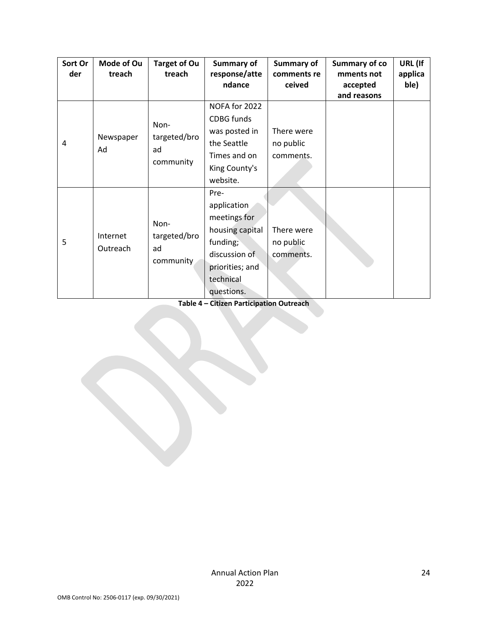| Sort Or<br>der | Mode of Ou<br>treach | <b>Target of Ou</b><br>treach           | <b>Summary of</b><br>response/atte<br>ndance                                                                                      | Summary of<br>comments re<br>ceived  | <b>Summary of co</b><br>mments not<br>accepted<br>and reasons | URL (If<br>applica<br>ble) |
|----------------|----------------------|-----------------------------------------|-----------------------------------------------------------------------------------------------------------------------------------|--------------------------------------|---------------------------------------------------------------|----------------------------|
| 4              | Newspaper<br>Ad      | Non-<br>targeted/bro<br>ad<br>community | NOFA for 2022<br><b>CDBG</b> funds<br>was posted in<br>the Seattle<br>Times and on<br>King County's<br>website.                   | There were<br>no public<br>comments. |                                                               |                            |
| 5              | Internet<br>Outreach | Non-<br>targeted/bro<br>ad<br>community | Pre-<br>application<br>meetings for<br>housing capital<br>funding;<br>discussion of<br>priorities; and<br>technical<br>questions. | There were<br>no public<br>comments. |                                                               |                            |

**Table 4 – Citizen Participation Outreach**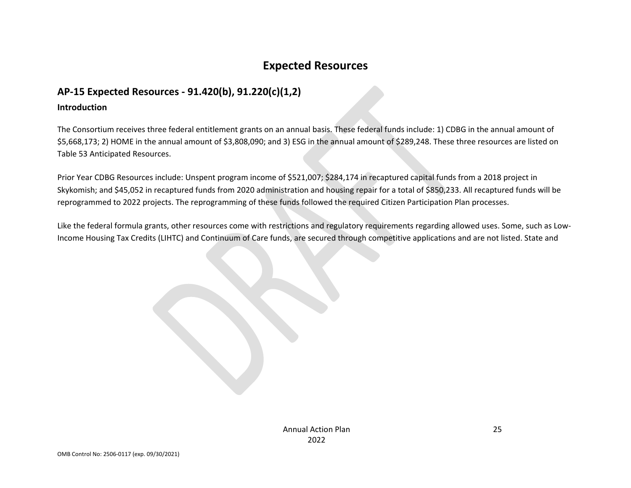# **Expected Resources**

### **AP-15 Expected Resources - 91.420(b), 91.220(c)(1,2)**

#### **Introduction**

The Consortium receives three federal entitlement grants on an annual basis. These federal funds include: 1) CDBG in the annual amount of \$5,668,173; 2) HOME in the annual amount of \$3,808,090; and 3) ESG in the annual amount of \$289,248. These three resources are listed on Table 53 Anticipated Resources.

Prior Year CDBG Resources include: Unspent program income of \$521,007; \$284,174 in recaptured capital funds from a 2018 project in Skykomish; and \$45,052 in recaptured funds from 2020 administration and housing repair for a total of \$850,233. All recaptured funds will be reprogrammed to 2022 projects. The reprogramming of these funds followed the required Citizen Participation Plan processes.

Like the federal formula grants, other resources come with restrictions and regulatory requirements regarding allowed uses. Some, such as Low-Income Housing Tax Credits (LIHTC) and Continuum of Care funds, are secured through competitive applications and are not listed. State and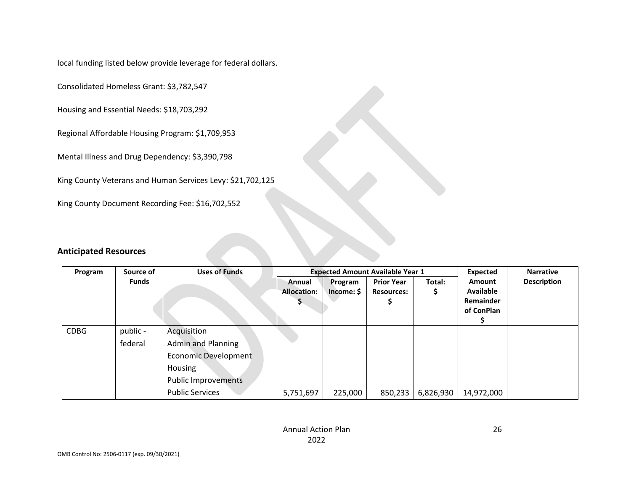local funding listed below provide leverage for federal dollars.

Consolidated Homeless Grant: \$3,782,547

Housing and Essential Needs: \$18,703,292

Regional Affordable Housing Program: \$1,709,953

Mental Illness and Drug Dependency: \$3,390,798

King County Veterans and Human Services Levy: \$21,702,125

King County Document Recording Fee: \$16,702,552

#### **Anticipated Resources**

| Source of<br>Program |              | <b>Uses of Funds</b>        |                    |            | <b>Expected Amount Available Year 1</b> | Expected  | <b>Narrative</b> |                    |
|----------------------|--------------|-----------------------------|--------------------|------------|-----------------------------------------|-----------|------------------|--------------------|
|                      | <b>Funds</b> |                             | Annual             | Program    | <b>Prior Year</b>                       | Total:    | <b>Amount</b>    | <b>Description</b> |
|                      |              |                             | <b>Allocation:</b> | Income: \$ | <b>Resources:</b>                       | \$        | Available        |                    |
|                      |              |                             |                    |            |                                         |           | Remainder        |                    |
|                      |              |                             |                    |            |                                         |           | of ConPlan       |                    |
|                      |              |                             |                    |            |                                         |           |                  |                    |
| <b>CDBG</b>          | public -     | Acquisition                 |                    |            |                                         |           |                  |                    |
|                      | federal      | <b>Admin and Planning</b>   |                    |            |                                         |           |                  |                    |
|                      |              | <b>Economic Development</b> |                    |            |                                         |           |                  |                    |
|                      |              | Housing                     |                    |            |                                         |           |                  |                    |
|                      |              | <b>Public Improvements</b>  |                    |            |                                         |           |                  |                    |
|                      |              | <b>Public Services</b>      | 5,751,697          | 225,000    | 850,233                                 | 6,826,930 | 14,972,000       |                    |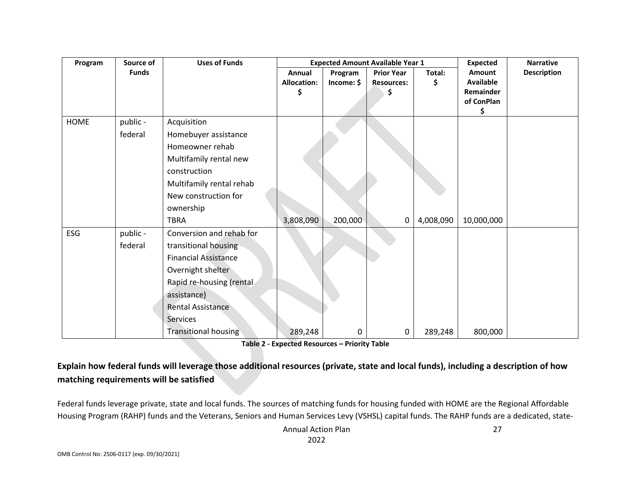| Program | Source of    | <b>Uses of Funds</b>        |                              | <b>Expected Amount Available Year 1</b> | <b>Expected</b><br><b>Narrative</b>          |              |                                                              |                    |
|---------|--------------|-----------------------------|------------------------------|-----------------------------------------|----------------------------------------------|--------------|--------------------------------------------------------------|--------------------|
|         | <b>Funds</b> |                             | Annual<br><b>Allocation:</b> | Program<br>Income: \$                   | <b>Prior Year</b><br><b>Resources:</b><br>\$ | Total:<br>\$ | <b>Amount</b><br><b>Available</b><br>Remainder<br>of ConPlan | <b>Description</b> |
| HOME    | public -     | Acquisition                 |                              |                                         |                                              |              | \$                                                           |                    |
|         | federal      | Homebuyer assistance        |                              |                                         |                                              |              |                                                              |                    |
|         |              | Homeowner rehab             |                              |                                         |                                              |              |                                                              |                    |
|         |              | Multifamily rental new      |                              |                                         |                                              |              |                                                              |                    |
|         |              | construction                |                              |                                         |                                              |              |                                                              |                    |
|         |              | Multifamily rental rehab    |                              |                                         |                                              |              |                                                              |                    |
|         |              | New construction for        |                              |                                         |                                              |              |                                                              |                    |
|         |              | ownership                   |                              |                                         |                                              |              |                                                              |                    |
|         |              | <b>TBRA</b>                 | 3,808,090                    | 200,000                                 | 0                                            | 4,008,090    | 10,000,000                                                   |                    |
| ESG     | public -     | Conversion and rehab for    |                              |                                         |                                              |              |                                                              |                    |
|         | federal      | transitional housing        |                              |                                         |                                              |              |                                                              |                    |
|         |              | <b>Financial Assistance</b> |                              |                                         |                                              |              |                                                              |                    |
|         |              | Overnight shelter           |                              |                                         |                                              |              |                                                              |                    |
|         |              | Rapid re-housing (rental    |                              |                                         |                                              |              |                                                              |                    |
|         |              | assistance)                 |                              |                                         |                                              |              |                                                              |                    |
|         |              | Rental Assistance           |                              |                                         |                                              |              |                                                              |                    |
|         |              | Services                    |                              |                                         |                                              |              |                                                              |                    |
|         |              | <b>Transitional housing</b> | 289,248                      | 0                                       | 0                                            | 289,248      | 800,000                                                      |                    |

**Table 2 - Expected Resources – Priority Table**

### **Explain how federal funds will leverage those additional resources (private, state and local funds), including a description of how matching requirements will be satisfied**

Federal funds leverage private, state and local funds. The sources of matching funds for housing funded with HOME are the Regional Affordable Housing Program (RAHP) funds and the Veterans, Seniors and Human Services Levy (VSHSL) capital funds. The RAHP funds are a dedicated, state-

> Annual Action Plan 2022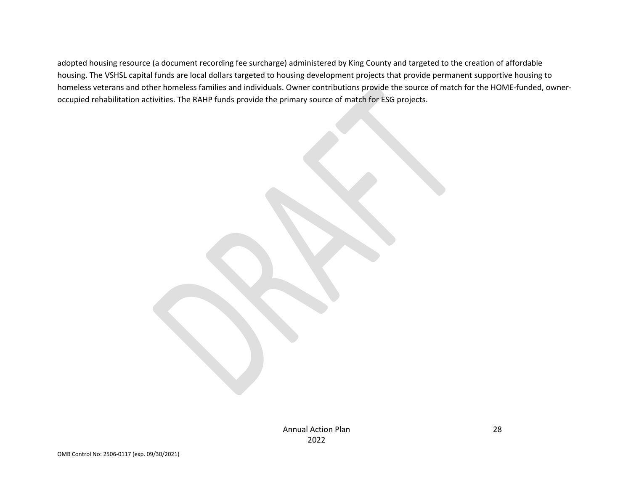adopted housing resource (a document recording fee surcharge) administered by King County and targeted to the creation of affordable housing. The VSHSL capital funds are local dollars targeted to housing development projects that provide permanent supportive housing to homeless veterans and other homeless families and individuals. Owner contributions provide the source of match for the HOME-funded, owneroccupied rehabilitation activities. The RAHP funds provide the primary source of match for ESG projects.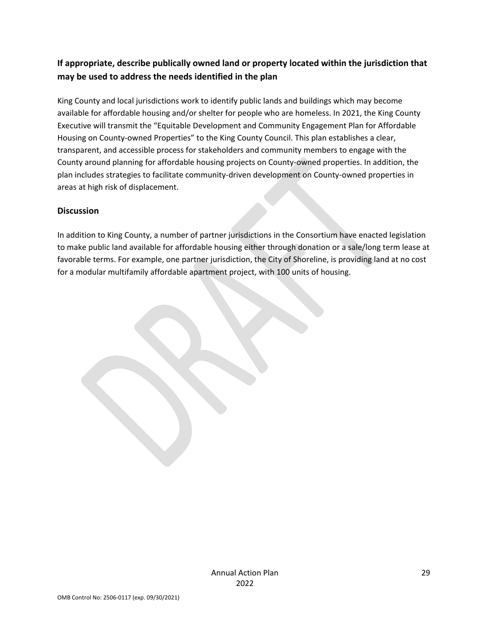### **If appropriate, describe publically owned land or property located within the jurisdiction that may be used to address the needs identified in the plan**

King County and local jurisdictions work to identify public lands and buildings which may become available for affordable housing and/or shelter for people who are homeless. In 2021, the King County Executive will transmit the "Equitable Development and Community Engagement Plan for Affordable Housing on County-owned Properties" to the King County Council. This plan establishes a clear, transparent, and accessible process for stakeholders and community members to engage with the County around planning for affordable housing projects on County-owned properties. In addition, the plan includes strategies to facilitate community-driven development on County-owned properties in areas at high risk of displacement.

#### **Discussion**

In addition to King County, a number of partner jurisdictions in the Consortium have enacted legislation to make public land available for affordable housing either through donation or a sale/long term lease at favorable terms. For example, one partner jurisdiction, the City of Shoreline, is providing land at no cost for a modular multifamily affordable apartment project, with 100 units of housing.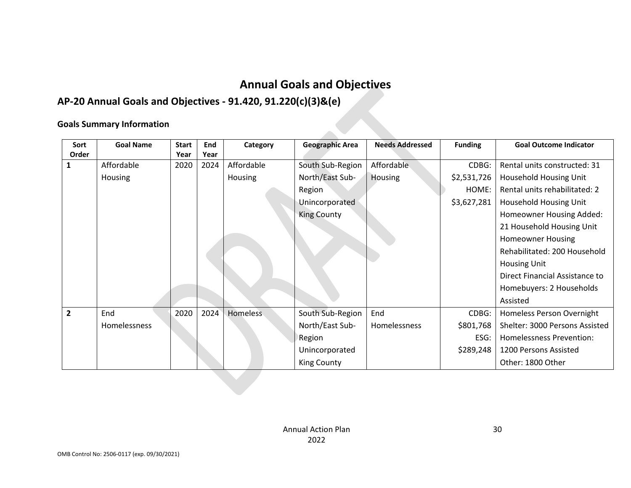# **Annual Goals and Objectives**

# **AP-20 Annual Goals and Objectives - 91.420, 91.220(c)(3)&(e)**

### **Goals Summary Information**

| Sort           | <b>Goal Name</b> | <b>Start</b> | End  | Category        | <b>Geographic Area</b> | <b>Needs Addressed</b> | <b>Funding</b> | <b>Goal Outcome Indicator</b>   |
|----------------|------------------|--------------|------|-----------------|------------------------|------------------------|----------------|---------------------------------|
| Order          |                  | Year         | Year |                 |                        |                        |                |                                 |
| 1              | Affordable       | 2020         | 2024 | Affordable      | South Sub-Region       | Affordable             | CDBG:          | Rental units constructed: 31    |
|                | Housing          |              |      | <b>Housing</b>  | North/East Sub-        | <b>Housing</b>         | \$2,531,726    | Household Housing Unit          |
|                |                  |              |      |                 | Region                 |                        | HOME:          | Rental units rehabilitated: 2   |
|                |                  |              |      |                 | Unincorporated         |                        | \$3,627,281    | Household Housing Unit          |
|                |                  |              |      |                 | <b>King County</b>     |                        |                | Homeowner Housing Added:        |
|                |                  |              |      |                 |                        |                        |                | 21 Household Housing Unit       |
|                |                  |              |      |                 |                        |                        |                | <b>Homeowner Housing</b>        |
|                |                  |              |      |                 |                        |                        |                | Rehabilitated: 200 Household    |
|                |                  |              |      |                 |                        |                        |                | <b>Housing Unit</b>             |
|                |                  |              |      |                 |                        |                        |                | Direct Financial Assistance to  |
|                |                  |              |      |                 |                        |                        |                | Homebuyers: 2 Households        |
|                |                  |              |      |                 |                        |                        |                | Assisted                        |
| $\overline{2}$ | End              | 2020         | 2024 | <b>Homeless</b> | South Sub-Region       | End                    | CDBG:          | Homeless Person Overnight       |
|                | Homelessness     |              |      |                 | North/East Sub-        | Homelessness           | \$801,768      | Shelter: 3000 Persons Assisted  |
|                |                  |              |      |                 | Region                 |                        | ESG:           | <b>Homelessness Prevention:</b> |
|                |                  |              |      |                 | Unincorporated         |                        | \$289,248      | 1200 Persons Assisted           |
|                |                  |              |      |                 | <b>King County</b>     |                        |                | Other: 1800 Other               |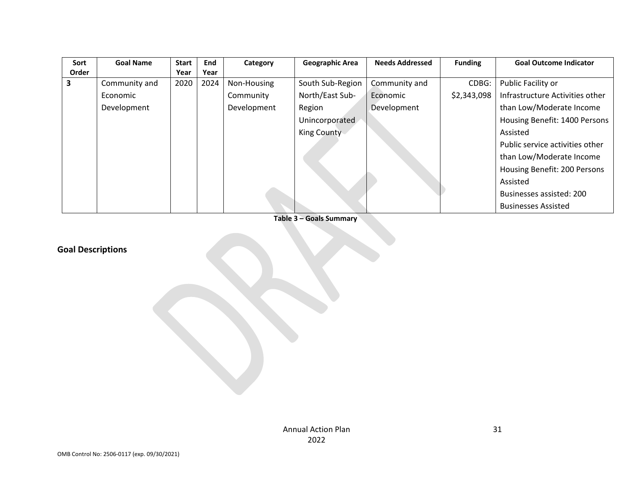| Sort  | <b>Goal Name</b> | <b>Start</b> | <b>End</b> | Category    | <b>Geographic Area</b> | <b>Needs Addressed</b> | <b>Funding</b> | <b>Goal Outcome Indicator</b>   |
|-------|------------------|--------------|------------|-------------|------------------------|------------------------|----------------|---------------------------------|
| Order |                  | Year         | Year       |             |                        |                        |                |                                 |
| 3     | Community and    | 2020         | 2024       | Non-Housing | South Sub-Region       | Community and          | CDBG:          | Public Facility or              |
|       | Economic         |              |            | Community   | North/East Sub-        | Economic               | \$2,343,098    | Infrastructure Activities other |
|       | Development      |              |            | Development | Region                 | Development            |                | than Low/Moderate Income        |
|       |                  |              |            |             | Unincorporated         |                        |                | Housing Benefit: 1400 Persons   |
|       |                  |              |            |             | <b>King County</b>     |                        |                | Assisted                        |
|       |                  |              |            |             |                        |                        |                | Public service activities other |
|       |                  |              |            |             |                        |                        |                | than Low/Moderate Income        |
|       |                  |              |            |             |                        |                        |                | Housing Benefit: 200 Persons    |
|       |                  |              |            |             |                        |                        |                | Assisted                        |
|       |                  |              |            |             |                        |                        |                | Businesses assisted: 200        |
|       |                  |              |            |             |                        |                        |                | <b>Businesses Assisted</b>      |

**Table 3 – Goals Summary**

# **Goal Descriptions**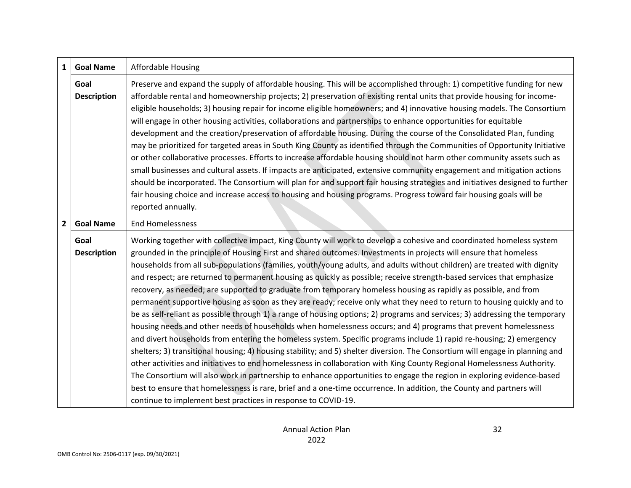| $\mathbf{1}$ | <b>Goal Name</b>           | <b>Affordable Housing</b>                                                                                                                                                                                                                                                                                                                                                                                                                                                                                                                                                                                                                                                                                                                                                                                                                                                                                                                                                                                                                                                                                                                                                                                                                                                                                                                                                                                                                                                                                                                                                                                                                                                                             |
|--------------|----------------------------|-------------------------------------------------------------------------------------------------------------------------------------------------------------------------------------------------------------------------------------------------------------------------------------------------------------------------------------------------------------------------------------------------------------------------------------------------------------------------------------------------------------------------------------------------------------------------------------------------------------------------------------------------------------------------------------------------------------------------------------------------------------------------------------------------------------------------------------------------------------------------------------------------------------------------------------------------------------------------------------------------------------------------------------------------------------------------------------------------------------------------------------------------------------------------------------------------------------------------------------------------------------------------------------------------------------------------------------------------------------------------------------------------------------------------------------------------------------------------------------------------------------------------------------------------------------------------------------------------------------------------------------------------------------------------------------------------------|
|              | Goal<br><b>Description</b> | Preserve and expand the supply of affordable housing. This will be accomplished through: 1) competitive funding for new<br>affordable rental and homeownership projects; 2) preservation of existing rental units that provide housing for income-<br>eligible households; 3) housing repair for income eligible homeowners; and 4) innovative housing models. The Consortium<br>will engage in other housing activities, collaborations and partnerships to enhance opportunities for equitable<br>development and the creation/preservation of affordable housing. During the course of the Consolidated Plan, funding<br>may be prioritized for targeted areas in South King County as identified through the Communities of Opportunity Initiative                                                                                                                                                                                                                                                                                                                                                                                                                                                                                                                                                                                                                                                                                                                                                                                                                                                                                                                                                |
|              |                            | or other collaborative processes. Efforts to increase affordable housing should not harm other community assets such as<br>small businesses and cultural assets. If impacts are anticipated, extensive community engagement and mitigation actions<br>should be incorporated. The Consortium will plan for and support fair housing strategies and initiatives designed to further<br>fair housing choice and increase access to housing and housing programs. Progress toward fair housing goals will be<br>reported annually.                                                                                                                                                                                                                                                                                                                                                                                                                                                                                                                                                                                                                                                                                                                                                                                                                                                                                                                                                                                                                                                                                                                                                                       |
| $2^{\circ}$  | <b>Goal Name</b>           | <b>End Homelessness</b>                                                                                                                                                                                                                                                                                                                                                                                                                                                                                                                                                                                                                                                                                                                                                                                                                                                                                                                                                                                                                                                                                                                                                                                                                                                                                                                                                                                                                                                                                                                                                                                                                                                                               |
|              | Goal<br><b>Description</b> | Working together with collective impact, King County will work to develop a cohesive and coordinated homeless system<br>grounded in the principle of Housing First and shared outcomes. Investments in projects will ensure that homeless<br>households from all sub-populations (families, youth/young adults, and adults without children) are treated with dignity<br>and respect; are returned to permanent housing as quickly as possible; receive strength-based services that emphasize<br>recovery, as needed; are supported to graduate from temporary homeless housing as rapidly as possible, and from<br>permanent supportive housing as soon as they are ready; receive only what they need to return to housing quickly and to<br>be as self-reliant as possible through 1) a range of housing options; 2) programs and services; 3) addressing the temporary<br>housing needs and other needs of households when homelessness occurs; and 4) programs that prevent homelessness<br>and divert households from entering the homeless system. Specific programs include 1) rapid re-housing; 2) emergency<br>shelters; 3) transitional housing; 4) housing stability; and 5) shelter diversion. The Consortium will engage in planning and<br>other activities and initiatives to end homelessness in collaboration with King County Regional Homelessness Authority.<br>The Consortium will also work in partnership to enhance opportunities to engage the region in exploring evidence-based<br>best to ensure that homelessness is rare, brief and a one-time occurrence. In addition, the County and partners will<br>continue to implement best practices in response to COVID-19. |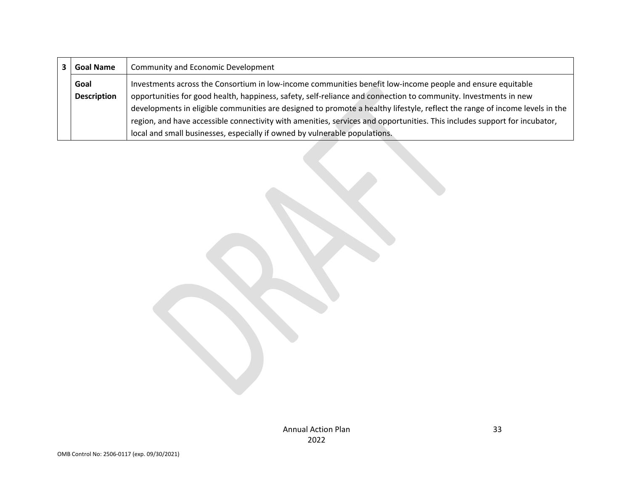| <b>Goal Name</b>   | Community and Economic Development                                                                                          |
|--------------------|-----------------------------------------------------------------------------------------------------------------------------|
| Goal               | Investments across the Consortium in low-income communities benefit low-income people and ensure equitable                  |
| <b>Description</b> | opportunities for good health, happiness, safety, self-reliance and connection to community. Investments in new             |
|                    | developments in eligible communities are designed to promote a healthy lifestyle, reflect the range of income levels in the |
|                    | region, and have accessible connectivity with amenities, services and opportunities. This includes support for incubator,   |
|                    | local and small businesses, especially if owned by vulnerable populations.                                                  |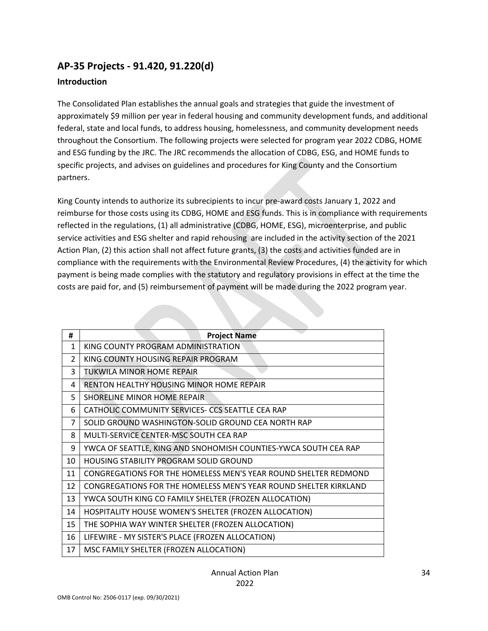## **AP-35 Projects - 91.420, 91.220(d)**

#### **Introduction**

The Consolidated Plan establishes the annual goals and strategies that guide the investment of approximately \$9 million per year in federal housing and community development funds, and additional federal, state and local funds, to address housing, homelessness, and community development needs throughout the Consortium. The following projects were selected for program year 2022 CDBG, HOME and ESG funding by the JRC. The JRC recommends the allocation of CDBG, ESG, and HOME funds to specific projects, and advises on guidelines and procedures for King County and the Consortium partners.

King County intends to authorize its subrecipients to incur pre-award costs January 1, 2022 and reimburse for those costs using its CDBG, HOME and ESG funds. This is in compliance with requirements reflected in the regulations, (1) all administrative (CDBG, HOME, ESG), microenterprise, and public service activities and ESG shelter and rapid rehousing are included in the activity section of the 2021 Action Plan, (2) this action shall not affect future grants, (3) the costs and activities funded are in compliance with the requirements with the Environmental Review Procedures, (4) the activity for which payment is being made complies with the statutory and regulatory provisions in effect at the time the costs are paid for, and (5) reimbursement of payment will be made during the 2022 program year.

| #             | <b>Project Name</b>                                              |
|---------------|------------------------------------------------------------------|
| $\mathbf{1}$  | KING COUNTY PROGRAM ADMINISTRATION                               |
| $\mathcal{P}$ | KING COUNTY HOUSING REPAIR PROGRAM                               |
| 3             | TUKWILA MINOR HOME REPAIR                                        |
| 4             | RENTON HEALTHY HOUSING MINOR HOME REPAIR                         |
| 5             | <b>SHORELINE MINOR HOME REPAIR</b>                               |
| 6             | CATHOLIC COMMUNITY SERVICES- CCS SEATTLE CEA RAP                 |
| 7             | SOLID GROUND WASHINGTON-SOLID GROUND CEA NORTH RAP               |
| 8             | MULTI-SERVICE CENTER-MSC SOUTH CEA RAP                           |
| 9             | YWCA OF SEATTLE, KING AND SNOHOMISH COUNTIES-YWCA SOUTH CEA RAP  |
| 10            | <b>HOUSING STABILITY PROGRAM SOLID GROUND</b>                    |
| 11            | CONGREGATIONS FOR THE HOMELESS MEN'S YEAR ROUND SHELTER REDMOND  |
| 12            | CONGREGATIONS FOR THE HOMELESS MEN'S YEAR ROUND SHELTER KIRKLAND |
| 13            | YWCA SOUTH KING CO FAMILY SHELTER (FROZEN ALLOCATION)            |
| 14            | HOSPITALITY HOUSE WOMEN'S SHELTER (FROZEN ALLOCATION)            |
| 15            | THE SOPHIA WAY WINTER SHELTER (FROZEN ALLOCATION)                |
| 16            | LIFEWIRE - MY SISTER'S PLACE (FROZEN ALLOCATION)                 |
| 17            | MSC FAMILY SHELTER (FROZEN ALLOCATION)                           |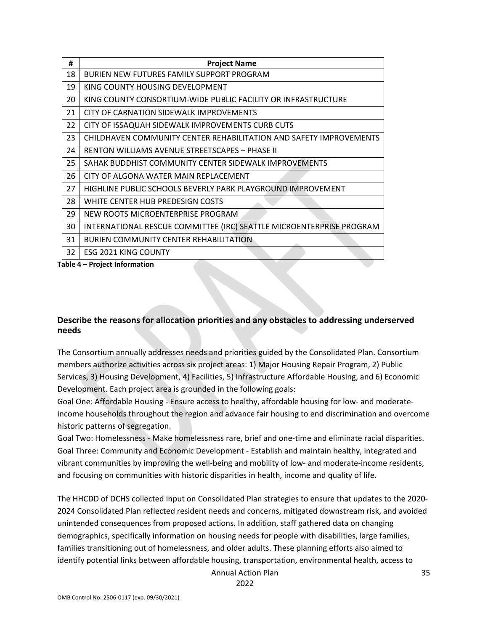| #  | <b>Project Name</b>                                                  |
|----|----------------------------------------------------------------------|
| 18 | BURIEN NEW FUTURES FAMILY SUPPORT PROGRAM                            |
| 19 | KING COUNTY HOUSING DEVELOPMENT                                      |
| 20 | KING COUNTY CONSORTIUM-WIDE PUBLIC FACILITY OR INFRASTRUCTURE        |
| 21 | CITY OF CARNATION SIDEWALK IMPROVEMENTS                              |
| 22 | CITY OF ISSAQUAH SIDEWALK IMPROVEMENTS CURB CUTS                     |
| 23 | CHILDHAVEN COMMUNITY CENTER REHABILITATION AND SAFETY IMPROVEMENTS   |
| 24 | RENTON WILLIAMS AVENUE STREETSCAPES – PHASE II                       |
| 25 | SAHAK BUDDHIST COMMUNITY CENTER SIDEWALK IMPROVEMENTS                |
| 26 | CITY OF ALGONA WATER MAIN REPLACEMENT                                |
| 27 | HIGHLINE PUBLIC SCHOOLS BEVERLY PARK PLAYGROUND IMPROVEMENT          |
| 28 | WHITE CENTER HUB PREDESIGN COSTS                                     |
| 29 | NEW ROOTS MICROENTERPRISE PROGRAM                                    |
| 30 | INTERNATIONAL RESCUE COMMITTEE (IRC) SEATTLE MICROENTERPRISE PROGRAM |
| 31 | <b>BURIEN COMMUNITY CENTER REHABILITATION</b>                        |
| 32 | ESG 2021 KING COUNTY                                                 |

**Table 4 – Project Information**

#### **Describe the reasons for allocation priorities and any obstacles to addressing underserved needs**

The Consortium annually addresses needs and priorities guided by the Consolidated Plan. Consortium members authorize activities across six project areas: 1) Major Housing Repair Program, 2) Public Services, 3) Housing Development, 4) Facilities, 5) Infrastructure Affordable Housing, and 6) Economic Development. Each project area is grounded in the following goals:

Goal One: Affordable Housing - Ensure access to healthy, affordable housing for low- and moderateincome households throughout the region and advance fair housing to end discrimination and overcome historic patterns of segregation.

Goal Two: Homelessness - Make homelessness rare, brief and one-time and eliminate racial disparities. Goal Three: Community and Economic Development - Establish and maintain healthy, integrated and vibrant communities by improving the well-being and mobility of low- and moderate-income residents, and focusing on communities with historic disparities in health, income and quality of life.

The HHCDD of DCHS collected input on Consolidated Plan strategies to ensure that updates to the 2020- 2024 Consolidated Plan reflected resident needs and concerns, mitigated downstream risk, and avoided unintended consequences from proposed actions. In addition, staff gathered data on changing demographics, specifically information on housing needs for people with disabilities, large families, families transitioning out of homelessness, and older adults. These planning efforts also aimed to identify potential links between affordable housing, transportation, environmental health, access to

Annual Action Plan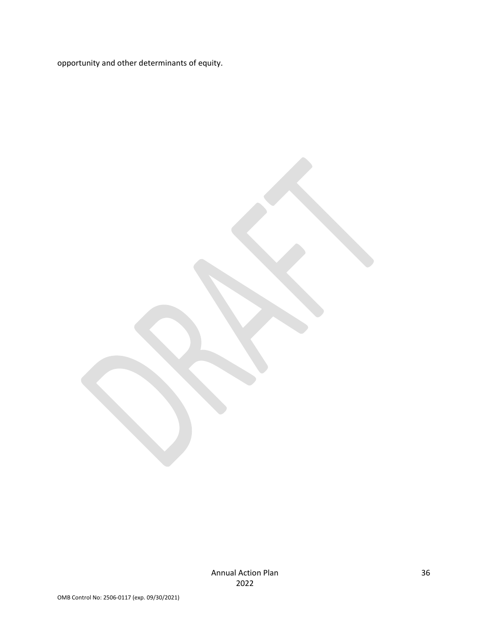opportunity and other determinants of equity.

Annual Action Plan 2022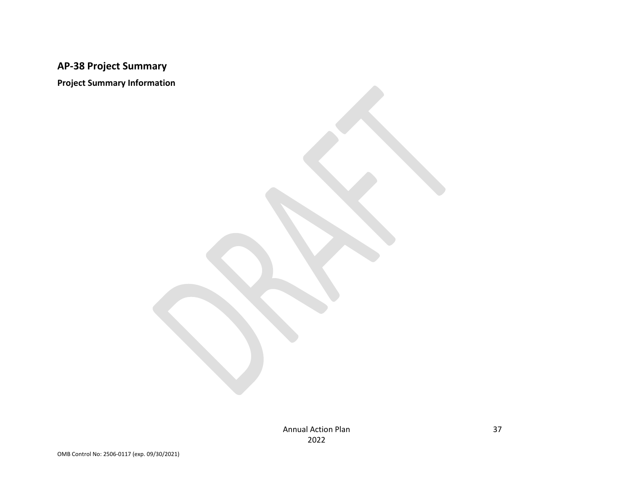# **AP-38 Project Summary**

**Project Summary Information**

Annual Action Plan 2022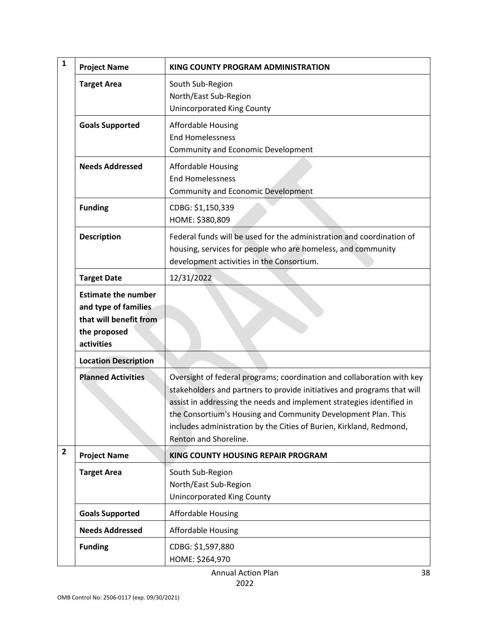| $\mathbf{1}$   | <b>Project Name</b>                                                                                        | KING COUNTY PROGRAM ADMINISTRATION                                                                                                                                                                                                                                                                                                                                                          |
|----------------|------------------------------------------------------------------------------------------------------------|---------------------------------------------------------------------------------------------------------------------------------------------------------------------------------------------------------------------------------------------------------------------------------------------------------------------------------------------------------------------------------------------|
|                | <b>Target Area</b>                                                                                         | South Sub-Region<br>North/East Sub-Region<br><b>Unincorporated King County</b>                                                                                                                                                                                                                                                                                                              |
|                | <b>Goals Supported</b>                                                                                     | <b>Affordable Housing</b><br><b>End Homelessness</b><br>Community and Economic Development                                                                                                                                                                                                                                                                                                  |
|                | <b>Needs Addressed</b>                                                                                     | <b>Affordable Housing</b><br><b>End Homelessness</b><br>Community and Economic Development                                                                                                                                                                                                                                                                                                  |
|                | <b>Funding</b>                                                                                             | CDBG: \$1,150,339<br>HOME: \$380,809                                                                                                                                                                                                                                                                                                                                                        |
|                | <b>Description</b>                                                                                         | Federal funds will be used for the administration and coordination of<br>housing, services for people who are homeless, and community<br>development activities in the Consortium.                                                                                                                                                                                                          |
|                | <b>Target Date</b>                                                                                         | 12/31/2022                                                                                                                                                                                                                                                                                                                                                                                  |
|                | <b>Estimate the number</b><br>and type of families<br>that will benefit from<br>the proposed<br>activities |                                                                                                                                                                                                                                                                                                                                                                                             |
|                | <b>Location Description</b>                                                                                |                                                                                                                                                                                                                                                                                                                                                                                             |
|                | <b>Planned Activities</b>                                                                                  | Oversight of federal programs; coordination and collaboration with key<br>stakeholders and partners to provide initiatives and programs that will<br>assist in addressing the needs and implement strategies identified in<br>the Consortium's Housing and Community Development Plan. This<br>includes administration by the Cities of Burien, Kirkland, Redmond,<br>Renton and Shoreline. |
| $\overline{2}$ | <b>Project Name</b>                                                                                        | KING COUNTY HOUSING REPAIR PROGRAM                                                                                                                                                                                                                                                                                                                                                          |
|                | <b>Target Area</b>                                                                                         | South Sub-Region<br>North/East Sub-Region<br><b>Unincorporated King County</b>                                                                                                                                                                                                                                                                                                              |
|                | <b>Goals Supported</b>                                                                                     | <b>Affordable Housing</b>                                                                                                                                                                                                                                                                                                                                                                   |
|                | <b>Needs Addressed</b>                                                                                     | <b>Affordable Housing</b>                                                                                                                                                                                                                                                                                                                                                                   |
|                | <b>Funding</b>                                                                                             | CDBG: \$1,597,880<br>HOME: \$264,970                                                                                                                                                                                                                                                                                                                                                        |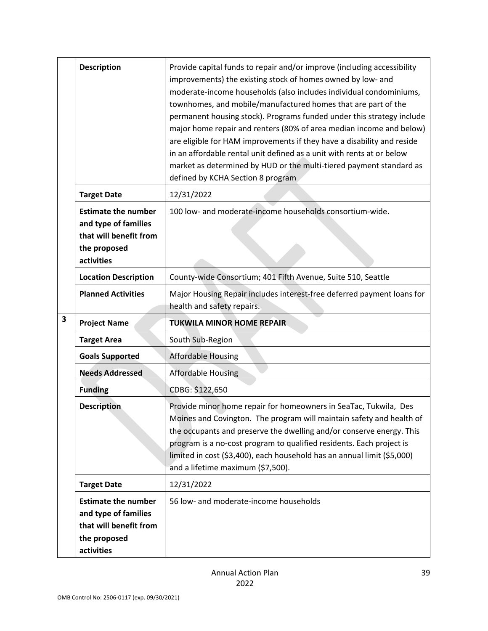|   | <b>Description</b>                                                                                         | Provide capital funds to repair and/or improve (including accessibility<br>improvements) the existing stock of homes owned by low- and<br>moderate-income households (also includes individual condominiums,                                                                                                                                                                                                                                                                 |
|---|------------------------------------------------------------------------------------------------------------|------------------------------------------------------------------------------------------------------------------------------------------------------------------------------------------------------------------------------------------------------------------------------------------------------------------------------------------------------------------------------------------------------------------------------------------------------------------------------|
|   |                                                                                                            | townhomes, and mobile/manufactured homes that are part of the<br>permanent housing stock). Programs funded under this strategy include<br>major home repair and renters (80% of area median income and below)<br>are eligible for HAM improvements if they have a disability and reside<br>in an affordable rental unit defined as a unit with rents at or below<br>market as determined by HUD or the multi-tiered payment standard as<br>defined by KCHA Section 8 program |
|   | <b>Target Date</b>                                                                                         | 12/31/2022                                                                                                                                                                                                                                                                                                                                                                                                                                                                   |
|   | <b>Estimate the number</b><br>and type of families<br>that will benefit from<br>the proposed<br>activities | 100 low- and moderate-income households consortium-wide.                                                                                                                                                                                                                                                                                                                                                                                                                     |
|   | <b>Location Description</b>                                                                                | County-wide Consortium; 401 Fifth Avenue, Suite 510, Seattle                                                                                                                                                                                                                                                                                                                                                                                                                 |
|   | <b>Planned Activities</b>                                                                                  | Major Housing Repair includes interest-free deferred payment loans for<br>health and safety repairs.                                                                                                                                                                                                                                                                                                                                                                         |
| 3 | <b>Project Name</b>                                                                                        | <b>TUKWILA MINOR HOME REPAIR</b>                                                                                                                                                                                                                                                                                                                                                                                                                                             |
|   | <b>Target Area</b>                                                                                         | South Sub-Region                                                                                                                                                                                                                                                                                                                                                                                                                                                             |
|   | <b>Goals Supported</b>                                                                                     | <b>Affordable Housing</b>                                                                                                                                                                                                                                                                                                                                                                                                                                                    |
|   | <b>Needs Addressed</b>                                                                                     | <b>Affordable Housing</b>                                                                                                                                                                                                                                                                                                                                                                                                                                                    |
|   | <b>Funding</b>                                                                                             | CDBG: \$122,650                                                                                                                                                                                                                                                                                                                                                                                                                                                              |
|   | <b>Description</b>                                                                                         | Provide minor home repair for homeowners in SeaTac, Tukwila, Des<br>Moines and Covington. The program will maintain safety and health of<br>the occupants and preserve the dwelling and/or conserve energy. This<br>program is a no-cost program to qualified residents. Each project is<br>limited in cost (\$3,400), each household has an annual limit (\$5,000)<br>and a lifetime maximum (\$7,500).                                                                     |
|   | <b>Target Date</b>                                                                                         | 12/31/2022                                                                                                                                                                                                                                                                                                                                                                                                                                                                   |
|   | <b>Estimate the number</b><br>and type of families<br>that will benefit from<br>the proposed<br>activities | 56 low- and moderate-income households                                                                                                                                                                                                                                                                                                                                                                                                                                       |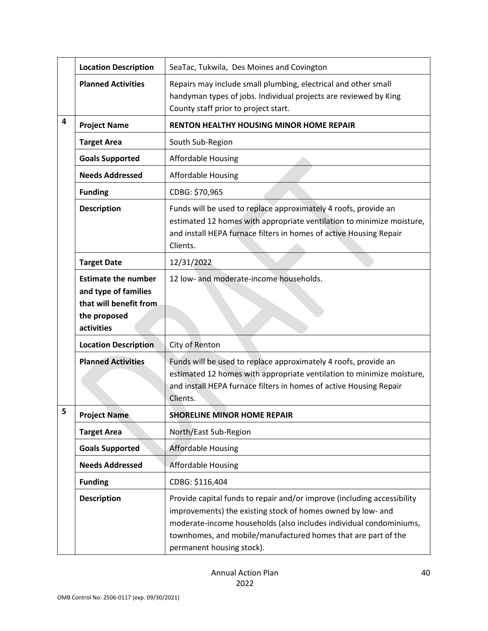|   | <b>Location Description</b>                                                                                 | SeaTac, Tukwila, Des Moines and Covington                                                                                                                                                                                                                                                                  |
|---|-------------------------------------------------------------------------------------------------------------|------------------------------------------------------------------------------------------------------------------------------------------------------------------------------------------------------------------------------------------------------------------------------------------------------------|
|   | <b>Planned Activities</b>                                                                                   | Repairs may include small plumbing, electrical and other small<br>handyman types of jobs. Individual projects are reviewed by King<br>County staff prior to project start.                                                                                                                                 |
| 4 | <b>Project Name</b>                                                                                         | <b>RENTON HEALTHY HOUSING MINOR HOME REPAIR</b>                                                                                                                                                                                                                                                            |
|   | <b>Target Area</b>                                                                                          | South Sub-Region                                                                                                                                                                                                                                                                                           |
|   | <b>Goals Supported</b>                                                                                      | <b>Affordable Housing</b>                                                                                                                                                                                                                                                                                  |
|   | <b>Needs Addressed</b>                                                                                      | <b>Affordable Housing</b>                                                                                                                                                                                                                                                                                  |
|   | <b>Funding</b>                                                                                              | CDBG: \$70,965                                                                                                                                                                                                                                                                                             |
|   | <b>Description</b>                                                                                          | Funds will be used to replace approximately 4 roofs, provide an<br>estimated 12 homes with appropriate ventilation to minimize moisture,<br>and install HEPA furnace filters in homes of active Housing Repair<br>Clients.                                                                                 |
|   | <b>Target Date</b>                                                                                          | 12/31/2022                                                                                                                                                                                                                                                                                                 |
|   | <b>Estimate the number</b><br>and type of families<br>that will benefit from.<br>the proposed<br>activities | 12 low- and moderate-income households.                                                                                                                                                                                                                                                                    |
|   | <b>Location Description</b>                                                                                 | City of Renton                                                                                                                                                                                                                                                                                             |
|   | <b>Planned Activities</b>                                                                                   | Funds will be used to replace approximately 4 roofs, provide an<br>estimated 12 homes with appropriate ventilation to minimize moisture,<br>and install HEPA furnace filters in homes of active Housing Repair<br>Clients.                                                                                 |
| 5 | <b>Project Name</b>                                                                                         | <b>SHORELINE MINOR HOME REPAIR</b>                                                                                                                                                                                                                                                                         |
|   | <b>Target Area</b>                                                                                          | North/East Sub-Region                                                                                                                                                                                                                                                                                      |
|   | <b>Goals Supported</b>                                                                                      | <b>Affordable Housing</b>                                                                                                                                                                                                                                                                                  |
|   | <b>Needs Addressed</b>                                                                                      | <b>Affordable Housing</b>                                                                                                                                                                                                                                                                                  |
|   | <b>Funding</b>                                                                                              | CDBG: \$116,404                                                                                                                                                                                                                                                                                            |
|   | <b>Description</b>                                                                                          | Provide capital funds to repair and/or improve (including accessibility<br>improvements) the existing stock of homes owned by low- and<br>moderate-income households (also includes individual condominiums,<br>townhomes, and mobile/manufactured homes that are part of the<br>permanent housing stock). |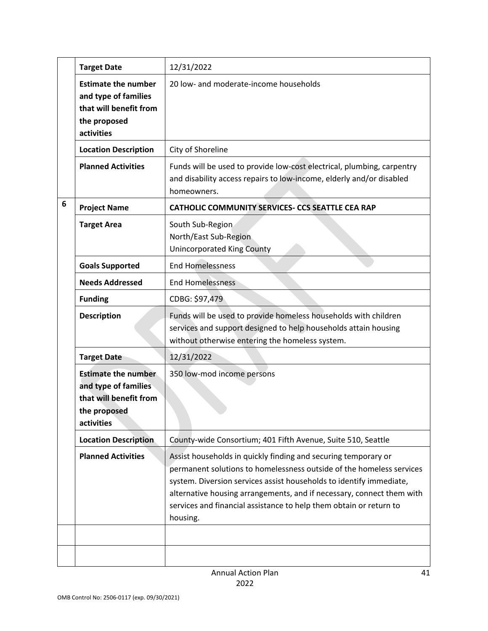|   | <b>Target Date</b>                                                                                         | 12/31/2022                                                                                                                                                                                                                                                                                                                                                               |
|---|------------------------------------------------------------------------------------------------------------|--------------------------------------------------------------------------------------------------------------------------------------------------------------------------------------------------------------------------------------------------------------------------------------------------------------------------------------------------------------------------|
|   | <b>Estimate the number</b><br>and type of families<br>that will benefit from<br>the proposed<br>activities | 20 low- and moderate-income households                                                                                                                                                                                                                                                                                                                                   |
|   | <b>Location Description</b>                                                                                | City of Shoreline                                                                                                                                                                                                                                                                                                                                                        |
|   | <b>Planned Activities</b>                                                                                  | Funds will be used to provide low-cost electrical, plumbing, carpentry<br>and disability access repairs to low-income, elderly and/or disabled<br>homeowners.                                                                                                                                                                                                            |
| 6 | <b>Project Name</b>                                                                                        | CATHOLIC COMMUNITY SERVICES- CCS SEATTLE CEA RAP                                                                                                                                                                                                                                                                                                                         |
|   | <b>Target Area</b>                                                                                         | South Sub-Region<br>North/East Sub-Region<br><b>Unincorporated King County</b>                                                                                                                                                                                                                                                                                           |
|   | <b>Goals Supported</b>                                                                                     | <b>End Homelessness</b>                                                                                                                                                                                                                                                                                                                                                  |
|   | <b>Needs Addressed</b>                                                                                     | <b>End Homelessness</b>                                                                                                                                                                                                                                                                                                                                                  |
|   | <b>Funding</b>                                                                                             | CDBG: \$97,479                                                                                                                                                                                                                                                                                                                                                           |
|   | <b>Description</b>                                                                                         | Funds will be used to provide homeless households with children<br>services and support designed to help households attain housing<br>without otherwise entering the homeless system.                                                                                                                                                                                    |
|   | <b>Target Date</b>                                                                                         | 12/31/2022                                                                                                                                                                                                                                                                                                                                                               |
|   | <b>Estimate the number</b><br>and type of families<br>that will benefit from<br>the proposed<br>activities | 350 low-mod income persons                                                                                                                                                                                                                                                                                                                                               |
|   | <b>Location Description</b>                                                                                | County-wide Consortium; 401 Fifth Avenue, Suite 510, Seattle                                                                                                                                                                                                                                                                                                             |
|   | <b>Planned Activities</b>                                                                                  | Assist households in quickly finding and securing temporary or<br>permanent solutions to homelessness outside of the homeless services<br>system. Diversion services assist households to identify immediate,<br>alternative housing arrangements, and if necessary, connect them with<br>services and financial assistance to help them obtain or return to<br>housing. |
|   |                                                                                                            |                                                                                                                                                                                                                                                                                                                                                                          |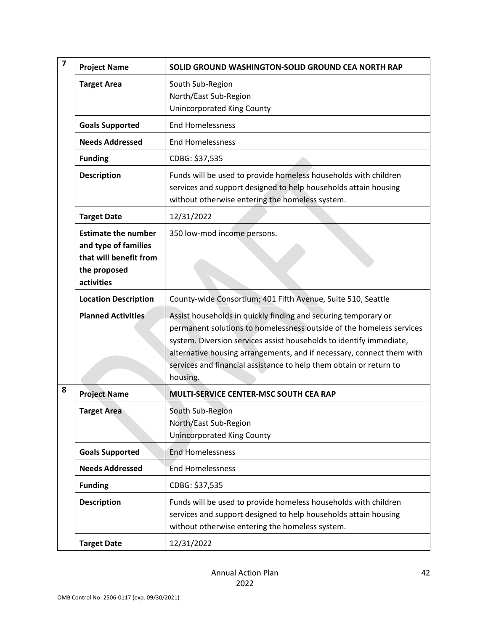| $\overline{\mathbf{z}}$ | <b>Project Name</b>                                                                                        | SOLID GROUND WASHINGTON-SOLID GROUND CEA NORTH RAP                                                                                                                                                                                                                                                                                                                       |
|-------------------------|------------------------------------------------------------------------------------------------------------|--------------------------------------------------------------------------------------------------------------------------------------------------------------------------------------------------------------------------------------------------------------------------------------------------------------------------------------------------------------------------|
|                         | <b>Target Area</b>                                                                                         | South Sub-Region<br>North/East Sub-Region<br><b>Unincorporated King County</b>                                                                                                                                                                                                                                                                                           |
|                         | <b>Goals Supported</b>                                                                                     | <b>End Homelessness</b>                                                                                                                                                                                                                                                                                                                                                  |
|                         | <b>Needs Addressed</b>                                                                                     | <b>End Homelessness</b>                                                                                                                                                                                                                                                                                                                                                  |
|                         | <b>Funding</b>                                                                                             | CDBG: \$37,535                                                                                                                                                                                                                                                                                                                                                           |
|                         | <b>Description</b>                                                                                         | Funds will be used to provide homeless households with children<br>services and support designed to help households attain housing<br>without otherwise entering the homeless system.                                                                                                                                                                                    |
|                         | <b>Target Date</b>                                                                                         | 12/31/2022                                                                                                                                                                                                                                                                                                                                                               |
|                         | <b>Estimate the number</b><br>and type of families<br>that will benefit from<br>the proposed<br>activities | 350 low-mod income persons.                                                                                                                                                                                                                                                                                                                                              |
|                         | <b>Location Description</b>                                                                                | County-wide Consortium; 401 Fifth Avenue, Suite 510, Seattle                                                                                                                                                                                                                                                                                                             |
|                         | <b>Planned Activities</b>                                                                                  | Assist households in quickly finding and securing temporary or<br>permanent solutions to homelessness outside of the homeless services<br>system. Diversion services assist households to identify immediate,<br>alternative housing arrangements, and if necessary, connect them with<br>services and financial assistance to help them obtain or return to<br>housing. |
| 8                       | <b>Project Name</b>                                                                                        | MULTI-SERVICE CENTER-MSC SOUTH CEA RAP                                                                                                                                                                                                                                                                                                                                   |
|                         | <b>Target Area</b>                                                                                         | South Sub-Region<br>North/East Sub-Region<br><b>Unincorporated King County</b>                                                                                                                                                                                                                                                                                           |
|                         | <b>Goals Supported</b>                                                                                     | <b>End Homelessness</b>                                                                                                                                                                                                                                                                                                                                                  |
|                         | <b>Needs Addressed</b>                                                                                     | <b>End Homelessness</b>                                                                                                                                                                                                                                                                                                                                                  |
|                         | <b>Funding</b>                                                                                             | CDBG: \$37,535                                                                                                                                                                                                                                                                                                                                                           |
|                         | <b>Description</b>                                                                                         | Funds will be used to provide homeless households with children<br>services and support designed to help households attain housing<br>without otherwise entering the homeless system.                                                                                                                                                                                    |
|                         | <b>Target Date</b>                                                                                         | 12/31/2022                                                                                                                                                                                                                                                                                                                                                               |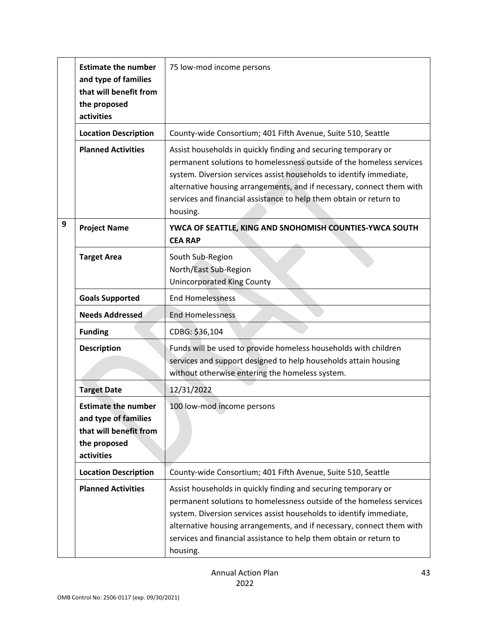|   | <b>Estimate the number</b><br>and type of families<br>that will benefit from<br>the proposed<br>activities | 75 low-mod income persons                                                                                                                                                                                                                                                                                                                                                |
|---|------------------------------------------------------------------------------------------------------------|--------------------------------------------------------------------------------------------------------------------------------------------------------------------------------------------------------------------------------------------------------------------------------------------------------------------------------------------------------------------------|
|   | <b>Location Description</b>                                                                                | County-wide Consortium; 401 Fifth Avenue, Suite 510, Seattle                                                                                                                                                                                                                                                                                                             |
|   | <b>Planned Activities</b>                                                                                  | Assist households in quickly finding and securing temporary or<br>permanent solutions to homelessness outside of the homeless services<br>system. Diversion services assist households to identify immediate,<br>alternative housing arrangements, and if necessary, connect them with<br>services and financial assistance to help them obtain or return to<br>housing. |
| 9 | <b>Project Name</b>                                                                                        | YWCA OF SEATTLE, KING AND SNOHOMISH COUNTIES-YWCA SOUTH<br><b>CEA RAP</b>                                                                                                                                                                                                                                                                                                |
|   | <b>Target Area</b>                                                                                         | South Sub-Region<br>North/East Sub-Region<br><b>Unincorporated King County</b>                                                                                                                                                                                                                                                                                           |
|   | <b>Goals Supported</b>                                                                                     | <b>End Homelessness</b>                                                                                                                                                                                                                                                                                                                                                  |
|   | <b>Needs Addressed</b>                                                                                     | <b>End Homelessness</b>                                                                                                                                                                                                                                                                                                                                                  |
|   | <b>Funding</b>                                                                                             | CDBG: \$36,104                                                                                                                                                                                                                                                                                                                                                           |
|   | <b>Description</b>                                                                                         | Funds will be used to provide homeless households with children<br>services and support designed to help households attain housing<br>without otherwise entering the homeless system.                                                                                                                                                                                    |
|   | <b>Target Date</b>                                                                                         | 12/31/2022                                                                                                                                                                                                                                                                                                                                                               |
|   | <b>Estimate the number</b><br>and type of families<br>that will benefit from<br>the proposed<br>activities | 100 low-mod income persons                                                                                                                                                                                                                                                                                                                                               |
|   |                                                                                                            |                                                                                                                                                                                                                                                                                                                                                                          |
|   | <b>Location Description</b>                                                                                | County-wide Consortium; 401 Fifth Avenue, Suite 510, Seattle                                                                                                                                                                                                                                                                                                             |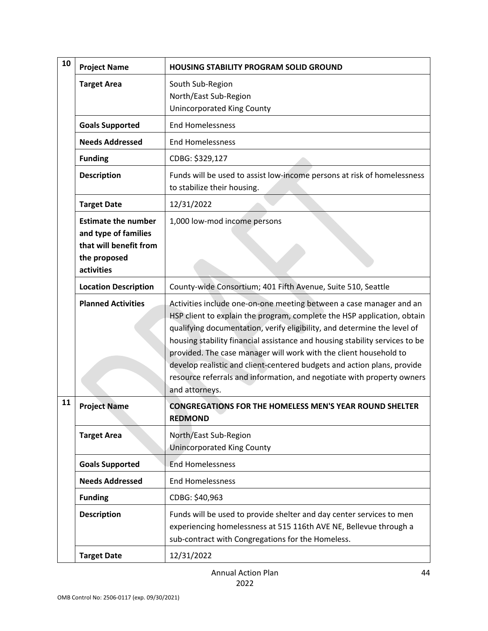| 10 | <b>Project Name</b>                                                                                        | <b>HOUSING STABILITY PROGRAM SOLID GROUND</b>                                                                                                                                                                                                                                                                                                                                                                                                                                                                                                         |
|----|------------------------------------------------------------------------------------------------------------|-------------------------------------------------------------------------------------------------------------------------------------------------------------------------------------------------------------------------------------------------------------------------------------------------------------------------------------------------------------------------------------------------------------------------------------------------------------------------------------------------------------------------------------------------------|
|    | <b>Target Area</b>                                                                                         | South Sub-Region<br>North/East Sub-Region<br><b>Unincorporated King County</b>                                                                                                                                                                                                                                                                                                                                                                                                                                                                        |
|    | <b>Goals Supported</b>                                                                                     | <b>End Homelessness</b>                                                                                                                                                                                                                                                                                                                                                                                                                                                                                                                               |
|    | <b>Needs Addressed</b>                                                                                     | <b>End Homelessness</b>                                                                                                                                                                                                                                                                                                                                                                                                                                                                                                                               |
|    | <b>Funding</b>                                                                                             | CDBG: \$329,127                                                                                                                                                                                                                                                                                                                                                                                                                                                                                                                                       |
|    | <b>Description</b>                                                                                         | Funds will be used to assist low-income persons at risk of homelessness<br>to stabilize their housing.                                                                                                                                                                                                                                                                                                                                                                                                                                                |
|    | <b>Target Date</b>                                                                                         | 12/31/2022                                                                                                                                                                                                                                                                                                                                                                                                                                                                                                                                            |
|    | <b>Estimate the number</b><br>and type of families<br>that will benefit from<br>the proposed<br>activities | 1,000 low-mod income persons                                                                                                                                                                                                                                                                                                                                                                                                                                                                                                                          |
|    | <b>Location Description</b>                                                                                | County-wide Consortium; 401 Fifth Avenue, Suite 510, Seattle                                                                                                                                                                                                                                                                                                                                                                                                                                                                                          |
|    | <b>Planned Activities</b>                                                                                  | Activities include one-on-one meeting between a case manager and an<br>HSP client to explain the program, complete the HSP application, obtain<br>qualifying documentation, verify eligibility, and determine the level of<br>housing stability financial assistance and housing stability services to be<br>provided. The case manager will work with the client household to<br>develop realistic and client-centered budgets and action plans, provide<br>resource referrals and information, and negotiate with property owners<br>and attorneys. |
| 11 | <b>Project Name</b>                                                                                        | <b>CONGREGATIONS FOR THE HOMELESS MEN'S YEAR ROUND SHELTER</b><br><b>REDMOND</b>                                                                                                                                                                                                                                                                                                                                                                                                                                                                      |
|    | <b>Target Area</b>                                                                                         | North/East Sub-Region<br><b>Unincorporated King County</b>                                                                                                                                                                                                                                                                                                                                                                                                                                                                                            |
|    | <b>Goals Supported</b>                                                                                     | <b>End Homelessness</b>                                                                                                                                                                                                                                                                                                                                                                                                                                                                                                                               |
|    | <b>Needs Addressed</b>                                                                                     | <b>End Homelessness</b>                                                                                                                                                                                                                                                                                                                                                                                                                                                                                                                               |
|    | <b>Funding</b>                                                                                             | CDBG: \$40,963                                                                                                                                                                                                                                                                                                                                                                                                                                                                                                                                        |
|    | <b>Description</b>                                                                                         | Funds will be used to provide shelter and day center services to men<br>experiencing homelessness at 515 116th AVE NE, Bellevue through a<br>sub-contract with Congregations for the Homeless.                                                                                                                                                                                                                                                                                                                                                        |
|    | <b>Target Date</b>                                                                                         | 12/31/2022                                                                                                                                                                                                                                                                                                                                                                                                                                                                                                                                            |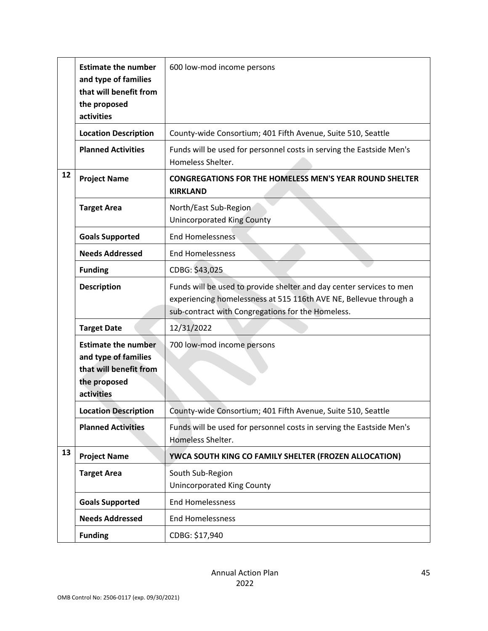|    | <b>Estimate the number</b><br>and type of families<br>that will benefit from<br>the proposed<br>activities | 600 low-mod income persons                                                                                                                                                                     |
|----|------------------------------------------------------------------------------------------------------------|------------------------------------------------------------------------------------------------------------------------------------------------------------------------------------------------|
|    | <b>Location Description</b>                                                                                | County-wide Consortium; 401 Fifth Avenue, Suite 510, Seattle                                                                                                                                   |
|    | <b>Planned Activities</b>                                                                                  | Funds will be used for personnel costs in serving the Eastside Men's<br>Homeless Shelter.                                                                                                      |
| 12 | <b>Project Name</b>                                                                                        | <b>CONGREGATIONS FOR THE HOMELESS MEN'S YEAR ROUND SHELTER</b><br><b>KIRKLAND</b>                                                                                                              |
|    | <b>Target Area</b>                                                                                         | North/East Sub-Region<br><b>Unincorporated King County</b>                                                                                                                                     |
|    | <b>Goals Supported</b>                                                                                     | <b>End Homelessness</b>                                                                                                                                                                        |
|    | <b>Needs Addressed</b>                                                                                     | <b>End Homelessness</b>                                                                                                                                                                        |
|    | <b>Funding</b>                                                                                             | CDBG: \$43,025                                                                                                                                                                                 |
|    | <b>Description</b>                                                                                         | Funds will be used to provide shelter and day center services to men<br>experiencing homelessness at 515 116th AVE NE, Bellevue through a<br>sub-contract with Congregations for the Homeless. |
|    | <b>Target Date</b>                                                                                         | 12/31/2022                                                                                                                                                                                     |
|    | <b>Estimate the number</b><br>and type of families<br>that will benefit from<br>the proposed<br>activities | 700 low-mod income persons                                                                                                                                                                     |
|    | <b>Location Description</b>                                                                                | County-wide Consortium; 401 Fifth Avenue, Suite 510, Seattle                                                                                                                                   |
|    | <b>Planned Activities</b>                                                                                  | Funds will be used for personnel costs in serving the Eastside Men's<br>Homeless Shelter.                                                                                                      |
| 13 | <b>Project Name</b>                                                                                        | YWCA SOUTH KING CO FAMILY SHELTER (FROZEN ALLOCATION)                                                                                                                                          |
|    | <b>Target Area</b>                                                                                         | South Sub-Region<br><b>Unincorporated King County</b>                                                                                                                                          |
|    | <b>Goals Supported</b>                                                                                     | <b>End Homelessness</b>                                                                                                                                                                        |
|    | <b>Needs Addressed</b>                                                                                     | <b>End Homelessness</b>                                                                                                                                                                        |
|    | <b>Funding</b>                                                                                             | CDBG: \$17,940                                                                                                                                                                                 |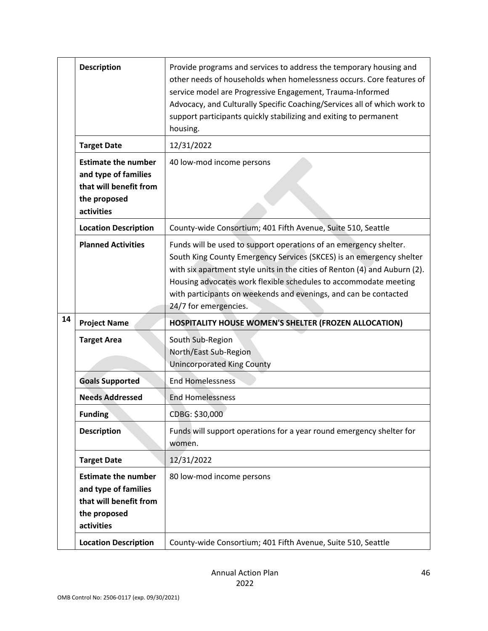|    | <b>Description</b>                                                                                         | Provide programs and services to address the temporary housing and<br>other needs of households when homelessness occurs. Core features of<br>service model are Progressive Engagement, Trauma-Informed<br>Advocacy, and Culturally Specific Coaching/Services all of which work to<br>support participants quickly stabilizing and exiting to permanent<br>housing.                     |
|----|------------------------------------------------------------------------------------------------------------|------------------------------------------------------------------------------------------------------------------------------------------------------------------------------------------------------------------------------------------------------------------------------------------------------------------------------------------------------------------------------------------|
|    | <b>Target Date</b>                                                                                         | 12/31/2022                                                                                                                                                                                                                                                                                                                                                                               |
|    | <b>Estimate the number</b><br>and type of families<br>that will benefit from<br>the proposed<br>activities | 40 low-mod income persons                                                                                                                                                                                                                                                                                                                                                                |
|    | <b>Location Description</b>                                                                                | County-wide Consortium; 401 Fifth Avenue, Suite 510, Seattle                                                                                                                                                                                                                                                                                                                             |
|    | <b>Planned Activities</b>                                                                                  | Funds will be used to support operations of an emergency shelter.<br>South King County Emergency Services (SKCES) is an emergency shelter<br>with six apartment style units in the cities of Renton (4) and Auburn (2).<br>Housing advocates work flexible schedules to accommodate meeting<br>with participants on weekends and evenings, and can be contacted<br>24/7 for emergencies. |
| 14 | <b>Project Name</b>                                                                                        | <b>HOSPITALITY HOUSE WOMEN'S SHELTER (FROZEN ALLOCATION)</b>                                                                                                                                                                                                                                                                                                                             |
|    | <b>Target Area</b>                                                                                         | South Sub-Region<br>North/East Sub-Region<br><b>Unincorporated King County</b>                                                                                                                                                                                                                                                                                                           |
|    | <b>Goals Supported</b>                                                                                     | <b>End Homelessness</b>                                                                                                                                                                                                                                                                                                                                                                  |
|    | <b>Needs Addressed</b>                                                                                     | <b>End Homelessness</b>                                                                                                                                                                                                                                                                                                                                                                  |
|    | <b>Funding</b>                                                                                             | CDBG: \$30,000                                                                                                                                                                                                                                                                                                                                                                           |
|    | <b>Description</b>                                                                                         | Funds will support operations for a year round emergency shelter for<br>women.                                                                                                                                                                                                                                                                                                           |
|    | <b>Target Date</b>                                                                                         | 12/31/2022                                                                                                                                                                                                                                                                                                                                                                               |
|    | <b>Estimate the number</b><br>and type of families<br>that will benefit from<br>the proposed<br>activities | 80 low-mod income persons                                                                                                                                                                                                                                                                                                                                                                |
|    | <b>Location Description</b>                                                                                | County-wide Consortium; 401 Fifth Avenue, Suite 510, Seattle                                                                                                                                                                                                                                                                                                                             |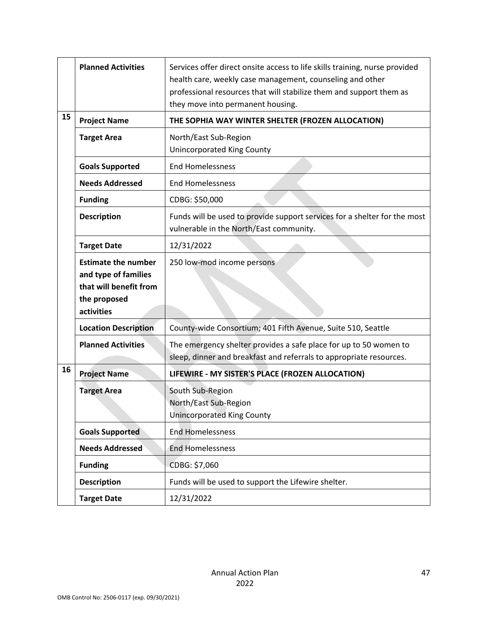|    | <b>Planned Activities</b>                                                                                  | Services offer direct onsite access to life skills training, nurse provided<br>health care, weekly case management, counseling and other<br>professional resources that will stabilize them and support them as<br>they move into permanent housing. |
|----|------------------------------------------------------------------------------------------------------------|------------------------------------------------------------------------------------------------------------------------------------------------------------------------------------------------------------------------------------------------------|
| 15 | <b>Project Name</b>                                                                                        | THE SOPHIA WAY WINTER SHELTER (FROZEN ALLOCATION)                                                                                                                                                                                                    |
|    | <b>Target Area</b>                                                                                         | North/East Sub-Region<br><b>Unincorporated King County</b>                                                                                                                                                                                           |
|    | <b>Goals Supported</b>                                                                                     | <b>End Homelessness</b>                                                                                                                                                                                                                              |
|    | <b>Needs Addressed</b>                                                                                     | <b>End Homelessness</b>                                                                                                                                                                                                                              |
|    | <b>Funding</b>                                                                                             | CDBG: \$50,000                                                                                                                                                                                                                                       |
|    | <b>Description</b>                                                                                         | Funds will be used to provide support services for a shelter for the most<br>vulnerable in the North/East community.                                                                                                                                 |
|    | <b>Target Date</b>                                                                                         | 12/31/2022                                                                                                                                                                                                                                           |
|    | <b>Estimate the number</b><br>and type of families<br>that will benefit from<br>the proposed<br>activities | 250 low-mod income persons                                                                                                                                                                                                                           |
|    | <b>Location Description</b>                                                                                | County-wide Consortium; 401 Fifth Avenue, Suite 510, Seattle                                                                                                                                                                                         |
|    | <b>Planned Activities</b>                                                                                  | The emergency shelter provides a safe place for up to 50 women to<br>sleep, dinner and breakfast and referrals to appropriate resources.                                                                                                             |
| 16 | <b>Project Name</b>                                                                                        | LIFEWIRE - MY SISTER'S PLACE (FROZEN ALLOCATION)                                                                                                                                                                                                     |
|    | <b>Target Area</b>                                                                                         | South Sub-Region<br>North/East Sub-Region<br><b>Unincorporated King County</b>                                                                                                                                                                       |
|    | <b>Goals Supported</b>                                                                                     | <b>End Homelessness</b>                                                                                                                                                                                                                              |
|    | <b>Needs Addressed</b>                                                                                     | <b>End Homelessness</b>                                                                                                                                                                                                                              |
|    | <b>Funding</b>                                                                                             | CDBG: \$7,060                                                                                                                                                                                                                                        |
|    | <b>Description</b>                                                                                         | Funds will be used to support the Lifewire shelter.                                                                                                                                                                                                  |
|    | <b>Target Date</b>                                                                                         | 12/31/2022                                                                                                                                                                                                                                           |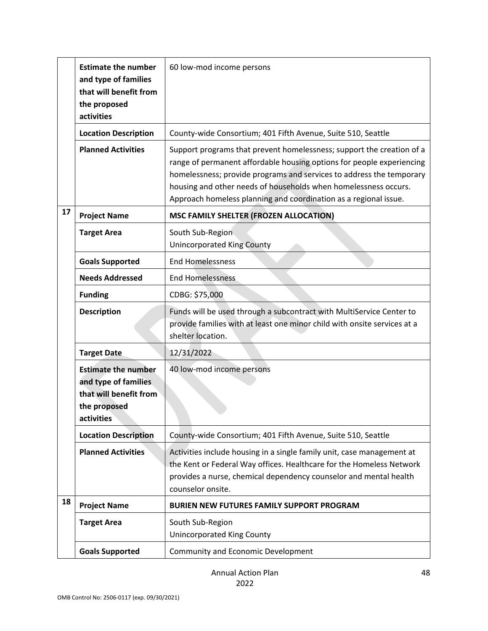|    | <b>Estimate the number</b><br>and type of families<br>that will benefit from<br>the proposed<br>activities | 60 low-mod income persons                                                                                                                                                                                                                                                                                                                                     |
|----|------------------------------------------------------------------------------------------------------------|---------------------------------------------------------------------------------------------------------------------------------------------------------------------------------------------------------------------------------------------------------------------------------------------------------------------------------------------------------------|
|    | <b>Location Description</b>                                                                                | County-wide Consortium; 401 Fifth Avenue, Suite 510, Seattle                                                                                                                                                                                                                                                                                                  |
|    | <b>Planned Activities</b>                                                                                  | Support programs that prevent homelessness; support the creation of a<br>range of permanent affordable housing options for people experiencing<br>homelessness; provide programs and services to address the temporary<br>housing and other needs of households when homelessness occurs.<br>Approach homeless planning and coordination as a regional issue. |
| 17 | <b>Project Name</b>                                                                                        | MSC FAMILY SHELTER (FROZEN ALLOCATION)                                                                                                                                                                                                                                                                                                                        |
|    | <b>Target Area</b>                                                                                         | South Sub-Region<br><b>Unincorporated King County</b>                                                                                                                                                                                                                                                                                                         |
|    | <b>Goals Supported</b>                                                                                     | <b>End Homelessness</b>                                                                                                                                                                                                                                                                                                                                       |
|    | <b>Needs Addressed</b>                                                                                     | <b>End Homelessness</b>                                                                                                                                                                                                                                                                                                                                       |
|    | <b>Funding</b>                                                                                             | CDBG: \$75,000                                                                                                                                                                                                                                                                                                                                                |
|    | <b>Description</b>                                                                                         | Funds will be used through a subcontract with MultiService Center to<br>provide families with at least one minor child with onsite services at a<br>shelter location.                                                                                                                                                                                         |
|    | <b>Target Date</b>                                                                                         | 12/31/2022                                                                                                                                                                                                                                                                                                                                                    |
|    | <b>Estimate the number</b><br>and type of families<br>that will benefit from<br>the proposed<br>activities | 40 low-mod income persons                                                                                                                                                                                                                                                                                                                                     |
|    | <b>Location Description</b>                                                                                | County-wide Consortium; 401 Fifth Avenue, Suite 510, Seattle                                                                                                                                                                                                                                                                                                  |
|    | <b>Planned Activities</b>                                                                                  | Activities include housing in a single family unit, case management at<br>the Kent or Federal Way offices. Healthcare for the Homeless Network<br>provides a nurse, chemical dependency counselor and mental health<br>counselor onsite.                                                                                                                      |
| 18 | <b>Project Name</b>                                                                                        | BURIEN NEW FUTURES FAMILY SUPPORT PROGRAM                                                                                                                                                                                                                                                                                                                     |
|    | <b>Target Area</b>                                                                                         | South Sub-Region<br><b>Unincorporated King County</b>                                                                                                                                                                                                                                                                                                         |
|    | <b>Goals Supported</b>                                                                                     | Community and Economic Development                                                                                                                                                                                                                                                                                                                            |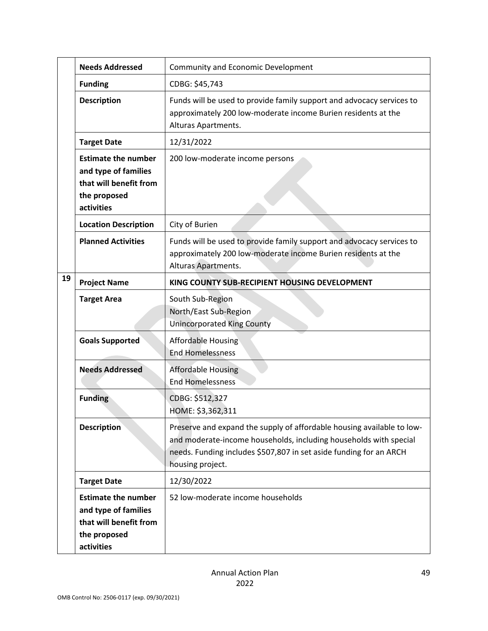|    | <b>Needs Addressed</b>                                                                                     | Community and Economic Development                                                                                                                                                                                                    |
|----|------------------------------------------------------------------------------------------------------------|---------------------------------------------------------------------------------------------------------------------------------------------------------------------------------------------------------------------------------------|
|    | <b>Funding</b>                                                                                             | CDBG: \$45,743                                                                                                                                                                                                                        |
|    | <b>Description</b>                                                                                         | Funds will be used to provide family support and advocacy services to<br>approximately 200 low-moderate income Burien residents at the<br>Alturas Apartments.                                                                         |
|    | <b>Target Date</b>                                                                                         | 12/31/2022                                                                                                                                                                                                                            |
|    | <b>Estimate the number</b><br>and type of families<br>that will benefit from<br>the proposed<br>activities | 200 low-moderate income persons                                                                                                                                                                                                       |
|    | <b>Location Description</b>                                                                                | City of Burien                                                                                                                                                                                                                        |
|    | <b>Planned Activities</b>                                                                                  | Funds will be used to provide family support and advocacy services to<br>approximately 200 low-moderate income Burien residents at the<br>Alturas Apartments.                                                                         |
| 19 | <b>Project Name</b>                                                                                        | KING COUNTY SUB-RECIPIENT HOUSING DEVELOPMENT                                                                                                                                                                                         |
|    | <b>Target Area</b>                                                                                         | South Sub-Region<br>North/East Sub-Region<br><b>Unincorporated King County</b>                                                                                                                                                        |
|    | <b>Goals Supported</b>                                                                                     | <b>Affordable Housing</b><br><b>End Homelessness</b>                                                                                                                                                                                  |
|    | <b>Needs Addressed</b>                                                                                     | <b>Affordable Housing</b><br><b>End Homelessness</b>                                                                                                                                                                                  |
|    | <b>Funding</b>                                                                                             | CDBG: \$512,327<br>HOME: \$3,362,311                                                                                                                                                                                                  |
|    | <b>Description</b>                                                                                         | Preserve and expand the supply of affordable housing available to low-<br>and moderate-income households, including households with special<br>needs. Funding includes \$507,807 in set aside funding for an ARCH<br>housing project. |
|    | <b>Target Date</b>                                                                                         | 12/30/2022                                                                                                                                                                                                                            |
|    | <b>Estimate the number</b><br>and type of families<br>that will benefit from<br>the proposed<br>activities | 52 low-moderate income households                                                                                                                                                                                                     |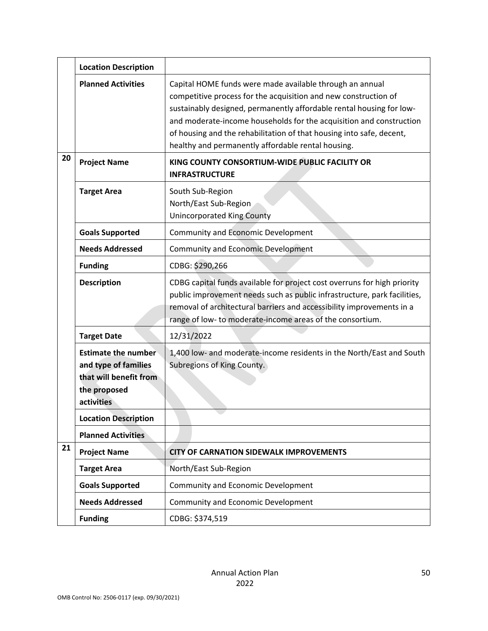|    | <b>Location Description</b>                                                                                |                                                                                                                                                                                                                                                                                                                                                                                                          |  |
|----|------------------------------------------------------------------------------------------------------------|----------------------------------------------------------------------------------------------------------------------------------------------------------------------------------------------------------------------------------------------------------------------------------------------------------------------------------------------------------------------------------------------------------|--|
|    | <b>Planned Activities</b>                                                                                  | Capital HOME funds were made available through an annual<br>competitive process for the acquisition and new construction of<br>sustainably designed, permanently affordable rental housing for low-<br>and moderate-income households for the acquisition and construction<br>of housing and the rehabilitation of that housing into safe, decent,<br>healthy and permanently affordable rental housing. |  |
| 20 | <b>Project Name</b>                                                                                        | KING COUNTY CONSORTIUM-WIDE PUBLIC FACILITY OR<br><b>INFRASTRUCTURE</b>                                                                                                                                                                                                                                                                                                                                  |  |
|    | <b>Target Area</b>                                                                                         | South Sub-Region<br>North/East Sub-Region<br><b>Unincorporated King County</b>                                                                                                                                                                                                                                                                                                                           |  |
|    | <b>Goals Supported</b>                                                                                     | <b>Community and Economic Development</b>                                                                                                                                                                                                                                                                                                                                                                |  |
|    | <b>Needs Addressed</b>                                                                                     | <b>Community and Economic Development</b>                                                                                                                                                                                                                                                                                                                                                                |  |
|    | <b>Funding</b>                                                                                             | CDBG: \$290,266                                                                                                                                                                                                                                                                                                                                                                                          |  |
|    | <b>Description</b>                                                                                         | CDBG capital funds available for project cost overruns for high priority<br>public improvement needs such as public infrastructure, park facilities,<br>removal of architectural barriers and accessibility improvements in a<br>range of low- to moderate-income areas of the consortium.                                                                                                               |  |
|    | <b>Target Date</b>                                                                                         | 12/31/2022                                                                                                                                                                                                                                                                                                                                                                                               |  |
|    | <b>Estimate the number</b><br>and type of families<br>that will benefit from<br>the proposed<br>activities | 1,400 low- and moderate-income residents in the North/East and South<br>Subregions of King County.                                                                                                                                                                                                                                                                                                       |  |
|    | <b>Location Description</b>                                                                                |                                                                                                                                                                                                                                                                                                                                                                                                          |  |
| 21 | <b>Planned Activities</b>                                                                                  |                                                                                                                                                                                                                                                                                                                                                                                                          |  |
|    | <b>Project Name</b>                                                                                        | <b>CITY OF CARNATION SIDEWALK IMPROVEMENTS</b>                                                                                                                                                                                                                                                                                                                                                           |  |
|    | <b>Target Area</b>                                                                                         | North/East Sub-Region                                                                                                                                                                                                                                                                                                                                                                                    |  |
|    | <b>Goals Supported</b><br><b>Needs Addressed</b>                                                           | Community and Economic Development                                                                                                                                                                                                                                                                                                                                                                       |  |
|    |                                                                                                            | Community and Economic Development                                                                                                                                                                                                                                                                                                                                                                       |  |
|    | <b>Funding</b>                                                                                             | CDBG: \$374,519                                                                                                                                                                                                                                                                                                                                                                                          |  |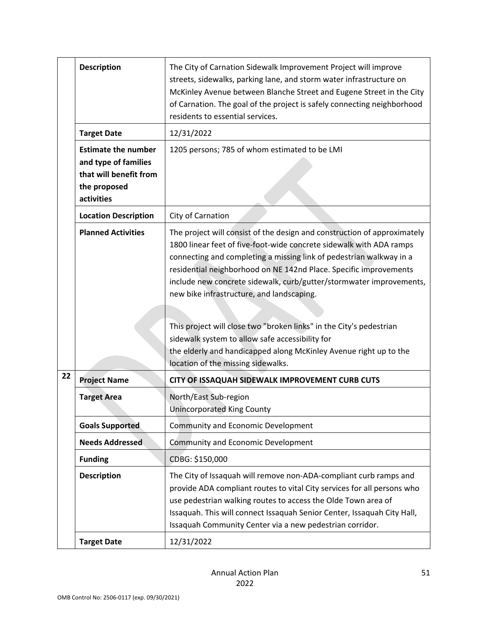|    | <b>Description</b>                                                                                         | The City of Carnation Sidewalk Improvement Project will improve<br>streets, sidewalks, parking lane, and storm water infrastructure on<br>McKinley Avenue between Blanche Street and Eugene Street in the City<br>of Carnation. The goal of the project is safely connecting neighborhood<br>residents to essential services.                                                                                                                                                                                                                                                                                                                        |
|----|------------------------------------------------------------------------------------------------------------|------------------------------------------------------------------------------------------------------------------------------------------------------------------------------------------------------------------------------------------------------------------------------------------------------------------------------------------------------------------------------------------------------------------------------------------------------------------------------------------------------------------------------------------------------------------------------------------------------------------------------------------------------|
|    | <b>Target Date</b>                                                                                         | 12/31/2022                                                                                                                                                                                                                                                                                                                                                                                                                                                                                                                                                                                                                                           |
|    | <b>Estimate the number</b><br>and type of families<br>that will benefit from<br>the proposed<br>activities | 1205 persons; 785 of whom estimated to be LMI                                                                                                                                                                                                                                                                                                                                                                                                                                                                                                                                                                                                        |
|    | <b>Location Description</b>                                                                                | City of Carnation                                                                                                                                                                                                                                                                                                                                                                                                                                                                                                                                                                                                                                    |
|    | <b>Planned Activities</b>                                                                                  | The project will consist of the design and construction of approximately<br>1800 linear feet of five-foot-wide concrete sidewalk with ADA ramps<br>connecting and completing a missing link of pedestrian walkway in a<br>residential neighborhood on NE 142nd Place. Specific improvements<br>include new concrete sidewalk, curb/gutter/stormwater improvements,<br>new bike infrastructure, and landscaping.<br>This project will close two "broken links" in the City's pedestrian<br>sidewalk system to allow safe accessibility for<br>the elderly and handicapped along McKinley Avenue right up to the<br>location of the missing sidewalks. |
| 22 | <b>Project Name</b>                                                                                        | CITY OF ISSAQUAH SIDEWALK IMPROVEMENT CURB CUTS                                                                                                                                                                                                                                                                                                                                                                                                                                                                                                                                                                                                      |
|    | <b>Target Area</b>                                                                                         | North/East Sub-region<br><b>Unincorporated King County</b>                                                                                                                                                                                                                                                                                                                                                                                                                                                                                                                                                                                           |
|    | <b>Goals Supported</b>                                                                                     | Community and Economic Development                                                                                                                                                                                                                                                                                                                                                                                                                                                                                                                                                                                                                   |
|    | <b>Needs Addressed</b>                                                                                     | <b>Community and Economic Development</b>                                                                                                                                                                                                                                                                                                                                                                                                                                                                                                                                                                                                            |
|    | <b>Funding</b>                                                                                             | CDBG: \$150,000                                                                                                                                                                                                                                                                                                                                                                                                                                                                                                                                                                                                                                      |
|    | <b>Description</b>                                                                                         | The City of Issaquah will remove non-ADA-compliant curb ramps and<br>provide ADA compliant routes to vital City services for all persons who<br>use pedestrian walking routes to access the Olde Town area of<br>Issaquah. This will connect Issaquah Senior Center, Issaquah City Hall,<br>Issaquah Community Center via a new pedestrian corridor.                                                                                                                                                                                                                                                                                                 |
|    | <b>Target Date</b>                                                                                         | 12/31/2022                                                                                                                                                                                                                                                                                                                                                                                                                                                                                                                                                                                                                                           |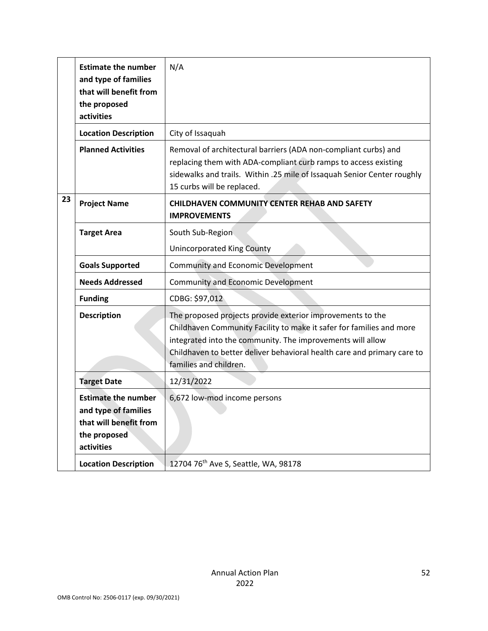|    | <b>Estimate the number</b><br>and type of families<br>that will benefit from<br>the proposed<br>activities | N/A                                                                                                                                                                                                                                                                                                   |
|----|------------------------------------------------------------------------------------------------------------|-------------------------------------------------------------------------------------------------------------------------------------------------------------------------------------------------------------------------------------------------------------------------------------------------------|
|    | <b>Location Description</b>                                                                                | City of Issaquah                                                                                                                                                                                                                                                                                      |
|    | <b>Planned Activities</b>                                                                                  | Removal of architectural barriers (ADA non-compliant curbs) and<br>replacing them with ADA-compliant curb ramps to access existing<br>sidewalks and trails. Within .25 mile of Issaquah Senior Center roughly<br>15 curbs will be replaced.                                                           |
| 23 | <b>Project Name</b>                                                                                        | <b>CHILDHAVEN COMMUNITY CENTER REHAB AND SAFETY</b><br><b>IMPROVEMENTS</b>                                                                                                                                                                                                                            |
|    | <b>Target Area</b>                                                                                         | South Sub-Region                                                                                                                                                                                                                                                                                      |
|    |                                                                                                            | <b>Unincorporated King County</b>                                                                                                                                                                                                                                                                     |
|    | <b>Goals Supported</b>                                                                                     | <b>Community and Economic Development</b>                                                                                                                                                                                                                                                             |
|    | <b>Needs Addressed</b>                                                                                     | <b>Community and Economic Development</b>                                                                                                                                                                                                                                                             |
|    | <b>Funding</b>                                                                                             | CDBG: \$97,012                                                                                                                                                                                                                                                                                        |
|    | <b>Description</b>                                                                                         | The proposed projects provide exterior improvements to the<br>Childhaven Community Facility to make it safer for families and more<br>integrated into the community. The improvements will allow<br>Childhaven to better deliver behavioral health care and primary care to<br>families and children. |
|    | <b>Target Date</b>                                                                                         | 12/31/2022                                                                                                                                                                                                                                                                                            |
|    | <b>Estimate the number</b><br>and type of families<br>that will benefit from<br>the proposed<br>activities | 6,672 low-mod income persons                                                                                                                                                                                                                                                                          |
|    | <b>Location Description</b>                                                                                | 12704 76 <sup>th</sup> Ave S, Seattle, WA, 98178                                                                                                                                                                                                                                                      |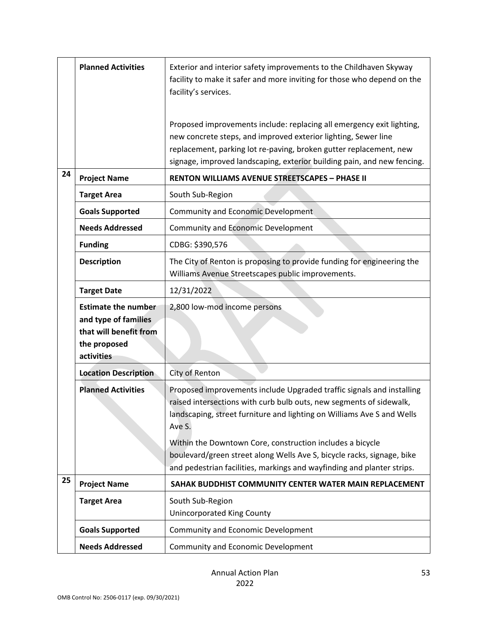|    | <b>Planned Activities</b>                      | Exterior and interior safety improvements to the Childhaven Skyway<br>facility to make it safer and more inviting for those who depend on the                                                                                                                                            |  |
|----|------------------------------------------------|------------------------------------------------------------------------------------------------------------------------------------------------------------------------------------------------------------------------------------------------------------------------------------------|--|
|    |                                                | facility's services.                                                                                                                                                                                                                                                                     |  |
|    |                                                | Proposed improvements include: replacing all emergency exit lighting,<br>new concrete steps, and improved exterior lighting, Sewer line<br>replacement, parking lot re-paving, broken gutter replacement, new<br>signage, improved landscaping, exterior building pain, and new fencing. |  |
| 24 | <b>Project Name</b>                            | <b>RENTON WILLIAMS AVENUE STREETSCAPES - PHASE II</b>                                                                                                                                                                                                                                    |  |
|    | <b>Target Area</b>                             | South Sub-Region                                                                                                                                                                                                                                                                         |  |
|    | <b>Goals Supported</b>                         | <b>Community and Economic Development</b>                                                                                                                                                                                                                                                |  |
|    | <b>Needs Addressed</b>                         | <b>Community and Economic Development</b>                                                                                                                                                                                                                                                |  |
|    | <b>Funding</b>                                 | CDBG: \$390,576                                                                                                                                                                                                                                                                          |  |
|    | <b>Description</b>                             | The City of Renton is proposing to provide funding for engineering the<br>Williams Avenue Streetscapes public improvements.                                                                                                                                                              |  |
|    | <b>Target Date</b>                             | 12/31/2022                                                                                                                                                                                                                                                                               |  |
|    | <b>Estimate the number</b>                     | 2,800 low-mod income persons                                                                                                                                                                                                                                                             |  |
|    | and type of families<br>that will benefit from |                                                                                                                                                                                                                                                                                          |  |
|    | the proposed                                   |                                                                                                                                                                                                                                                                                          |  |
|    | activities                                     |                                                                                                                                                                                                                                                                                          |  |
|    | <b>Location Description</b>                    | City of Renton                                                                                                                                                                                                                                                                           |  |
|    | <b>Planned Activities</b>                      | Proposed improvements include Upgraded traffic signals and installing                                                                                                                                                                                                                    |  |
|    |                                                | raised intersections with curb bulb outs, new segments of sidewalk,                                                                                                                                                                                                                      |  |
|    |                                                | landscaping, street furniture and lighting on Williams Ave S and Wells<br>Ave S.                                                                                                                                                                                                         |  |
|    |                                                | Within the Downtown Core, construction includes a bicycle                                                                                                                                                                                                                                |  |
|    |                                                | boulevard/green street along Wells Ave S, bicycle racks, signage, bike                                                                                                                                                                                                                   |  |
|    |                                                | and pedestrian facilities, markings and wayfinding and planter strips.                                                                                                                                                                                                                   |  |
| 25 | <b>Project Name</b>                            | SAHAK BUDDHIST COMMUNITY CENTER WATER MAIN REPLACEMENT                                                                                                                                                                                                                                   |  |
|    | <b>Target Area</b>                             | South Sub-Region<br><b>Unincorporated King County</b>                                                                                                                                                                                                                                    |  |
|    | <b>Goals Supported</b>                         | Community and Economic Development                                                                                                                                                                                                                                                       |  |
|    | <b>Needs Addressed</b>                         | Community and Economic Development                                                                                                                                                                                                                                                       |  |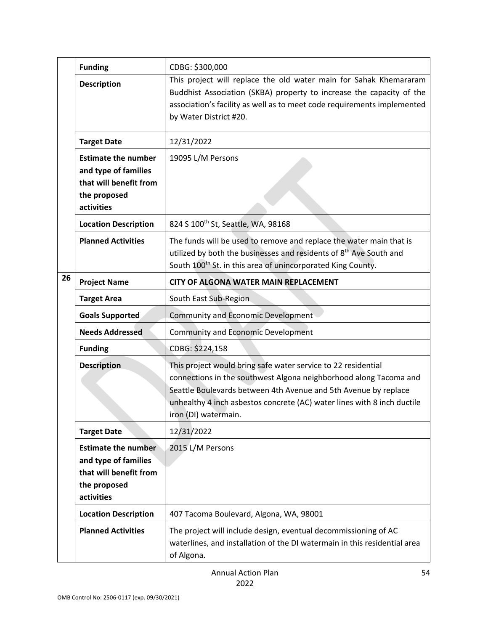|    | <b>Funding</b>                                                                                             | CDBG: \$300,000                                                                                                                                                                                                                                                                                          |
|----|------------------------------------------------------------------------------------------------------------|----------------------------------------------------------------------------------------------------------------------------------------------------------------------------------------------------------------------------------------------------------------------------------------------------------|
|    | <b>Description</b>                                                                                         | This project will replace the old water main for Sahak Khemararam<br>Buddhist Association (SKBA) property to increase the capacity of the<br>association's facility as well as to meet code requirements implemented<br>by Water District #20.                                                           |
|    | <b>Target Date</b>                                                                                         | 12/31/2022                                                                                                                                                                                                                                                                                               |
|    | <b>Estimate the number</b><br>and type of families<br>that will benefit from<br>the proposed<br>activities | 19095 L/M Persons                                                                                                                                                                                                                                                                                        |
|    | <b>Location Description</b>                                                                                | 824 S 100 <sup>th</sup> St, Seattle, WA, 98168                                                                                                                                                                                                                                                           |
|    | <b>Planned Activities</b>                                                                                  | The funds will be used to remove and replace the water main that is<br>utilized by both the businesses and residents of 8 <sup>th</sup> Ave South and<br>South 100 <sup>th</sup> St. in this area of unincorporated King County.                                                                         |
| 26 | <b>Project Name</b>                                                                                        | <b>CITY OF ALGONA WATER MAIN REPLACEMENT</b>                                                                                                                                                                                                                                                             |
|    | <b>Target Area</b>                                                                                         | South East Sub-Region                                                                                                                                                                                                                                                                                    |
|    | <b>Goals Supported</b>                                                                                     | <b>Community and Economic Development</b>                                                                                                                                                                                                                                                                |
|    | <b>Needs Addressed</b>                                                                                     | <b>Community and Economic Development</b>                                                                                                                                                                                                                                                                |
|    | <b>Funding</b>                                                                                             | CDBG: \$224,158                                                                                                                                                                                                                                                                                          |
|    | <b>Description</b>                                                                                         | This project would bring safe water service to 22 residential<br>connections in the southwest Algona neighborhood along Tacoma and<br>Seattle Boulevards between 4th Avenue and 5th Avenue by replace<br>unhealthy 4 inch asbestos concrete (AC) water lines with 8 inch ductile<br>iron (DI) watermain. |
|    | <b>Target Date</b>                                                                                         | 12/31/2022                                                                                                                                                                                                                                                                                               |
|    | <b>Estimate the number</b><br>and type of families<br>that will benefit from<br>the proposed<br>activities | 2015 L/M Persons                                                                                                                                                                                                                                                                                         |
|    | <b>Location Description</b>                                                                                | 407 Tacoma Boulevard, Algona, WA, 98001                                                                                                                                                                                                                                                                  |
|    | <b>Planned Activities</b>                                                                                  | The project will include design, eventual decommissioning of AC<br>waterlines, and installation of the DI watermain in this residential area<br>of Algona.                                                                                                                                               |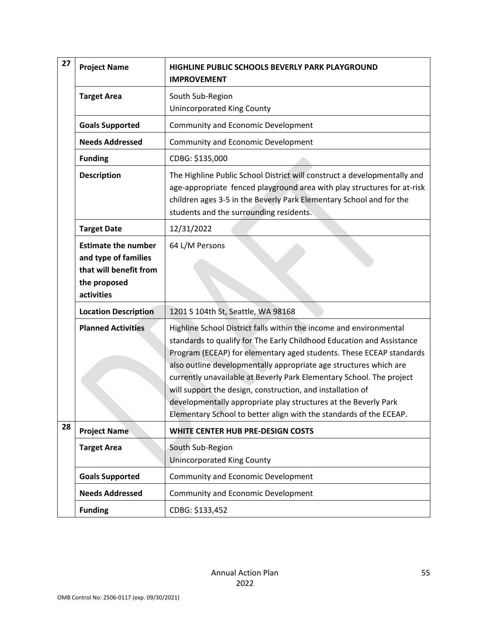| 27 | <b>Project Name</b>                                                                                        | HIGHLINE PUBLIC SCHOOLS BEVERLY PARK PLAYGROUND<br><b>IMPROVEMENT</b>                                                                                                                                                                                                                                                                                                                                                                                                                                                                                                  |
|----|------------------------------------------------------------------------------------------------------------|------------------------------------------------------------------------------------------------------------------------------------------------------------------------------------------------------------------------------------------------------------------------------------------------------------------------------------------------------------------------------------------------------------------------------------------------------------------------------------------------------------------------------------------------------------------------|
|    | <b>Target Area</b>                                                                                         | South Sub-Region<br><b>Unincorporated King County</b>                                                                                                                                                                                                                                                                                                                                                                                                                                                                                                                  |
|    | <b>Goals Supported</b>                                                                                     | Community and Economic Development                                                                                                                                                                                                                                                                                                                                                                                                                                                                                                                                     |
|    | <b>Needs Addressed</b>                                                                                     | Community and Economic Development                                                                                                                                                                                                                                                                                                                                                                                                                                                                                                                                     |
|    | <b>Funding</b>                                                                                             | CDBG: \$135,000                                                                                                                                                                                                                                                                                                                                                                                                                                                                                                                                                        |
|    | <b>Description</b>                                                                                         | The Highline Public School District will construct a developmentally and<br>age-appropriate fenced playground area with play structures for at-risk<br>children ages 3-5 in the Beverly Park Elementary School and for the<br>students and the surrounding residents.                                                                                                                                                                                                                                                                                                  |
|    | <b>Target Date</b>                                                                                         | 12/31/2022                                                                                                                                                                                                                                                                                                                                                                                                                                                                                                                                                             |
|    | <b>Estimate the number</b><br>and type of families<br>that will benefit from<br>the proposed<br>activities | 64 L/M Persons                                                                                                                                                                                                                                                                                                                                                                                                                                                                                                                                                         |
|    | <b>Location Description</b>                                                                                | 1201 S 104th St, Seattle, WA 98168                                                                                                                                                                                                                                                                                                                                                                                                                                                                                                                                     |
|    | <b>Planned Activities</b>                                                                                  | Highline School District falls within the income and environmental<br>standards to qualify for The Early Childhood Education and Assistance<br>Program (ECEAP) for elementary aged students. These ECEAP standards<br>also outline developmentally appropriate age structures which are<br>currently unavailable at Beverly Park Elementary School. The project<br>will support the design, construction, and installation of<br>developmentally appropriate play structures at the Beverly Park<br>Elementary School to better align with the standards of the ECEAP. |
| 28 | <b>Project Name</b>                                                                                        | <b>WHITE CENTER HUB PRE-DESIGN COSTS</b>                                                                                                                                                                                                                                                                                                                                                                                                                                                                                                                               |
|    | <b>Target Area</b>                                                                                         | South Sub-Region<br><b>Unincorporated King County</b>                                                                                                                                                                                                                                                                                                                                                                                                                                                                                                                  |
|    | <b>Goals Supported</b>                                                                                     | <b>Community and Economic Development</b>                                                                                                                                                                                                                                                                                                                                                                                                                                                                                                                              |
|    | <b>Needs Addressed</b>                                                                                     | Community and Economic Development                                                                                                                                                                                                                                                                                                                                                                                                                                                                                                                                     |
|    | <b>Funding</b>                                                                                             | CDBG: \$133,452                                                                                                                                                                                                                                                                                                                                                                                                                                                                                                                                                        |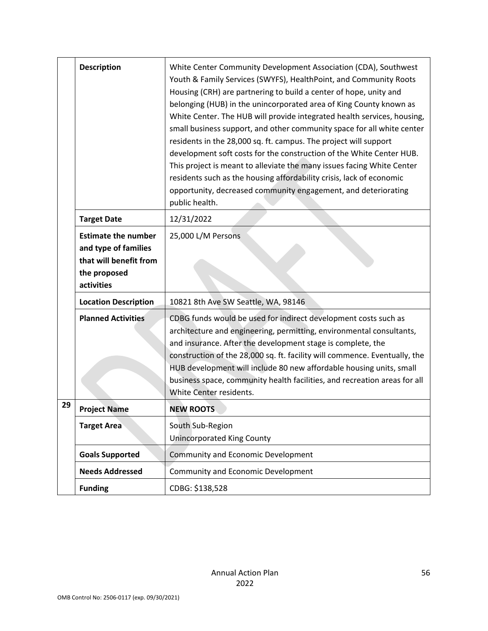|    | <b>Description</b>                                                                                         | White Center Community Development Association (CDA), Southwest<br>Youth & Family Services (SWYFS), HealthPoint, and Community Roots<br>Housing (CRH) are partnering to build a center of hope, unity and<br>belonging (HUB) in the unincorporated area of King County known as<br>White Center. The HUB will provide integrated health services, housing,<br>small business support, and other community space for all white center<br>residents in the 28,000 sq. ft. campus. The project will support<br>development soft costs for the construction of the White Center HUB.<br>This project is meant to alleviate the many issues facing White Center<br>residents such as the housing affordability crisis, lack of economic<br>opportunity, decreased community engagement, and deteriorating<br>public health. |
|----|------------------------------------------------------------------------------------------------------------|------------------------------------------------------------------------------------------------------------------------------------------------------------------------------------------------------------------------------------------------------------------------------------------------------------------------------------------------------------------------------------------------------------------------------------------------------------------------------------------------------------------------------------------------------------------------------------------------------------------------------------------------------------------------------------------------------------------------------------------------------------------------------------------------------------------------|
|    | <b>Target Date</b>                                                                                         | 12/31/2022                                                                                                                                                                                                                                                                                                                                                                                                                                                                                                                                                                                                                                                                                                                                                                                                             |
|    | <b>Estimate the number</b><br>and type of families<br>that will benefit from<br>the proposed<br>activities | 25,000 L/M Persons                                                                                                                                                                                                                                                                                                                                                                                                                                                                                                                                                                                                                                                                                                                                                                                                     |
|    | <b>Location Description</b>                                                                                | 10821 8th Ave SW Seattle, WA, 98146                                                                                                                                                                                                                                                                                                                                                                                                                                                                                                                                                                                                                                                                                                                                                                                    |
|    | <b>Planned Activities</b>                                                                                  | CDBG funds would be used for indirect development costs such as<br>architecture and engineering, permitting, environmental consultants,<br>and insurance. After the development stage is complete, the<br>construction of the 28,000 sq. ft. facility will commence. Eventually, the<br>HUB development will include 80 new affordable housing units, small<br>business space, community health facilities, and recreation areas for all<br>White Center residents.                                                                                                                                                                                                                                                                                                                                                    |
| 29 | <b>Project Name</b>                                                                                        | <b>NEW ROOTS</b>                                                                                                                                                                                                                                                                                                                                                                                                                                                                                                                                                                                                                                                                                                                                                                                                       |
|    | <b>Target Area</b>                                                                                         | South Sub-Region<br><b>Unincorporated King County</b>                                                                                                                                                                                                                                                                                                                                                                                                                                                                                                                                                                                                                                                                                                                                                                  |
|    | <b>Goals Supported</b>                                                                                     | <b>Community and Economic Development</b>                                                                                                                                                                                                                                                                                                                                                                                                                                                                                                                                                                                                                                                                                                                                                                              |
|    | <b>Needs Addressed</b>                                                                                     | <b>Community and Economic Development</b>                                                                                                                                                                                                                                                                                                                                                                                                                                                                                                                                                                                                                                                                                                                                                                              |
|    | <b>Funding</b>                                                                                             | CDBG: \$138,528                                                                                                                                                                                                                                                                                                                                                                                                                                                                                                                                                                                                                                                                                                                                                                                                        |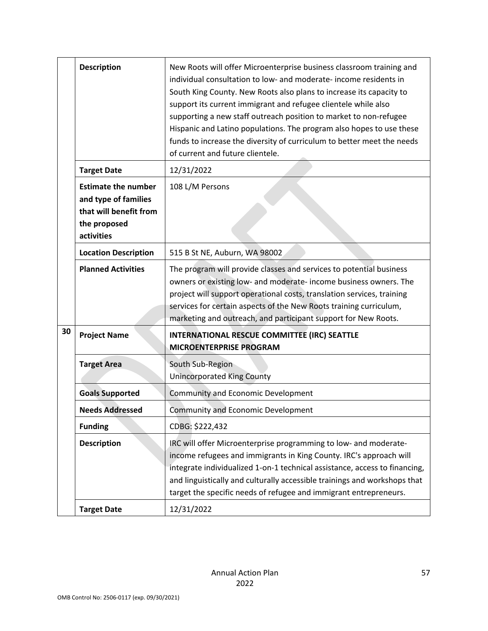|    | <b>Description</b>                                                                                         | New Roots will offer Microenterprise business classroom training and<br>individual consultation to low- and moderate- income residents in<br>South King County. New Roots also plans to increase its capacity to<br>support its current immigrant and refugee clientele while also<br>supporting a new staff outreach position to market to non-refugee<br>Hispanic and Latino populations. The program also hopes to use these<br>funds to increase the diversity of curriculum to better meet the needs<br>of current and future clientele. |
|----|------------------------------------------------------------------------------------------------------------|-----------------------------------------------------------------------------------------------------------------------------------------------------------------------------------------------------------------------------------------------------------------------------------------------------------------------------------------------------------------------------------------------------------------------------------------------------------------------------------------------------------------------------------------------|
|    | <b>Target Date</b>                                                                                         | 12/31/2022                                                                                                                                                                                                                                                                                                                                                                                                                                                                                                                                    |
|    | <b>Estimate the number</b><br>and type of families<br>that will benefit from<br>the proposed<br>activities | 108 L/M Persons                                                                                                                                                                                                                                                                                                                                                                                                                                                                                                                               |
|    | <b>Location Description</b>                                                                                | 515 B St NE, Auburn, WA 98002                                                                                                                                                                                                                                                                                                                                                                                                                                                                                                                 |
|    | <b>Planned Activities</b>                                                                                  | The program will provide classes and services to potential business<br>owners or existing low- and moderate- income business owners. The<br>project will support operational costs, translation services, training<br>services for certain aspects of the New Roots training curriculum,<br>marketing and outreach, and participant support for New Roots.                                                                                                                                                                                    |
| 30 | <b>Project Name</b>                                                                                        | INTERNATIONAL RESCUE COMMITTEE (IRC) SEATTLE<br><b>MICROENTERPRISE PROGRAM</b>                                                                                                                                                                                                                                                                                                                                                                                                                                                                |
|    | <b>Target Area</b>                                                                                         | South Sub-Region<br><b>Unincorporated King County</b>                                                                                                                                                                                                                                                                                                                                                                                                                                                                                         |
|    | <b>Goals Supported</b>                                                                                     | Community and Economic Development                                                                                                                                                                                                                                                                                                                                                                                                                                                                                                            |
|    | <b>Needs Addressed</b>                                                                                     | <b>Community and Economic Development</b>                                                                                                                                                                                                                                                                                                                                                                                                                                                                                                     |
|    | <b>Funding</b>                                                                                             | CDBG: \$222,432                                                                                                                                                                                                                                                                                                                                                                                                                                                                                                                               |
|    | <b>Description</b>                                                                                         | IRC will offer Microenterprise programming to low- and moderate-<br>income refugees and immigrants in King County. IRC's approach will<br>integrate individualized 1-on-1 technical assistance, access to financing,<br>and linguistically and culturally accessible trainings and workshops that<br>target the specific needs of refugee and immigrant entrepreneurs.                                                                                                                                                                        |
|    | <b>Target Date</b>                                                                                         | 12/31/2022                                                                                                                                                                                                                                                                                                                                                                                                                                                                                                                                    |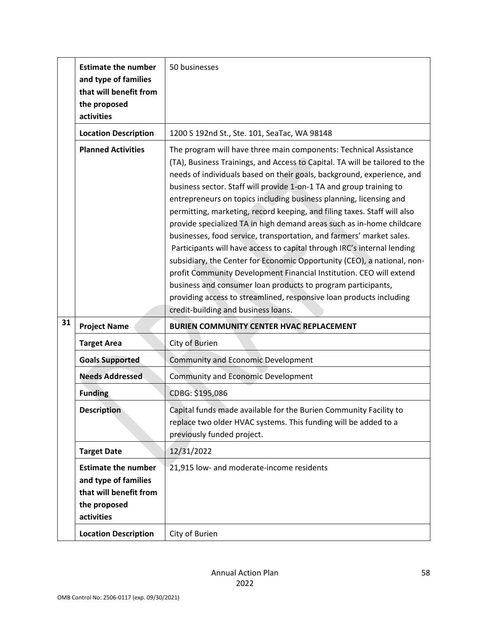|    | <b>Estimate the number</b><br>and type of families<br>that will benefit from<br>the proposed<br>activities                                | 50 businesses                                                                                                                                                                                                                                                                                                                                                                                                                                                                                                                                                                                                                                                                                                                                                                                                                                                                                                                                                            |
|----|-------------------------------------------------------------------------------------------------------------------------------------------|--------------------------------------------------------------------------------------------------------------------------------------------------------------------------------------------------------------------------------------------------------------------------------------------------------------------------------------------------------------------------------------------------------------------------------------------------------------------------------------------------------------------------------------------------------------------------------------------------------------------------------------------------------------------------------------------------------------------------------------------------------------------------------------------------------------------------------------------------------------------------------------------------------------------------------------------------------------------------|
|    | <b>Location Description</b>                                                                                                               | 1200 S 192nd St., Ste. 101, SeaTac, WA 98148                                                                                                                                                                                                                                                                                                                                                                                                                                                                                                                                                                                                                                                                                                                                                                                                                                                                                                                             |
|    | <b>Planned Activities</b>                                                                                                                 | The program will have three main components: Technical Assistance<br>(TA), Business Trainings, and Access to Capital. TA will be tailored to the<br>needs of individuals based on their goals, background, experience, and<br>business sector. Staff will provide 1-on-1 TA and group training to<br>entrepreneurs on topics including business planning, licensing and<br>permitting, marketing, record keeping, and filing taxes. Staff will also<br>provide specialized TA in high demand areas such as in-home childcare<br>businesses, food service, transportation, and farmers' market sales.<br>Participants will have access to capital through IRC's internal lending<br>subsidiary, the Center for Economic Opportunity (CEO), a national, non-<br>profit Community Development Financial Institution. CEO will extend<br>business and consumer loan products to program participants,<br>providing access to streamlined, responsive loan products including |
|    |                                                                                                                                           | credit-building and business loans.                                                                                                                                                                                                                                                                                                                                                                                                                                                                                                                                                                                                                                                                                                                                                                                                                                                                                                                                      |
| 31 | <b>Project Name</b>                                                                                                                       | <b>BURIEN COMMUNITY CENTER HVAC REPLACEMENT</b>                                                                                                                                                                                                                                                                                                                                                                                                                                                                                                                                                                                                                                                                                                                                                                                                                                                                                                                          |
|    | <b>Target Area</b>                                                                                                                        | City of Burien                                                                                                                                                                                                                                                                                                                                                                                                                                                                                                                                                                                                                                                                                                                                                                                                                                                                                                                                                           |
|    | <b>Goals Supported</b>                                                                                                                    | <b>Community and Economic Development</b>                                                                                                                                                                                                                                                                                                                                                                                                                                                                                                                                                                                                                                                                                                                                                                                                                                                                                                                                |
|    | <b>Needs Addressed</b>                                                                                                                    | <b>Community and Economic Development</b>                                                                                                                                                                                                                                                                                                                                                                                                                                                                                                                                                                                                                                                                                                                                                                                                                                                                                                                                |
|    | <b>Funding</b>                                                                                                                            | CDBG: \$195,086                                                                                                                                                                                                                                                                                                                                                                                                                                                                                                                                                                                                                                                                                                                                                                                                                                                                                                                                                          |
|    | <b>Description</b>                                                                                                                        | Capital funds made available for the Burien Community Facility to<br>replace two older HVAC systems. This funding will be added to a<br>previously funded project.                                                                                                                                                                                                                                                                                                                                                                                                                                                                                                                                                                                                                                                                                                                                                                                                       |
|    | <b>Target Date</b>                                                                                                                        | 12/31/2022                                                                                                                                                                                                                                                                                                                                                                                                                                                                                                                                                                                                                                                                                                                                                                                                                                                                                                                                                               |
|    | <b>Estimate the number</b><br>and type of families<br>that will benefit from<br>the proposed<br>activities<br><b>Location Description</b> | 21,915 low- and moderate-income residents<br>City of Burien                                                                                                                                                                                                                                                                                                                                                                                                                                                                                                                                                                                                                                                                                                                                                                                                                                                                                                              |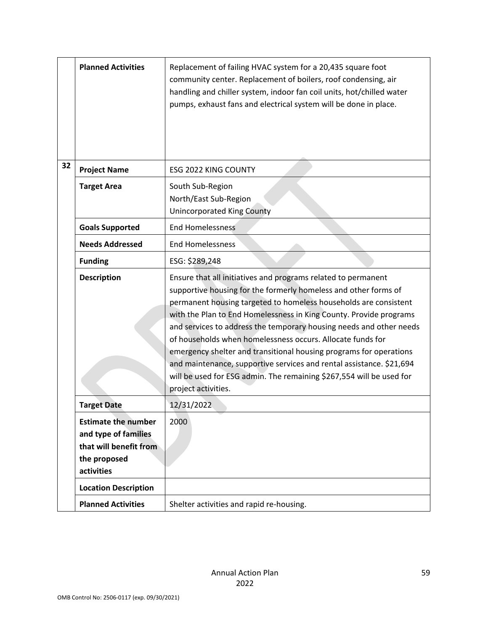|    | <b>Planned Activities</b>                                                                                  | Replacement of failing HVAC system for a 20,435 square foot<br>community center. Replacement of boilers, roof condensing, air<br>handling and chiller system, indoor fan coil units, hot/chilled water<br>pumps, exhaust fans and electrical system will be done in place.                                                                                                                                                                                                                                                                                                                                                                                   |
|----|------------------------------------------------------------------------------------------------------------|--------------------------------------------------------------------------------------------------------------------------------------------------------------------------------------------------------------------------------------------------------------------------------------------------------------------------------------------------------------------------------------------------------------------------------------------------------------------------------------------------------------------------------------------------------------------------------------------------------------------------------------------------------------|
| 32 | <b>Project Name</b>                                                                                        | ESG 2022 KING COUNTY                                                                                                                                                                                                                                                                                                                                                                                                                                                                                                                                                                                                                                         |
|    | <b>Target Area</b>                                                                                         | South Sub-Region<br>North/East Sub-Region<br><b>Unincorporated King County</b>                                                                                                                                                                                                                                                                                                                                                                                                                                                                                                                                                                               |
|    | <b>Goals Supported</b>                                                                                     | <b>End Homelessness</b>                                                                                                                                                                                                                                                                                                                                                                                                                                                                                                                                                                                                                                      |
|    | <b>Needs Addressed</b>                                                                                     | <b>End Homelessness</b>                                                                                                                                                                                                                                                                                                                                                                                                                                                                                                                                                                                                                                      |
|    | <b>Funding</b>                                                                                             | ESG: \$289,248                                                                                                                                                                                                                                                                                                                                                                                                                                                                                                                                                                                                                                               |
|    | <b>Description</b>                                                                                         | Ensure that all initiatives and programs related to permanent<br>supportive housing for the formerly homeless and other forms of<br>permanent housing targeted to homeless households are consistent<br>with the Plan to End Homelessness in King County. Provide programs<br>and services to address the temporary housing needs and other needs<br>of households when homelessness occurs. Allocate funds for<br>emergency shelter and transitional housing programs for operations<br>and maintenance, supportive services and rental assistance. \$21,694<br>will be used for ESG admin. The remaining \$267,554 will be used for<br>project activities. |
|    | <b>Target Date</b>                                                                                         | 12/31/2022                                                                                                                                                                                                                                                                                                                                                                                                                                                                                                                                                                                                                                                   |
|    | <b>Estimate the number</b><br>and type of families<br>that will benefit from<br>the proposed<br>activities | 2000                                                                                                                                                                                                                                                                                                                                                                                                                                                                                                                                                                                                                                                         |
|    | <b>Location Description</b>                                                                                |                                                                                                                                                                                                                                                                                                                                                                                                                                                                                                                                                                                                                                                              |
|    | <b>Planned Activities</b>                                                                                  | Shelter activities and rapid re-housing.                                                                                                                                                                                                                                                                                                                                                                                                                                                                                                                                                                                                                     |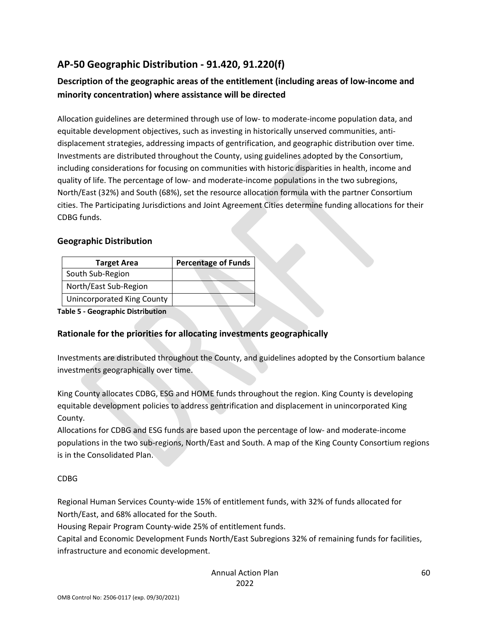# **AP-50 Geographic Distribution - 91.420, 91.220(f)**

## **Description of the geographic areas of the entitlement (including areas of low-income and minority concentration) where assistance will be directed**

Allocation guidelines are determined through use of low- to moderate-income population data, and equitable development objectives, such as investing in historically unserved communities, antidisplacement strategies, addressing impacts of gentrification, and geographic distribution over time. Investments are distributed throughout the County, using guidelines adopted by the Consortium, including considerations for focusing on communities with historic disparities in health, income and quality of life. The percentage of low- and moderate-income populations in the two subregions, North/East (32%) and South (68%), set the resource allocation formula with the partner Consortium cities. The Participating Jurisdictions and Joint Agreement Cities determine funding allocations for their CDBG funds.

#### **Geographic Distribution**

| <b>Target Area</b>                | <b>Percentage of Funds</b> |
|-----------------------------------|----------------------------|
| South Sub-Region                  |                            |
| North/East Sub-Region             |                            |
| <b>Unincorporated King County</b> |                            |

**Table 5 - Geographic Distribution** 

## **Rationale for the priorities for allocating investments geographically**

Investments are distributed throughout the County, and guidelines adopted by the Consortium balance investments geographically over time.

King County allocates CDBG, ESG and HOME funds throughout the region. King County is developing equitable development policies to address gentrification and displacement in unincorporated King County.

Allocations for CDBG and ESG funds are based upon the percentage of low- and moderate-income populations in the two sub-regions, North/East and South. A map of the King County Consortium regions is in the Consolidated Plan.

#### CDBG

Regional Human Services County-wide 15% of entitlement funds, with 32% of funds allocated for North/East, and 68% allocated for the South.

Housing Repair Program County-wide 25% of entitlement funds.

Capital and Economic Development Funds North/East Subregions 32% of remaining funds for facilities, infrastructure and economic development.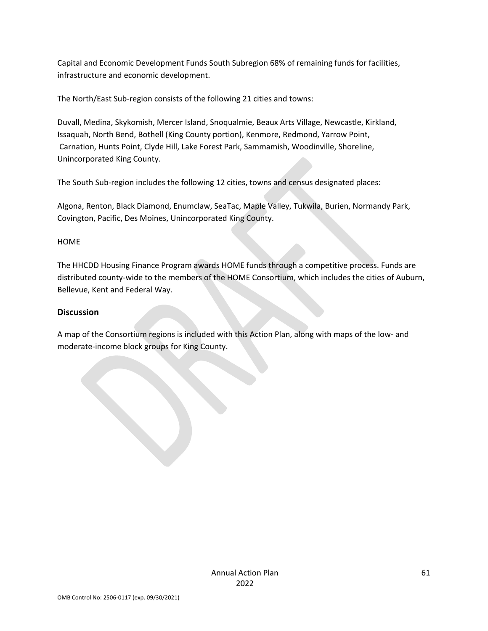Capital and Economic Development Funds South Subregion 68% of remaining funds for facilities, infrastructure and economic development.

The North/East Sub-region consists of the following 21 cities and towns:

Duvall, Medina, Skykomish, Mercer Island, Snoqualmie, Beaux Arts Village, Newcastle, Kirkland, Issaquah, North Bend, Bothell (King County portion), Kenmore, Redmond, Yarrow Point, Carnation, Hunts Point, Clyde Hill, Lake Forest Park, Sammamish, Woodinville, Shoreline, Unincorporated King County.

The South Sub-region includes the following 12 cities, towns and census designated places:

Algona, Renton, Black Diamond, Enumclaw, SeaTac, Maple Valley, Tukwila, Burien, Normandy Park, Covington, Pacific, Des Moines, Unincorporated King County.

HOME

The HHCDD Housing Finance Program awards HOME funds through a competitive process. Funds are distributed county-wide to the members of the HOME Consortium, which includes the cities of Auburn, Bellevue, Kent and Federal Way.

## **Discussion**

A map of the Consortium regions is included with this Action Plan, along with maps of the low- and moderate-income block groups for King County.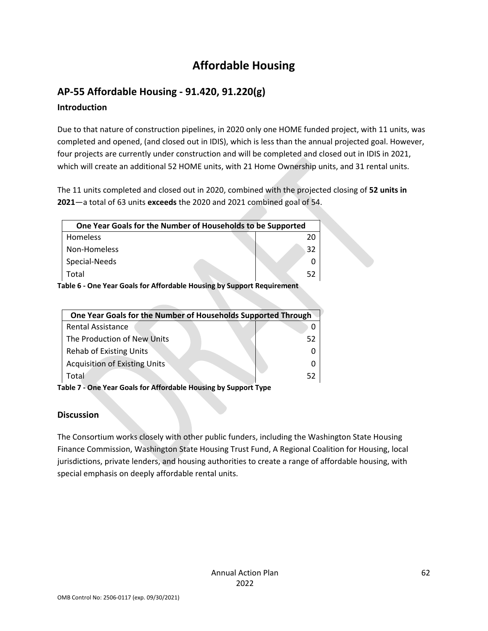# **Affordable Housing**

# **AP-55 Affordable Housing - 91.420, 91.220(g)**

## **Introduction**

Due to that nature of construction pipelines, in 2020 only one HOME funded project, with 11 units, was completed and opened, (and closed out in IDIS), which is less than the annual projected goal. However, four projects are currently under construction and will be completed and closed out in IDIS in 2021, which will create an additional 52 HOME units, with 21 Home Ownership units, and 31 rental units.

The 11 units completed and closed out in 2020, combined with the projected closing of **52 units in 2021**—a total of 63 units **exceeds** the 2020 and 2021 combined goal of 54.

| One Year Goals for the Number of Households to be Supported          |    |  |
|----------------------------------------------------------------------|----|--|
| Homeless                                                             |    |  |
| Non-Homeless                                                         | 32 |  |
| Special-Needs                                                        |    |  |
| Total                                                                | 52 |  |
| able G. One Vear Goals for Affordable Housing by Sunnert Pequirement |    |  |

**Table 6 - One Year Goals for Affordable Housing by Support Requirement**

| One Year Goals for the Number of Households Supported Through |    |
|---------------------------------------------------------------|----|
| Rental Assistance                                             |    |
| The Production of New Units                                   | 52 |
| <b>Rehab of Existing Units</b>                                |    |
| <b>Acquisition of Existing Units</b>                          |    |
| Total                                                         | 52 |

**Table 7 - One Year Goals for Affordable Housing by Support Type**

## **Discussion**

The Consortium works closely with other public funders, including the Washington State Housing Finance Commission, Washington State Housing Trust Fund, A Regional Coalition for Housing, local jurisdictions, private lenders, and housing authorities to create a range of affordable housing, with special emphasis on deeply affordable rental units.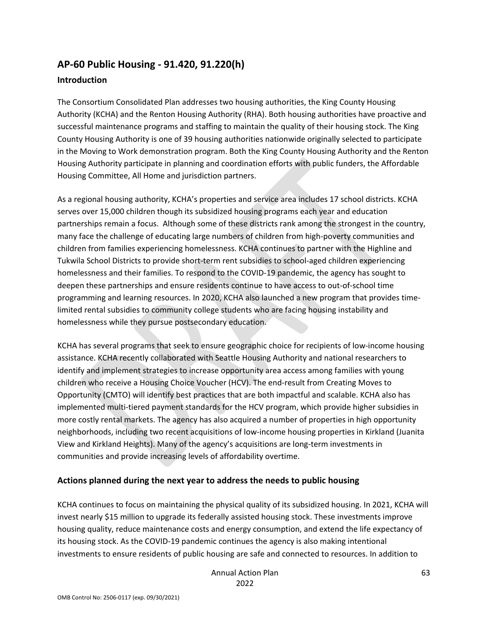# **AP-60 Public Housing - 91.420, 91.220(h) Introduction**

The Consortium Consolidated Plan addresses two housing authorities, the King County Housing Authority (KCHA) and the Renton Housing Authority (RHA). Both housing authorities have proactive and successful maintenance programs and staffing to maintain the quality of their housing stock. The King County Housing Authority is one of 39 housing authorities nationwide originally selected to participate in the Moving to Work demonstration program. Both the King County Housing Authority and the Renton Housing Authority participate in planning and coordination efforts with public funders, the Affordable Housing Committee, All Home and jurisdiction partners.

As a regional housing authority, KCHA's properties and service area includes 17 school districts. KCHA serves over 15,000 children though its subsidized housing programs each year and education partnerships remain a focus. Although some of these districts rank among the strongest in the country, many face the challenge of educating large numbers of children from high-poverty communities and children from families experiencing homelessness. KCHA continues to partner with the Highline and Tukwila School Districts to provide short-term rent subsidies to school-aged children experiencing homelessness and their families. To respond to the COVID-19 pandemic, the agency has sought to deepen these partnerships and ensure residents continue to have access to out-of-school time programming and learning resources. In 2020, KCHA also launched a new program that provides timelimited rental subsidies to community college students who are facing housing instability and homelessness while they pursue postsecondary education.

KCHA has several programs that seek to ensure geographic choice for recipients of low-income housing assistance. KCHA recently collaborated with Seattle Housing Authority and national researchers to identify and implement strategies to increase opportunity area access among families with young children who receive a Housing Choice Voucher (HCV). The end-result from Creating Moves to Opportunity (CMTO) will identify best practices that are both impactful and scalable. KCHA also has implemented multi-tiered payment standards for the HCV program, which provide higher subsidies in more costly rental markets. The agency has also acquired a number of properties in high opportunity neighborhoods, including two recent acquisitions of low-income housing properties in Kirkland (Juanita View and Kirkland Heights). Many of the agency's acquisitions are long-term investments in communities and provide increasing levels of affordability overtime.

## **Actions planned during the next year to address the needs to public housing**

KCHA continues to focus on maintaining the physical quality of its subsidized housing. In 2021, KCHA will invest nearly \$15 million to upgrade its federally assisted housing stock. These investments improve housing quality, reduce maintenance costs and energy consumption, and extend the life expectancy of its housing stock. As the COVID-19 pandemic continues the agency is also making intentional investments to ensure residents of public housing are safe and connected to resources. In addition to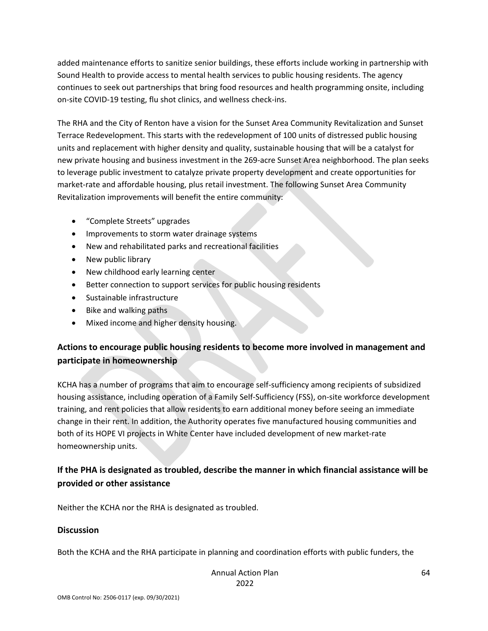added maintenance efforts to sanitize senior buildings, these efforts include working in partnership with Sound Health to provide access to mental health services to public housing residents. The agency continues to seek out partnerships that bring food resources and health programming onsite, including on-site COVID-19 testing, flu shot clinics, and wellness check-ins.

The RHA and the City of Renton have a vision for the Sunset Area Community Revitalization and Sunset Terrace Redevelopment. This starts with the redevelopment of 100 units of distressed public housing units and replacement with higher density and quality, sustainable housing that will be a catalyst for new private housing and business investment in the 269-acre Sunset Area neighborhood. The plan seeks to leverage public investment to catalyze private property development and create opportunities for market-rate and affordable housing, plus retail investment. The following Sunset Area Community Revitalization improvements will benefit the entire community:

- "Complete Streets" upgrades
- Improvements to storm water drainage systems
- New and rehabilitated parks and recreational facilities
- New public library
- New childhood early learning center
- Better connection to support services for public housing residents
- Sustainable infrastructure
- Bike and walking paths
- Mixed income and higher density housing.

## **Actions to encourage public housing residents to become more involved in management and participate in homeownership**

KCHA has a number of programs that aim to encourage self-sufficiency among recipients of subsidized housing assistance, including operation of a Family Self-Sufficiency (FSS), on-site workforce development training, and rent policies that allow residents to earn additional money before seeing an immediate change in their rent. In addition, the Authority operates five manufactured housing communities and both of its HOPE VI projects in White Center have included development of new market-rate homeownership units.

## **If the PHA is designated as troubled, describe the manner in which financial assistance will be provided or other assistance**

Neither the KCHA nor the RHA is designated as troubled.

#### **Discussion**

Both the KCHA and the RHA participate in planning and coordination efforts with public funders, the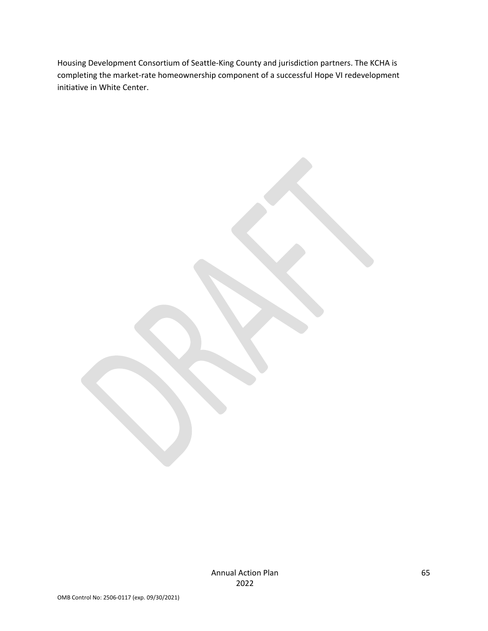Housing Development Consortium of Seattle-King County and jurisdiction partners. The KCHA is completing the market-rate homeownership component of a successful Hope VI redevelopment initiative in White Center.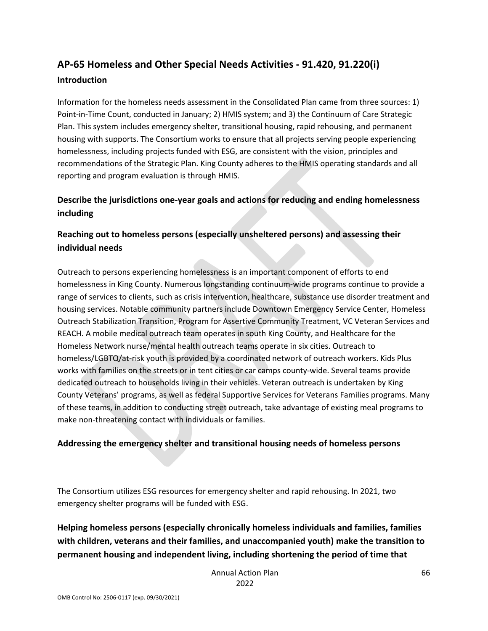# **AP-65 Homeless and Other Special Needs Activities - 91.420, 91.220(i) Introduction**

Information for the homeless needs assessment in the Consolidated Plan came from three sources: 1) Point-in-Time Count, conducted in January; 2) HMIS system; and 3) the Continuum of Care Strategic Plan. This system includes emergency shelter, transitional housing, rapid rehousing, and permanent housing with supports. The Consortium works to ensure that all projects serving people experiencing homelessness, including projects funded with ESG, are consistent with the vision, principles and recommendations of the Strategic Plan. King County adheres to the HMIS operating standards and all reporting and program evaluation is through HMIS.

## **Describe the jurisdictions one-year goals and actions for reducing and ending homelessness including**

## **Reaching out to homeless persons (especially unsheltered persons) and assessing their individual needs**

Outreach to persons experiencing homelessness is an important component of efforts to end homelessness in King County. Numerous longstanding continuum-wide programs continue to provide a range of services to clients, such as crisis intervention, healthcare, substance use disorder treatment and housing services. Notable community partners include Downtown Emergency Service Center, Homeless Outreach Stabilization Transition, Program for Assertive Community Treatment, VC Veteran Services and REACH. A mobile medical outreach team operates in south King County, and Healthcare for the Homeless Network nurse/mental health outreach teams operate in six cities. Outreach to homeless/LGBTQ/at-risk youth is provided by a coordinated network of outreach workers. Kids Plus works with families on the streets or in tent cities or car camps county-wide. Several teams provide dedicated outreach to households living in their vehicles. Veteran outreach is undertaken by King County Veterans' programs, as well as federal Supportive Services for Veterans Families programs. Many of these teams, in addition to conducting street outreach, take advantage of existing meal programs to make non-threatening contact with individuals or families.

## **Addressing the emergency shelter and transitional housing needs of homeless persons**

The Consortium utilizes ESG resources for emergency shelter and rapid rehousing. In 2021, two emergency shelter programs will be funded with ESG.

## **Helping homeless persons (especially chronically homeless individuals and families, families with children, veterans and their families, and unaccompanied youth) make the transition to permanent housing and independent living, including shortening the period of time that**

Annual Action Plan 2022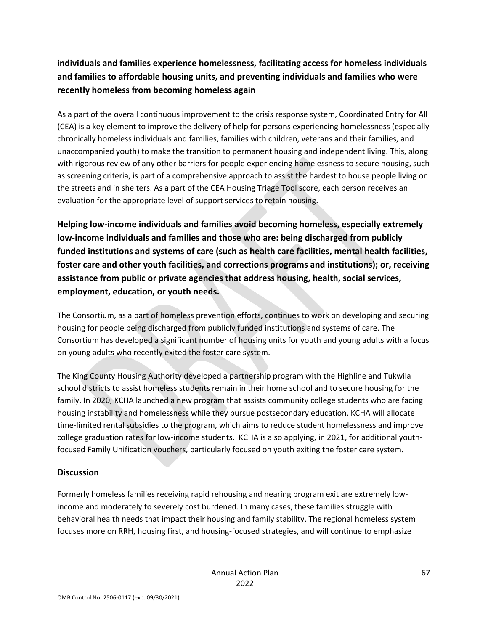## **individuals and families experience homelessness, facilitating access for homeless individuals and families to affordable housing units, and preventing individuals and families who were recently homeless from becoming homeless again**

As a part of the overall continuous improvement to the crisis response system, Coordinated Entry for All (CEA) is a key element to improve the delivery of help for persons experiencing homelessness (especially chronically homeless individuals and families, families with children, veterans and their families, and unaccompanied youth) to make the transition to permanent housing and independent living. This, along with rigorous review of any other barriers for people experiencing homelessness to secure housing, such as screening criteria, is part of a comprehensive approach to assist the hardest to house people living on the streets and in shelters. As a part of the CEA Housing Triage Tool score, each person receives an evaluation for the appropriate level of support services to retain housing.

**Helping low-income individuals and families avoid becoming homeless, especially extremely low-income individuals and families and those who are: being discharged from publicly funded institutions and systems of care (such as health care facilities, mental health facilities, foster care and other youth facilities, and corrections programs and institutions); or, receiving assistance from public or private agencies that address housing, health, social services, employment, education, or youth needs.**

The Consortium, as a part of homeless prevention efforts, continues to work on developing and securing housing for people being discharged from publicly funded institutions and systems of care. The Consortium has developed a significant number of housing units for youth and young adults with a focus on young adults who recently exited the foster care system.

The King County Housing Authority developed a partnership program with the Highline and Tukwila school districts to assist homeless students remain in their home school and to secure housing for the family. In 2020, KCHA launched a new program that assists community college students who are facing housing instability and homelessness while they pursue postsecondary education. KCHA will allocate time-limited rental subsidies to the program, which aims to reduce student homelessness and improve college graduation rates for low-income students. KCHA is also applying, in 2021, for additional youthfocused Family Unification vouchers, particularly focused on youth exiting the foster care system.

## **Discussion**

Formerly homeless families receiving rapid rehousing and nearing program exit are extremely lowincome and moderately to severely cost burdened. In many cases, these families struggle with behavioral health needs that impact their housing and family stability. The regional homeless system focuses more on RRH, housing first, and housing-focused strategies, and will continue to emphasize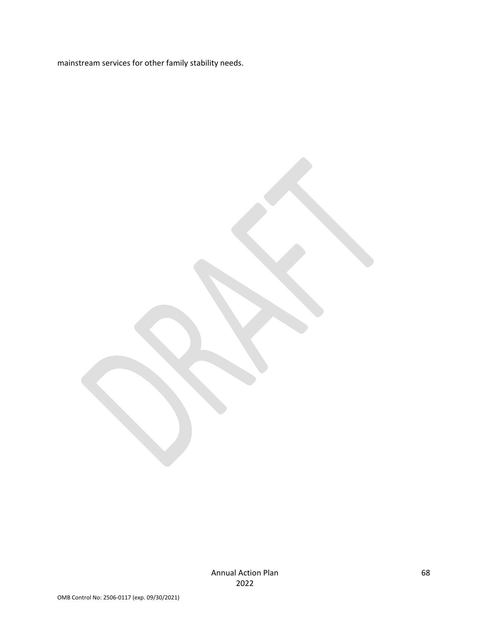mainstream services for other family stability needs.

Annual Action Plan 2022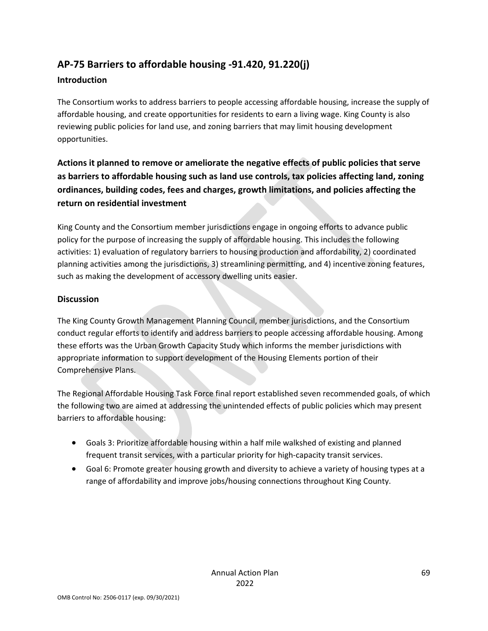# **AP-75 Barriers to affordable housing -91.420, 91.220(j)**

## **Introduction**

The Consortium works to address barriers to people accessing affordable housing, increase the supply of affordable housing, and create opportunities for residents to earn a living wage. King County is also reviewing public policies for land use, and zoning barriers that may limit housing development opportunities.

## **Actions it planned to remove or ameliorate the negative effects of public policies that serve as barriers to affordable housing such as land use controls, tax policies affecting land, zoning ordinances, building codes, fees and charges, growth limitations, and policies affecting the return on residential investment**

King County and the Consortium member jurisdictions engage in ongoing efforts to advance public policy for the purpose of increasing the supply of affordable housing. This includes the following activities: 1) evaluation of regulatory barriers to housing production and affordability, 2) coordinated planning activities among the jurisdictions, 3) streamlining permitting, and 4) incentive zoning features, such as making the development of accessory dwelling units easier.

## **Discussion**

The King County Growth Management Planning Council, member jurisdictions, and the Consortium conduct regular efforts to identify and address barriers to people accessing affordable housing. Among these efforts was the Urban Growth Capacity Study which informs the member jurisdictions with appropriate information to support development of the Housing Elements portion of their Comprehensive Plans.

The Regional Affordable Housing Task Force final report established seven recommended goals, of which the following two are aimed at addressing the unintended effects of public policies which may present barriers to affordable housing:

- Goals 3: Prioritize affordable housing within a half mile walkshed of existing and planned frequent transit services, with a particular priority for high-capacity transit services.
- Goal 6: Promote greater housing growth and diversity to achieve a variety of housing types at a range of affordability and improve jobs/housing connections throughout King County.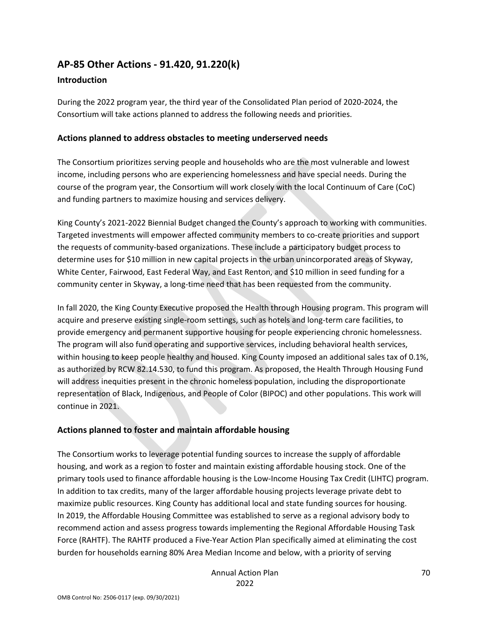## **AP-85 Other Actions - 91.420, 91.220(k)**

#### **Introduction**

During the 2022 program year, the third year of the Consolidated Plan period of 2020-2024, the Consortium will take actions planned to address the following needs and priorities.

#### **Actions planned to address obstacles to meeting underserved needs**

The Consortium prioritizes serving people and households who are the most vulnerable and lowest income, including persons who are experiencing homelessness and have special needs. During the course of the program year, the Consortium will work closely with the local Continuum of Care (CoC) and funding partners to maximize housing and services delivery.

King County's 2021-2022 Biennial Budget changed the County's approach to working with communities. Targeted investments will empower affected community members to co-create priorities and support the requests of community-based organizations. These include a participatory budget process to determine uses for \$10 million in new capital projects in the urban unincorporated areas of Skyway, White Center, Fairwood, East Federal Way, and East Renton, and \$10 million in seed funding for a community center in Skyway, a long-time need that has been requested from the community.

In fall 2020, the King County Executive proposed the Health through Housing program. This program will acquire and preserve existing single-room settings, such as hotels and long-term care facilities, to provide emergency and permanent supportive housing for people experiencing chronic homelessness. The program will also fund operating and supportive services, including behavioral health services, within housing to keep people healthy and housed. King County imposed an additional sales tax of 0.1%, as authorized by RCW 82.14.530, to fund this program. As proposed, the Health Through Housing Fund will address inequities present in the chronic homeless population, including the disproportionate representation of Black, Indigenous, and People of Color (BIPOC) and other populations. This work will continue in 2021.

## **Actions planned to foster and maintain affordable housing**

The Consortium works to leverage potential funding sources to increase the supply of affordable housing, and work as a region to foster and maintain existing affordable housing stock. One of the primary tools used to finance affordable housing is the Low-Income Housing Tax Credit (LIHTC) program. In addition to tax credits, many of the larger affordable housing projects leverage private debt to maximize public resources. King County has additional local and state funding sources for housing. In 2019, the Affordable Housing Committee was established to serve as a regional advisory body to recommend action and assess progress towards implementing the Regional Affordable Housing Task Force (RAHTF). The RAHTF produced a Five-Year Action Plan specifically aimed at eliminating the cost burden for households earning 80% Area Median Income and below, with a priority of serving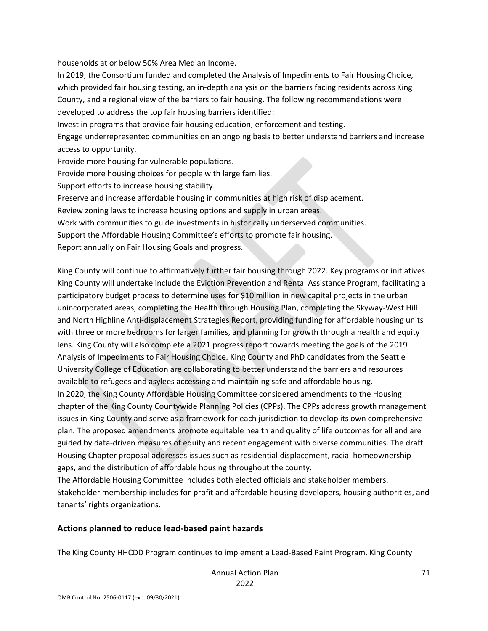households at or below 50% Area Median Income.

In 2019, the Consortium funded and completed the Analysis of Impediments to Fair Housing Choice, which provided fair housing testing, an in-depth analysis on the barriers facing residents across King County, and a regional view of the barriers to fair housing. The following recommendations were developed to address the top fair housing barriers identified: Invest in programs that provide fair housing education, enforcement and testing. Engage underrepresented communities on an ongoing basis to better understand barriers and increase access to opportunity. Provide more housing for vulnerable populations. Provide more housing choices for people with large families. Support efforts to increase housing stability. Preserve and increase affordable housing in communities at high risk of displacement. Review zoning laws to increase housing options and supply in urban areas. Work with communities to guide investments in historically underserved communities.

Support the Affordable Housing Committee's efforts to promote fair housing.

Report annually on Fair Housing Goals and progress.

King County will continue to affirmatively further fair housing through 2022. Key programs or initiatives King County will undertake include the Eviction Prevention and Rental Assistance Program, facilitating a participatory budget process to determine uses for \$10 million in new capital projects in the urban unincorporated areas, completing the Health through Housing Plan, completing the Skyway-West Hill and North Highline Anti-displacement Strategies Report, providing funding for affordable housing units with three or more bedrooms for larger families, and planning for growth through a health and equity lens. King County will also complete a 2021 progress report towards meeting the goals of the 2019 Analysis of Impediments to Fair Housing Choice. King County and PhD candidates from the Seattle University College of Education are collaborating to better understand the barriers and resources available to refugees and asylees accessing and maintaining safe and affordable housing. In 2020, the King County Affordable Housing Committee considered amendments to the Housing chapter of the King County Countywide Planning Policies (CPPs). The CPPs address growth management issues in King County and serve as a framework for each jurisdiction to develop its own comprehensive plan. The proposed amendments promote equitable health and quality of life outcomes for all and are

guided by data-driven measures of equity and recent engagement with diverse communities. The draft Housing Chapter proposal addresses issues such as residential displacement, racial homeownership gaps, and the distribution of affordable housing throughout the county.

The Affordable Housing Committee includes both elected officials and stakeholder members. Stakeholder membership includes for-profit and affordable housing developers, housing authorities, and tenants' rights organizations.

#### **Actions planned to reduce lead-based paint hazards**

The King County HHCDD Program continues to implement a Lead-Based Paint Program. King County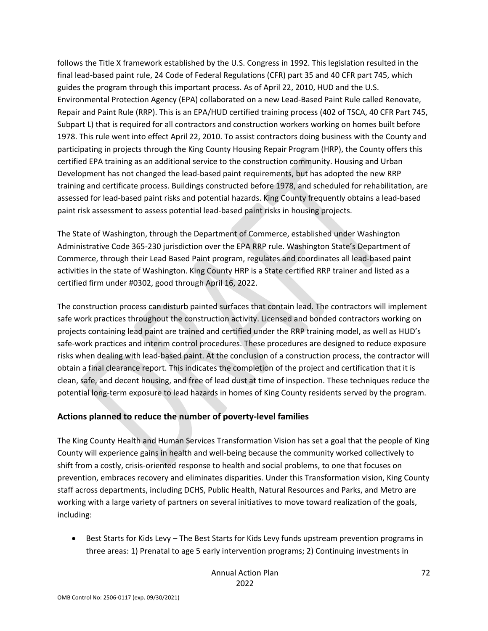follows the Title X framework established by the U.S. Congress in 1992. This legislation resulted in the final lead-based paint rule, 24 Code of Federal Regulations (CFR) part 35 and 40 CFR part 745, which guides the program through this important process. As of April 22, 2010, HUD and the U.S. Environmental Protection Agency (EPA) collaborated on a new Lead-Based Paint Rule called Renovate, Repair and Paint Rule (RRP). This is an EPA/HUD certified training process (402 of TSCA, 40 CFR Part 745, Subpart L) that is required for all contractors and construction workers working on homes built before 1978. This rule went into effect April 22, 2010. To assist contractors doing business with the County and participating in projects through the King County Housing Repair Program (HRP), the County offers this certified EPA training as an additional service to the construction community. Housing and Urban Development has not changed the lead-based paint requirements, but has adopted the new RRP training and certificate process. Buildings constructed before 1978, and scheduled for rehabilitation, are assessed for lead-based paint risks and potential hazards. King County frequently obtains a lead-based paint risk assessment to assess potential lead-based paint risks in housing projects.

The State of Washington, through the Department of Commerce, established under Washington Administrative Code 365-230 jurisdiction over the EPA RRP rule. Washington State's Department of Commerce, through their Lead Based Paint program, regulates and coordinates all lead-based paint activities in the state of Washington. King County HRP is a State certified RRP trainer and listed as a certified firm under #0302, good through April 16, 2022.

The construction process can disturb painted surfaces that contain lead. The contractors will implement safe work practices throughout the construction activity. Licensed and bonded contractors working on projects containing lead paint are trained and certified under the RRP training model, as well as HUD's safe-work practices and interim control procedures. These procedures are designed to reduce exposure risks when dealing with lead-based paint. At the conclusion of a construction process, the contractor will obtain a final clearance report. This indicates the completion of the project and certification that it is clean, safe, and decent housing, and free of lead dust at time of inspection. These techniques reduce the potential long-term exposure to lead hazards in homes of King County residents served by the program.

## **Actions planned to reduce the number of poverty-level families**

The King County Health and Human Services Transformation Vision has set a goal that the people of King County will experience gains in health and well-being because the community worked collectively to shift from a costly, crisis-oriented response to health and social problems, to one that focuses on prevention, embraces recovery and eliminates disparities. Under this Transformation vision, King County staff across departments, including DCHS, Public Health, Natural Resources and Parks, and Metro are working with a large variety of partners on several initiatives to move toward realization of the goals, including:

• Best Starts for Kids Levy – The Best Starts for Kids Levy funds upstream prevention programs in three areas: 1) Prenatal to age 5 early intervention programs; 2) Continuing investments in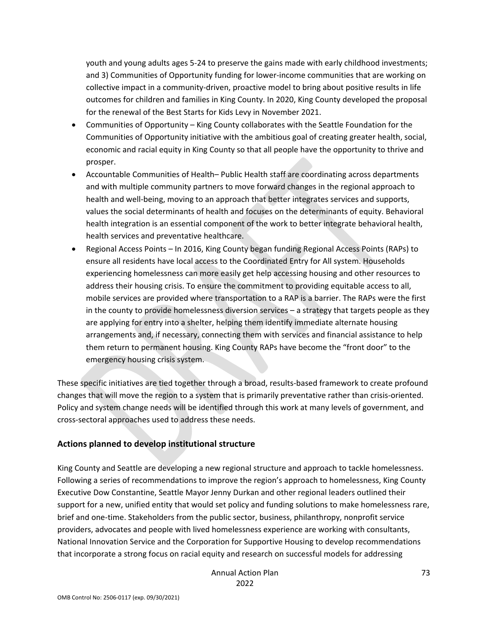youth and young adults ages 5-24 to preserve the gains made with early childhood investments; and 3) Communities of Opportunity funding for lower-income communities that are working on collective impact in a community-driven, proactive model to bring about positive results in life outcomes for children and families in King County. In 2020, King County developed the proposal for the renewal of the Best Starts for Kids Levy in November 2021.

- Communities of Opportunity King County collaborates with the Seattle Foundation for the Communities of Opportunity initiative with the ambitious goal of creating greater health, social, economic and racial equity in King County so that all people have the opportunity to thrive and prosper.
- Accountable Communities of Health– Public Health staff are coordinating across departments and with multiple community partners to move forward changes in the regional approach to health and well-being, moving to an approach that better integrates services and supports, values the social determinants of health and focuses on the determinants of equity. Behavioral health integration is an essential component of the work to better integrate behavioral health, health services and preventative healthcare.
- Regional Access Points In 2016, King County began funding Regional Access Points (RAPs) to ensure all residents have local access to the Coordinated Entry for All system. Households experiencing homelessness can more easily get help accessing housing and other resources to address their housing crisis. To ensure the commitment to providing equitable access to all, mobile services are provided where transportation to a RAP is a barrier. The RAPs were the first in the county to provide homelessness diversion services – a strategy that targets people as they are applying for entry into a shelter, helping them identify immediate alternate housing arrangements and, if necessary, connecting them with services and financial assistance to help them return to permanent housing. King County RAPs have become the "front door" to the emergency housing crisis system.

These specific initiatives are tied together through a broad, results-based framework to create profound changes that will move the region to a system that is primarily preventative rather than crisis-oriented. Policy and system change needs will be identified through this work at many levels of government, and cross-sectoral approaches used to address these needs.

# **Actions planned to develop institutional structure**

King County and Seattle are developing a new regional structure and approach to tackle homelessness. Following a series of recommendations to improve the region's approach to homelessness, King County Executive Dow Constantine, Seattle Mayor Jenny Durkan and other regional leaders outlined their support for a new, unified entity that would set policy and funding solutions to make homelessness rare, brief and one-time. Stakeholders from the public sector, business, philanthropy, nonprofit service providers, advocates and people with lived homelessness experience are working with consultants, National Innovation Service and the Corporation for Supportive Housing to develop recommendations that incorporate a strong focus on racial equity and research on successful models for addressing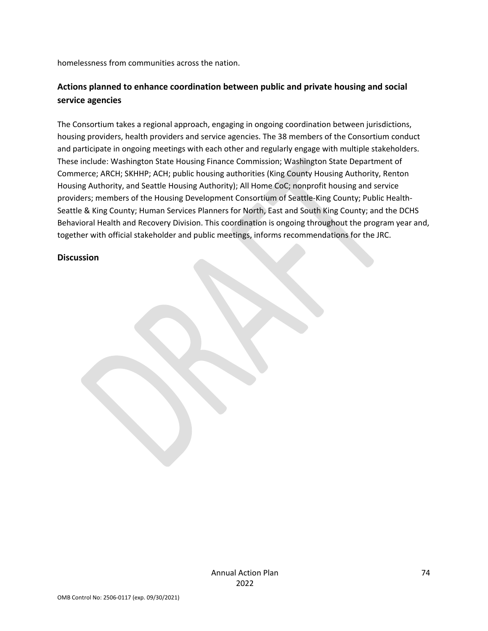homelessness from communities across the nation.

# **Actions planned to enhance coordination between public and private housing and social service agencies**

The Consortium takes a regional approach, engaging in ongoing coordination between jurisdictions, housing providers, health providers and service agencies. The 38 members of the Consortium conduct and participate in ongoing meetings with each other and regularly engage with multiple stakeholders. These include: Washington State Housing Finance Commission; Washington State Department of Commerce; ARCH; SKHHP; ACH; public housing authorities (King County Housing Authority, Renton Housing Authority, and Seattle Housing Authority); All Home CoC; nonprofit housing and service providers; members of the Housing Development Consortium of Seattle-King County; Public Health-Seattle & King County; Human Services Planners for North, East and South King County; and the DCHS Behavioral Health and Recovery Division. This coordination is ongoing throughout the program year and, together with official stakeholder and public meetings, informs recommendations for the JRC.

#### **Discussion**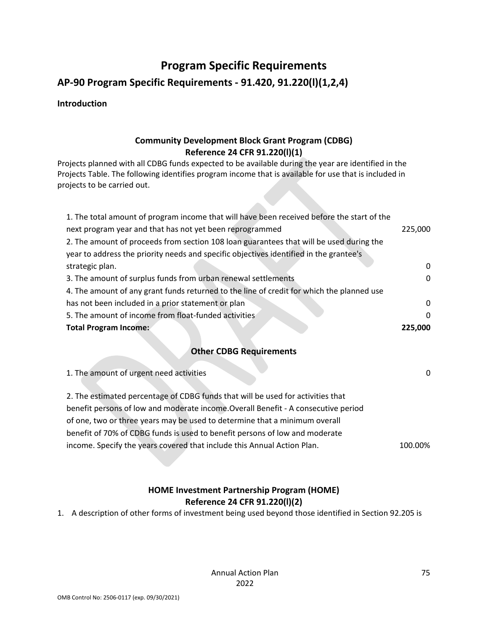# **Program Specific Requirements**

# **AP-90 Program Specific Requirements - 91.420, 91.220(l)(1,2,4)**

#### **Introduction**

# **Community Development Block Grant Program (CDBG) Reference 24 CFR 91.220(l)(1)**

Projects planned with all CDBG funds expected to be available during the year are identified in the Projects Table. The following identifies program income that is available for use that is included in projects to be carried out.

| 1. The total amount of program income that will have been received before the start of the |          |
|--------------------------------------------------------------------------------------------|----------|
| next program year and that has not yet been reprogrammed                                   | 225,000  |
| 2. The amount of proceeds from section 108 loan guarantees that will be used during the    |          |
| year to address the priority needs and specific objectives identified in the grantee's     |          |
| strategic plan.                                                                            | 0        |
| 3. The amount of surplus funds from urban renewal settlements                              | 0        |
| 4. The amount of any grant funds returned to the line of credit for which the planned use  |          |
| has not been included in a prior statement or plan                                         | $\Omega$ |
| 5. The amount of income from float-funded activities                                       | 0        |
| <b>Total Program Income:</b>                                                               | 225,000  |

# **Other CDBG Requirements**

| 1. The amount of urgent need activities                                            | 0       |
|------------------------------------------------------------------------------------|---------|
| 2. The estimated percentage of CDBG funds that will be used for activities that    |         |
| benefit persons of low and moderate income. Overall Benefit - A consecutive period |         |
| of one, two or three years may be used to determine that a minimum overall         |         |
| benefit of 70% of CDBG funds is used to benefit persons of low and moderate        |         |
| income. Specify the years covered that include this Annual Action Plan.            | 100.00% |

# **HOME Investment Partnership Program (HOME) Reference 24 CFR 91.220(l)(2)**

1. A description of other forms of investment being used beyond those identified in Section 92.205 is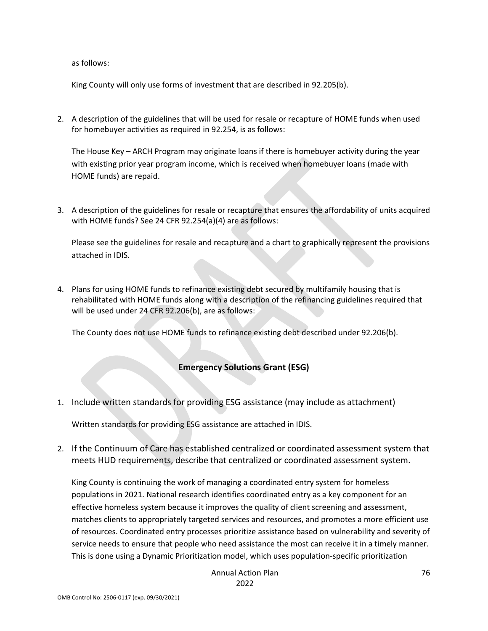as follows:

King County will only use forms of investment that are described in 92.205(b).

2. A description of the guidelines that will be used for resale or recapture of HOME funds when used for homebuyer activities as required in 92.254, is as follows:

The House Key – ARCH Program may originate loans if there is homebuyer activity during the year with existing prior year program income, which is received when homebuyer loans (made with HOME funds) are repaid.

3. A description of the guidelines for resale or recapture that ensures the affordability of units acquired with HOME funds? See 24 CFR 92.254(a)(4) are as follows:

Please see the guidelines for resale and recapture and a chart to graphically represent the provisions attached in IDIS.

4. Plans for using HOME funds to refinance existing debt secured by multifamily housing that is rehabilitated with HOME funds along with a description of the refinancing guidelines required that will be used under 24 CFR 92.206(b), are as follows:

The County does not use HOME funds to refinance existing debt described under 92.206(b).

# **Emergency Solutions Grant (ESG)**

1. Include written standards for providing ESG assistance (may include as attachment)

Written standards for providing ESG assistance are attached in IDIS.

2. If the Continuum of Care has established centralized or coordinated assessment system that meets HUD requirements, describe that centralized or coordinated assessment system.

King County is continuing the work of managing a coordinated entry system for homeless populations in 2021. National research identifies coordinated entry as a key component for an effective homeless system because it improves the quality of client screening and assessment, matches clients to appropriately targeted services and resources, and promotes a more efficient use of resources. Coordinated entry processes prioritize assistance based on vulnerability and severity of service needs to ensure that people who need assistance the most can receive it in a timely manner. This is done using a Dynamic Prioritization model, which uses population-specific prioritization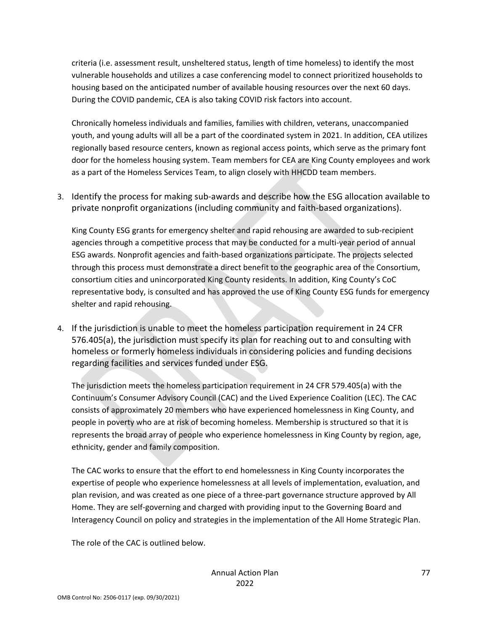criteria (i.e. assessment result, unsheltered status, length of time homeless) to identify the most vulnerable households and utilizes a case conferencing model to connect prioritized households to housing based on the anticipated number of available housing resources over the next 60 days. During the COVID pandemic, CEA is also taking COVID risk factors into account.

Chronically homeless individuals and families, families with children, veterans, unaccompanied youth, and young adults will all be a part of the coordinated system in 2021. In addition, CEA utilizes regionally based resource centers, known as regional access points, which serve as the primary font door for the homeless housing system. Team members for CEA are King County employees and work as a part of the Homeless Services Team, to align closely with HHCDD team members.

3. Identify the process for making sub-awards and describe how the ESG allocation available to private nonprofit organizations (including community and faith-based organizations).

King County ESG grants for emergency shelter and rapid rehousing are awarded to sub-recipient agencies through a competitive process that may be conducted for a multi-year period of annual ESG awards. Nonprofit agencies and faith-based organizations participate. The projects selected through this process must demonstrate a direct benefit to the geographic area of the Consortium, consortium cities and unincorporated King County residents. In addition, King County's CoC representative body, is consulted and has approved the use of King County ESG funds for emergency shelter and rapid rehousing.

4. If the jurisdiction is unable to meet the homeless participation requirement in 24 CFR 576.405(a), the jurisdiction must specify its plan for reaching out to and consulting with homeless or formerly homeless individuals in considering policies and funding decisions regarding facilities and services funded under ESG.

The jurisdiction meets the homeless participation requirement in 24 CFR 579.405(a) with the Continuum's Consumer Advisory Council (CAC) and the Lived Experience Coalition (LEC). The CAC consists of approximately 20 members who have experienced homelessness in King County, and people in poverty who are at risk of becoming homeless. Membership is structured so that it is represents the broad array of people who experience homelessness in King County by region, age, ethnicity, gender and family composition.

The CAC works to ensure that the effort to end homelessness in King County incorporates the expertise of people who experience homelessness at all levels of implementation, evaluation, and plan revision, and was created as one piece of a three-part governance structure approved by All Home. They are self-governing and charged with providing input to the Governing Board and Interagency Council on policy and strategies in the implementation of the All Home Strategic Plan.

The role of the CAC is outlined below.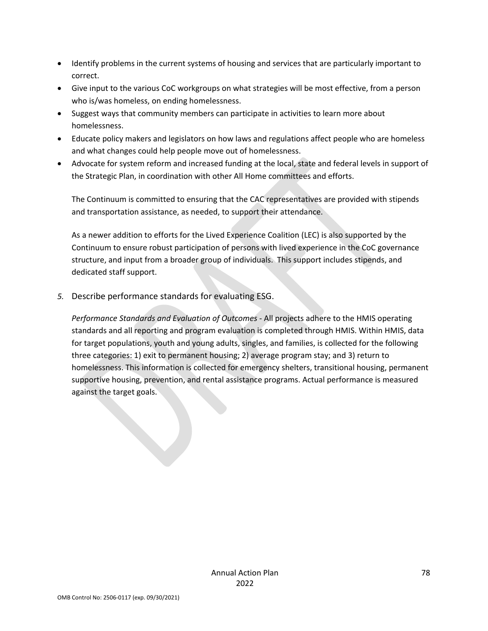- Identify problems in the current systems of housing and services that are particularly important to correct.
- Give input to the various CoC workgroups on what strategies will be most effective, from a person who is/was homeless, on ending homelessness.
- Suggest ways that community members can participate in activities to learn more about homelessness.
- Educate policy makers and legislators on how laws and regulations affect people who are homeless and what changes could help people move out of homelessness.
- Advocate for system reform and increased funding at the local, state and federal levels in support of the Strategic Plan, in coordination with other All Home committees and efforts.

The Continuum is committed to ensuring that the CAC representatives are provided with stipends and transportation assistance, as needed, to support their attendance.

As a newer addition to efforts for the Lived Experience Coalition (LEC) is also supported by the Continuum to ensure robust participation of persons with lived experience in the CoC governance structure, and input from a broader group of individuals. This support includes stipends, and dedicated staff support.

*5.* Describe performance standards for evaluating ESG.

*Performance Standards and Evaluation of Outcomes -* All projects adhere to the HMIS operating standards and all reporting and program evaluation is completed through HMIS. Within HMIS, data for target populations, youth and young adults, singles, and families, is collected for the following three categories: 1) exit to permanent housing; 2) average program stay; and 3) return to homelessness. This information is collected for emergency shelters, transitional housing, permanent supportive housing, prevention, and rental assistance programs. Actual performance is measured against the target goals.